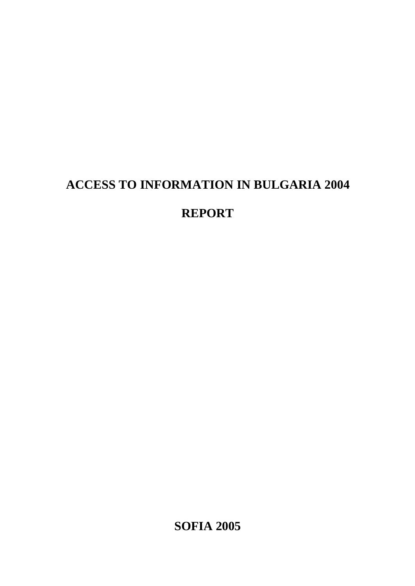# **ACCESS TO INFORMATION IN BULGARIA 2004**

# **REPORT**

**SOFIA 2005**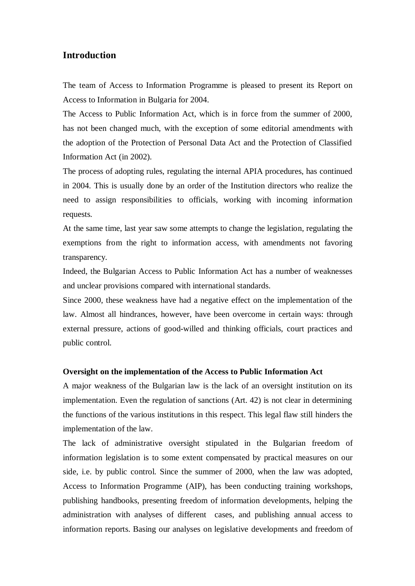# **Introduction**

The team of Access to Information Programme is pleased to present its Report on Access to Information in Bulgaria for 2004.

The Access to Public Information Act, which is in force from the summer of 2000, has not been changed much, with the exception of some editorial amendments with the adoption of the Protection of Personal Data Act and the Protection of Classified Information Act (in 2002).

The process of adopting rules, regulating the internal APIA procedures, has continued in 2004. This is usually done by an order of the Institution directors who realize the need to assign responsibilities to officials, working with incoming information requests.

At the same time, last year saw some attempts to change the legislation, regulating the exemptions from the right to information access, with amendments not favoring transparency.

Indeed, the Bulgarian Access to Public Information Act has a number of weaknesses and unclear provisions compared with international standards.

Since 2000, these weakness have had a negative effect on the implementation of the law. Almost all hindrances, however, have been overcome in certain ways: through external pressure, actions of good-willed and thinking officials, court practices and public control.

#### **Oversight on the implementation of the Access to Public Information Act**

A major weakness of the Bulgarian law is the lack of an oversight institution on its implementation. Even the regulation of sanctions (Art. 42) is not clear in determining the functions of the various institutions in this respect. This legal flaw still hinders the implementation of the law.

The lack of administrative oversight stipulated in the Bulgarian freedom of information legislation is to some extent compensated by practical measures on our side, i.e. by public control. Since the summer of 2000, when the law was adopted, Access to Information Programme (AIP), has been conducting training workshops, publishing handbooks, presenting freedom of information developments, helping the administration with analyses of different cases, and publishing annual access to information reports. Basing our analyses on legislative developments and freedom of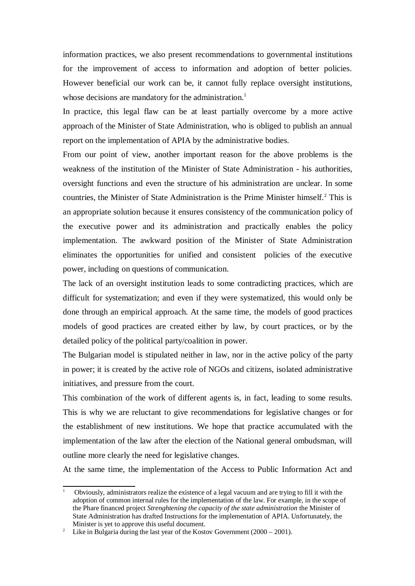information practices, we also present recommendations to governmental institutions for the improvement of access to information and adoption of better policies. However beneficial our work can be, it cannot fully replace oversight institutions, whose decisions are mandatory for the administration.<sup>1</sup>

In practice, this legal flaw can be at least partially overcome by a more active approach of the Minister of State Administration, who is obliged to publish an annual report on the implementation of APIA by the administrative bodies.

From our point of view, another important reason for the above problems is the weakness of the institution of the Minister of State Administration - his authorities, oversight functions and even the structure of his administration are unclear. In some countries, the Minister of State Administration is the Prime Minister himself.<sup>2</sup> This is an appropriate solution because it ensures consistency of the communication policy of the executive power and its administration and practically enables the policy implementation. The awkward position of the Minister of State Administration eliminates the opportunities for unified and consistent policies of the executive power, including on questions of communication.

The lack of an oversight institution leads to some contradicting practices, which are difficult for systematization; and even if they were systematized, this would only be done through an empirical approach. At the same time, the models of good practices models of good practices are created either by law, by court practices, or by the detailed policy of the political party/coalition in power.

The Bulgarian model is stipulated neither in law, nor in the active policy of the party in power; it is created by the active role of NGOs and citizens, isolated administrative initiatives, and pressure from the court.

This combination of the work of different agents is, in fact, leading to some results. This is why we are reluctant to give recommendations for legislative changes or for the establishment of new institutions. We hope that practice accumulated with the implementation of the law after the election of the National general ombudsman, will outline more clearly the need for legislative changes.

At the same time, the implementation of the Access to Public Information Act and

<sup>1</sup> Obviously, administrators realize the existence of a legal vacuum and are trying to fill it with the adoption of common internal rules for the implementation of the law. For example, in the scope of the Phare financed project *Strenghtening the capacity of the state administration* the Minister of State Administration has drafted Instructions for the implementation of APIA. Unfortunately, the Minister is yet to approve this useful document.

Like in Bulgaria during the last year of the Kostov Government  $(2000 - 2001)$ .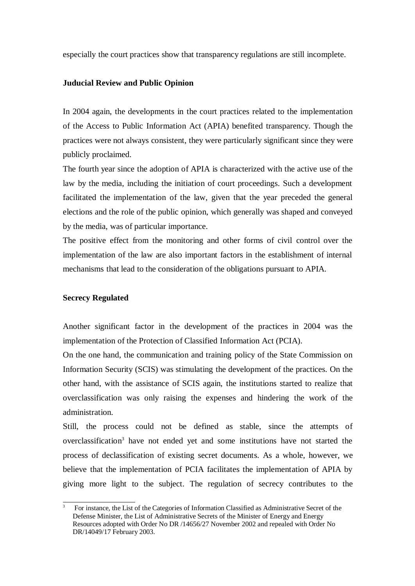especially the court practices show that transparency regulations are still incomplete.

#### **Juducial Review and Public Opinion**

In 2004 again, the developments in the court practices related to the implementation of the Access to Public Information Act (APIA) benefited transparency. Though the practices were not always consistent, they were particularly significant since they were publicly proclaimed.

The fourth year since the adoption of APIA is characterized with the active use of the law by the media, including the initiation of court proceedings. Such a development facilitated the implementation of the law, given that the year preceded the general elections and the role of the public opinion, which generally was shaped and conveyed by the media, was of particular importance.

The positive effect from the monitoring and other forms of civil control over the implementation of the law are also important factors in the establishment of internal mechanisms that lead to the consideration of the obligations pursuant to APIA.

#### **Secrecy Regulated**

Another significant factor in the development of the practices in 2004 was the implementation of the Protection of Classified Information Act (PCIA).

On the one hand, the communication and training policy of the State Commission on Information Security (SCIS) was stimulating the development of the practices. On the other hand, with the assistance of SCIS again, the institutions started to realize that overclassification was only raising the expenses and hindering the work of the administration.

Still, the process could not be defined as stable, since the attempts of overclassification<sup>3</sup> have not ended yet and some institutions have not started the process of declassification of existing secret documents. As a whole, however, we believe that the implementation of PCIA facilitates the implementation of APIA by giving more light to the subject. The regulation of secrecy contributes to the

<sup>3</sup> For instance, the List of the Categories of Information Classified as Administrative Secret of the Defense Minister, the List of Administrative Secrets of the Minister of Energy and Energy Resources adopted with Order No DR /14656/27 November 2002 and repealed with Order No DR/14049/17 February 2003.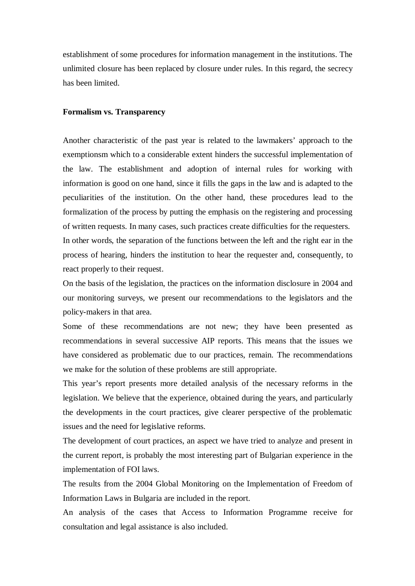establishment of some procedures for information management in the institutions. The unlimited closure has been replaced by closure under rules. In this regard, the secrecy has been limited.

#### **Formalism vs. Transparency**

Another characteristic of the past year is related to the lawmakers' approach to the exemptionsm which to a considerable extent hinders the successful implementation of the law. The establishment and adoption of internal rules for working with information is good on one hand, since it fills the gaps in the law and is adapted to the peculiarities of the institution. On the other hand, these procedures lead to the formalization of the process by putting the emphasis on the registering and processing of written requests. In many cases, such practices create difficulties for the requesters. In other words, the separation of the functions between the left and the right ear in the process of hearing, hinders the institution to hear the requester and, consequently, to react properly to their request.

On the basis of the legislation, the practices on the information disclosure in 2004 and our monitoring surveys, we present our recommendations to the legislators and the policy-makers in that area.

Some of these recommendations are not new; they have been presented as recommendations in several successive AIP reports. This means that the issues we have considered as problematic due to our practices, remain. The recommendations we make for the solution of these problems are still appropriate.

This year's report presents more detailed analysis of the necessary reforms in the legislation. We believe that the experience, obtained during the years, and particularly the developments in the court practices, give clearer perspective of the problematic issues and the need for legislative reforms.

The development of court practices, an aspect we have tried to analyze and present in the current report, is probably the most interesting part of Bulgarian experience in the implementation of FOI laws.

The results from the 2004 Global Monitoring on the Implementation of Freedom of Information Laws in Bulgaria are included in the report.

An analysis of the cases that Access to Information Programme receive for consultation and legal assistance is also included.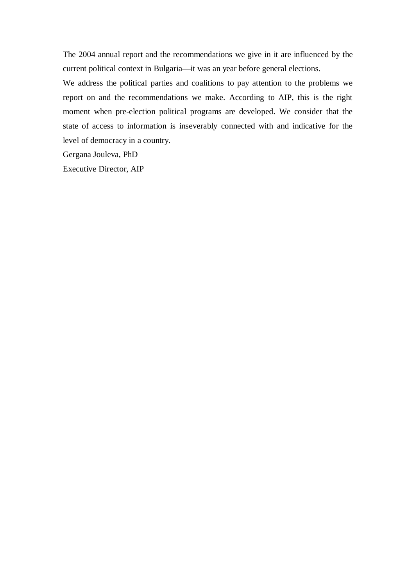The 2004 annual report and the recommendations we give in it are influenced by the current political context in Bulgaria—it was an year before general elections.

We address the political parties and coalitions to pay attention to the problems we report on and the recommendations we make. According to AIP, this is the right moment when pre-election political programs are developed. We consider that the state of access to information is inseverably connected with and indicative for the level of democracy in a country.

Gergana Jouleva, PhD

Executive Director, AIP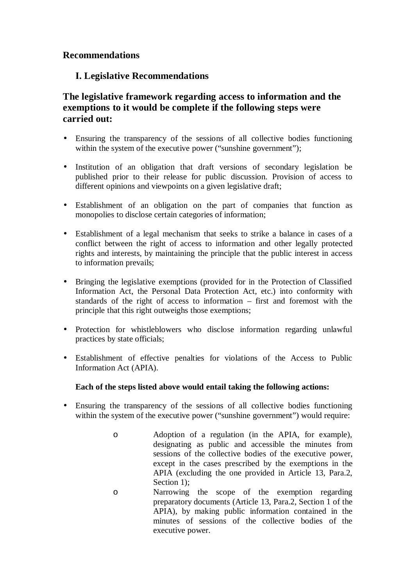# **Recommendations**

# **І. Legislative Recommendations**

# **The legislative framework regarding access to information and the exemptions to it would be complete if the following steps were carried out:**

- Ensuring the transparency of the sessions of all collective bodies functioning within the system of the executive power ("sunshine government");
- Institution of an obligation that draft versions of secondary legislation be published prior to their release for public discussion. Provision of access to different opinions and viewpoints on a given legislative draft;
- Establishment of an obligation on the part of companies that function as monopolies to disclose certain categories of information;
- Establishment of a legal mechanism that seeks to strike a balance in cases of a conflict between the right of access to information and other legally protected rights and interests, by maintaining the principle that the public interest in access to information prevails;
- Bringing the legislative exemptions (provided for in the Protection of Classified Information Act, the Personal Data Protection Act, etc.) into conformity with standards of the right of access to information – first and foremost with the principle that this right outweighs those exemptions;
- Protection for whistleblowers who disclose information regarding unlawful practices by state officials;
- Establishment of effective penalties for violations of the Access to Public Information Act (APIA).

# **Each of the steps listed above would entail taking the following actions:**

- Ensuring the transparency of the sessions of all collective bodies functioning within the system of the executive power ("sunshine government") would require:
	- o Adoption of a regulation (in the APIA, for example), designating as public and accessible the minutes from sessions of the collective bodies of the executive power, except in the cases prescribed by the exemptions in the APIA (excluding the one provided in Article 13, Para.2, Section 1):
	- o Narrowing the scope of the exemption regarding preparatory documents (Article 13, Para.2, Section 1 of the APIA), by making public information contained in the minutes of sessions of the collective bodies of the executive power.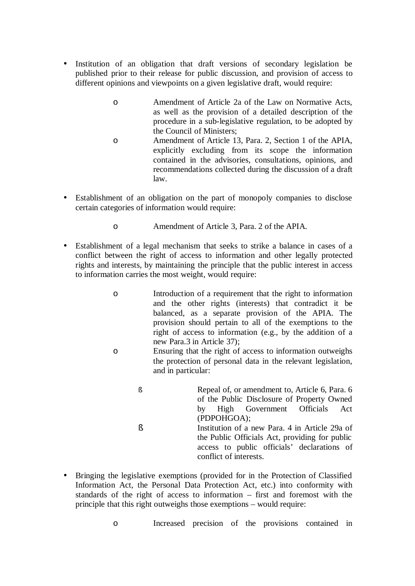- Institution of an obligation that draft versions of secondary legislation be published prior to their release for public discussion, and provision of access to different opinions and viewpoints on a given legislative draft, would require:
	- o Amendment of Article 2a of the Law on Normative Acts, as well as the provision of a detailed description of the procedure in a sub-legislative regulation, to be adopted by the Council of Ministers;
	- o Amendment of Article 13, Para. 2, Section 1 of the APIA, explicitly excluding from its scope the information contained in the advisories, consultations, opinions, and recommendations collected during the discussion of a draft law.
- Establishment of an obligation on the part of monopoly companies to disclose certain categories of information would require:
	- o Amendment of Article 3, Para. 2 of the APIA.
- Establishment of a legal mechanism that seeks to strike a balance in cases of a conflict between the right of access to information and other legally protected rights and interests, by maintaining the principle that the public interest in access to information carries the most weight, would require:
	- o Introduction of a requirement that the right to information and the other rights (interests) that contradict it be balanced, as a separate provision of the APIA. The provision should pertain to all of the exemptions to the right of access to information (e.g., by the addition of a new Para.3 in Article 37);
	- o Ensuring that the right of access to information outweighs the protection of personal data in the relevant legislation, and in particular:
		- § Repeal of, or amendment to, Article 6, Para. 6 of the Public Disclosure of Property Owned by High Government Officials Act (PDPOHGOA); § Institution of a new Para. 4 in Article 29a of the Public Officials Act, providing for public access to public officials' declarations of conflict of interests.
- Bringing the legislative exemptions (provided for in the Protection of Classified Information Act, the Personal Data Protection Act, etc.) into conformity with standards of the right of access to information – first and foremost with the principle that this right outweighs those exemptions – would require:

o Increased precision of the provisions contained in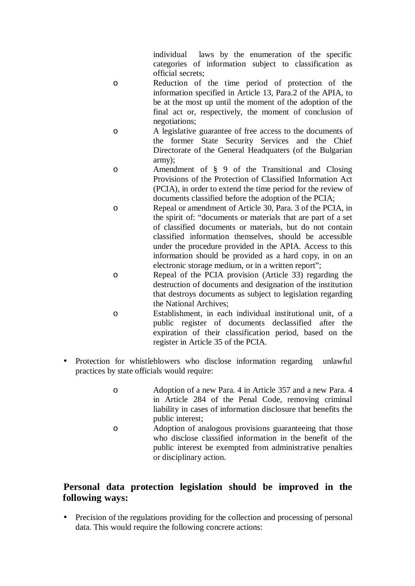individual laws by the enumeration of the specific categories of information subject to classification as official secrets;

- o Reduction of the time period of protection of the information specified in Article 13, Para.2 of the APIA, to be at the most up until the moment of the adoption of the final act or, respectively, the moment of conclusion of negotiations;
- o A legislative guarantee of free access to the documents of the former State Security Services and the Chief Directorate of the General Headquaters (of the Bulgarian army);
- o Amendment of § 9 of the Transitional and Closing Provisions of the Protection of Classified Information Act (PCIA), in order to extend the time period for the review of documents classified before the adoption of the PCIA;
- o Repeal or amendment of Article 30, Para. 3 of the PCIA, in the spirit of: "documents or materials that are part of a set of classified documents or materials, but do not contain classified information themselves, should be accessible under the procedure provided in the APIA. Access to this information should be provided as a hard copy, in on an electronic storage medium, or in a written report";
- o Repeal of the PCIA provision (Article 33) regarding the destruction of documents and designation of the institution that destroys documents as subject to legislation regarding the National Archives;
- o Establishment, in each individual institutional unit, of a public register of documents declassified after the expiration of their classification period, based on the register in Article 35 of the PCIA.
- Protection for whistleblowers who disclose information regarding unlawful practices by state officials would require:
	- o Adoption of a new Para. 4 in Article 357 and a new Para. 4 in Article 284 of the Penal Code, removing criminal liability in cases of information disclosure that benefits the public interest;
	- o Adoption of analogous provisions guaranteeing that those who disclose classified information in the benefit of the public interest be exempted from administrative penalties or disciplinary action.

# **Personal data protection legislation should be improved in the following ways:**

• Precision of the regulations providing for the collection and processing of personal data. This would require the following concrete actions: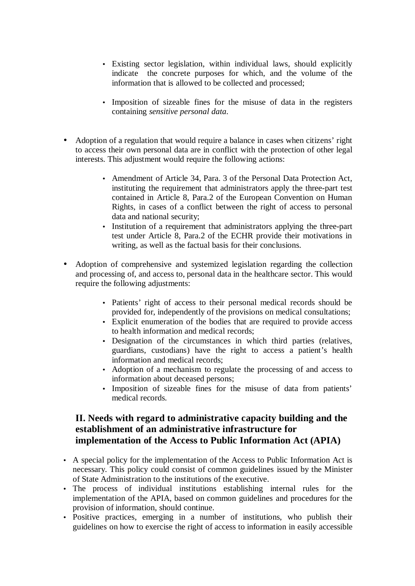- Existing sector legislation, within individual laws, should explicitly indicate the concrete purposes for which, and the volume of the information that is allowed to be collected and processed;
- Imposition of sizeable fines for the misuse of data in the registers containing *sensitive personal data*.
- Adoption of a regulation that would require a balance in cases when citizens' right to access their own personal data are in conflict with the protection of other legal interests. This adjustment would require the following actions:
	- Amendment of Article 34, Para. 3 of the Personal Data Protection Act, instituting the requirement that administrators apply the three-part test contained in Article 8, Para.2 of the European Convention on Human Rights, in cases of a conflict between the right of access to personal data and national security;
	- Institution of a requirement that administrators applying the three-part test under Article 8, Para.2 of the ECHR provide their motivations in writing, as well as the factual basis for their conclusions.
- Adoption of comprehensive and systemized legislation regarding the collection and processing of, and access to, personal data in the healthcare sector. This would require the following adjustments:
	- Patients' right of access to their personal medical records should be provided for, independently of the provisions on medical consultations;
	- Explicit enumeration of the bodies that are required to provide access to health information and medical records;
	- Designation of the circumstances in which third parties (relatives, guardians, custodians) have the right to access a patient's health information and medical records;
	- Adoption of a mechanism to regulate the processing of and access to information about deceased persons;
	- Imposition of sizeable fines for the misuse of data from patients' medical records.

# **ІІ. Needs with regard to administrative capacity building and the establishment of an administrative infrastructure for implementation of the Access to Public Information Act (APIA)**

- A special policy for the implementation of the Access to Public Information Act is necessary. This policy could consist of common guidelines issued by the Minister of State Administration to the institutions of the executive.
- The process of individual institutions establishing internal rules for the implementation of the APIA, based on common guidelines and procedures for the provision of information, should continue.
- Positive practices, emerging in a number of institutions, who publish their guidelines on how to exercise the right of access to information in easily accessible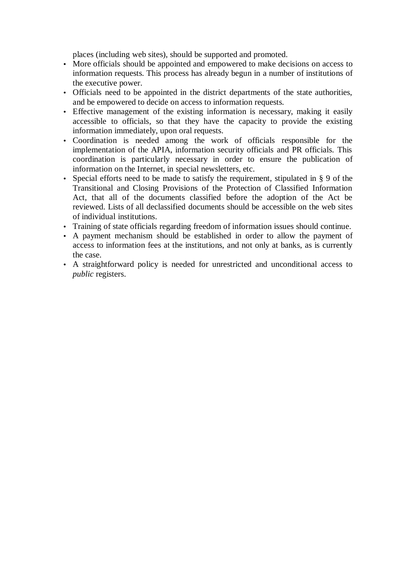places (including web sites), should be supported and promoted.

- More officials should be appointed and empowered to make decisions on access to information requests. This process has already begun in a number of institutions of the executive power.
- Officials need to be appointed in the district departments of the state authorities, and be empowered to decide on access to information requests.
- Effective management of the existing information is necessary, making it easily accessible to officials, so that they have the capacity to provide the existing information immediately, upon oral requests.
- Coordination is needed among the work of officials responsible for the implementation of the APIA, information security officials and PR officials. This coordination is particularly necessary in order to ensure the publication of information on the Internet, in special newsletters, etc.
- Special efforts need to be made to satisfy the requirement, stipulated in § 9 of the Transitional and Closing Provisions of the Protection of Classified Information Act, that all of the documents classified before the adoption of the Act be reviewed. Lists of all declassified documents should be accessible on the web sites of individual institutions.
- Training of state officials regarding freedom of information issues should continue.
- A payment mechanism should be established in order to allow the payment of access to information fees at the institutions, and not only at banks, as is currently the case.
- A straightforward policy is needed for unrestricted and unconditional access to *public* registers.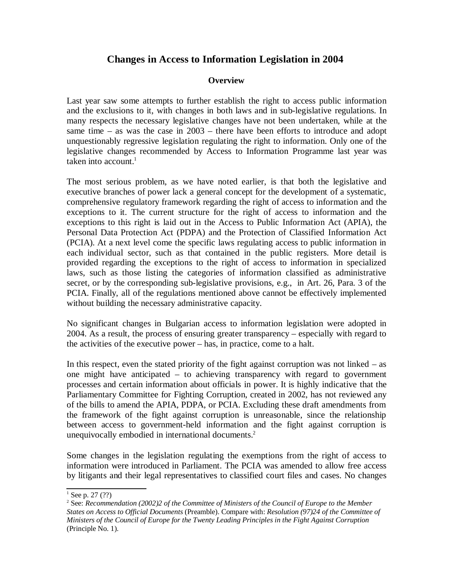# **Changes in Access to Information Legislation in 2004**

### **Overview**

Last year saw some attempts to further establish the right to access public information and the exclusions to it, with changes in both laws and in sub-legislative regulations. In many respects the necessary legislative changes have not been undertaken, while at the same time – as was the case in 2003 – there have been efforts to introduce and adopt unquestionably regressive legislation regulating the right to information. Only one of the legislative changes recommended by Access to Information Programme last year was taken into account. $<sup>1</sup>$ </sup>

The most serious problem, as we have noted earlier, is that both the legislative and executive branches of power lack a general concept for the development of a systematic, comprehensive regulatory framework regarding the right of access to information and the exceptions to it. The current structure for the right of access to information and the exceptions to this right is laid out in the Access to Public Information Act (APIA), the Personal Data Protection Act (PDPA) and the Protection of Classified Information Act (PCIA). At a next level come the specific laws regulating access to public information in each individual sector, such as that contained in the public registers. More detail is provided regarding the exceptions to the right of access to information in specialized laws, such as those listing the categories of information classified as administrative secret, or by the corresponding sub-legislative provisions, e.g., in Art. 26, Para. 3 of the PCIA. Finally, all of the regulations mentioned above cannot be effectively implemented without building the necessary administrative capacity.

No significant changes in Bulgarian access to information legislation were adopted in 2004. As a result, the process of ensuring greater transparency – especially with regard to the activities of the executive power – has, in practice, come to a halt.

In this respect, even the stated priority of the fight against corruption was not linked  $-$  as one might have anticipated – to achieving transparency with regard to government processes and certain information about officials in power. It is highly indicative that the Parliamentary Committee for Fighting Corruption, created in 2002, has not reviewed any of the bills to amend the APIA, PDPA, or PCIA. Excluding these draft amendments from the framework of the fight against corruption is unreasonable, since the relationship between access to government-held information and the fight against corruption is unequivocally embodied in international documents.<sup>2</sup>

Some changes in the legislation regulating the exemptions from the right of access to information were introduced in Parliament. The PCIA was amended to allow free access by litigants and their legal representatives to classified court files and cases. No changes

 $1$  See p. 27 (??)

<sup>2</sup> See: *Recommendation (2002)2 of the Committee of Ministers of the Council of Europe to the Member States on Access to Official Documents* (Preamble). Compare with: *Resolution (97)24 of the Committee of Ministers of the Council of Europe for the Twenty Leading Principles in the Fight Against Corruption* (Principle No. 1).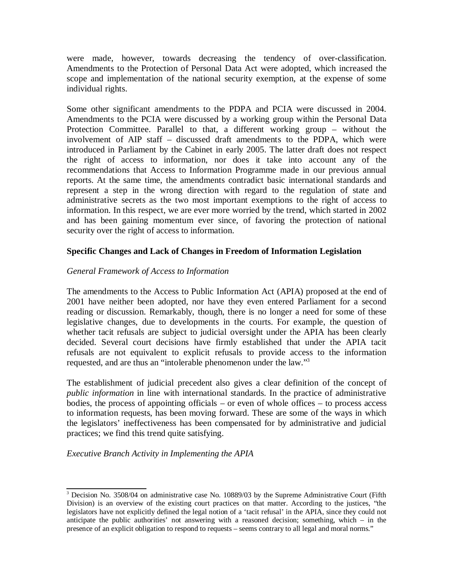were made, however, towards decreasing the tendency of over-classification. Amendments to the Protection of Personal Data Act were adopted, which increased the scope and implementation of the national security exemption, at the expense of some individual rights.

Some other significant amendments to the PDPA and PCIA were discussed in 2004. Amendments to the PCIA were discussed by a working group within the Personal Data Protection Committee. Parallel to that, a different working group – without the involvement of AIP staff – discussed draft amendments to the PDPA, which were introduced in Parliament by the Cabinet in early 2005. The latter draft does not respect the right of access to information, nor does it take into account any of the recommendations that Access to Information Programme made in our previous annual reports. At the same time, the amendments contradict basic international standards and represent a step in the wrong direction with regard to the regulation of state and administrative secrets as the two most important exemptions to the right of access to information. In this respect, we are ever more worried by the trend, which started in 2002 and has been gaining momentum ever since, of favoring the protection of national security over the right of access to information.

## **Specific Changes and Lack of Changes in Freedom of Information Legislation**

## *General Framework of Access to Information*

The amendments to the Access to Public Information Act (APIA) proposed at the end of 2001 have neither been adopted, nor have they even entered Parliament for a second reading or discussion. Remarkably, though, there is no longer a need for some of these legislative changes, due to developments in the courts. For example, the question of whether tacit refusals are subject to judicial oversight under the APIA has been clearly decided. Several court decisions have firmly established that under the APIA tacit refusals are not equivalent to explicit refusals to provide access to the information requested, and are thus an "intolerable phenomenon under the law."<sup>3</sup>

The establishment of judicial precedent also gives a clear definition of the concept of *public information* in line with international standards. In the practice of administrative bodies, the process of appointing officials – or even of whole offices – to process access to information requests, has been moving forward. These are some of the ways in which the legislators' ineffectiveness has been compensated for by administrative and judicial practices; we find this trend quite satisfying.

*Executive Branch Activity in Implementing the APIA*

<sup>&</sup>lt;sup>3</sup> Decision No. 3508/04 on administrative case No. 10889/03 by the Supreme Administrative Court (Fifth Division) is an overview of the existing court practices on that matter. According to the justices, "the legislators have not explicitly defined the legal notion of a 'tacit refusal' in the APIA, since they could not anticipate the public authorities' not answering with a reasoned decision; something, which – in the presence of an explicit obligation to respond to requests – seems contrary to all legal and moral norms."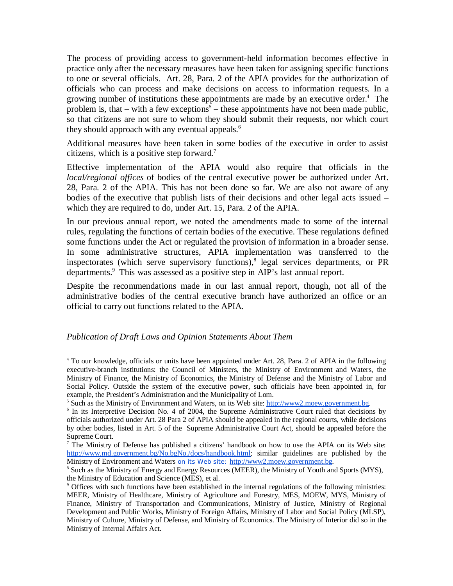The process of providing access to government-held information becomes effective in practice only after the necessary measures have been taken for assigning specific functions to one or several officials. Art. 28, Para. 2 of the APIA provides for the authorization of officials who can process and make decisions on access to information requests. In a growing number of institutions these appointments are made by an executive order.<sup>4</sup> The problem is, that  $-$  with a few exceptions<sup>5</sup>  $-$  these appointments have not been made public, so that citizens are not sure to whom they should submit their requests, nor which court they should approach with any eventual appeals.<sup>6</sup>

Additional measures have been taken in some bodies of the executive in order to assist citizens, which is a positive step forward.<sup>7</sup>

Effective implementation of the APIA would also require that officials in the *local/regional offices* of bodies of the central executive power be authorized under Art. 28, Para. 2 of the APIA. This has not been done so far. We are also not aware of any bodies of the executive that publish lists of their decisions and other legal acts issued – which they are required to do, under Art. 15, Para. 2 of the APIA.

In our previous annual report, we noted the amendments made to some of the internal rules, regulating the functions of certain bodies of the executive. These regulations defined some functions under the Act or regulated the provision of information in a broader sense. In some administrative structures, APIA implementation was transferred to the inspectorates (which serve supervisory functions),<sup>8</sup> legal services departments, or PR departments.<sup>9</sup> This was assessed as a positive step in AIP's last annual report.

Despite the recommendations made in our last annual report, though, not all of the administrative bodies of the central executive branch have authorized an office or an official to carry out functions related to the APIA.

#### *Publication of Draft Laws and Opinion Statements About Them*

<sup>4</sup> To our knowledge, officials or units have been appointed under Art. 28, Para. 2 of APIA in the following executive-branch institutions: the Council of Ministers, the Ministry of Environment and Waters, the Ministry of Finance, the Ministry of Economics, the Ministry of Defense and the Ministry of Labor and Social Policy. Outside the system of the executive power, such officials have been appointed in, for example, the President's Administration and the Municipality of Lom.

<sup>&</sup>lt;sup>5</sup> Such as the Ministry of Environment and Waters, on its Web site: [http://www2.moew.government.bg.](http://www2.moew.government.bg)

<sup>&</sup>lt;sup>6</sup> In its Interpretive Decision No. 4 of 2004, the Supreme Administrative Court ruled that decisions by officials authorized under Art. 28 Para 2 of APIA should be appealed in the regional courts, while decisions by other bodies, listed in Art. 5 of the Supreme Administrative Court Act, should be appealed before the Supreme Court.

 $<sup>7</sup>$  The Ministry of Defense has published a citizens' handbook on how to use the APIA on its Web site:</sup> [http://www.md.government.bg/No.bgNo./docs/handbook.html;](http://www.md.government.bg/No.bgNo./docs/handbook.html) similar guidelines are published by the Ministry of Environment and Waters on its Web site: <http://www2.moew.government.bg>.

<sup>8</sup> Such as the Ministry of Energy and Energy Resources (MEER), the Ministry of Youth and Sports (MYS), the Ministry of Education and Science (MES), et al.

<sup>9</sup> Offices with such functions have been established in the internal regulations of the following ministries: MEER, Ministry of Healthcare, Ministry of Agriculture and Forestry, MES, MOEW, MYS, Ministry of Finance, Ministry of Transportation and Communications, Ministry of Justice, Ministry of Regional Development and Public Works, Ministry of Foreign Affairs, Ministry of Labor and Social Policy (MLSP), Ministry of Culture, Ministry of Defense, and Ministry of Economics. The Ministry of Interior did so in the Ministry of Internal Affairs Act.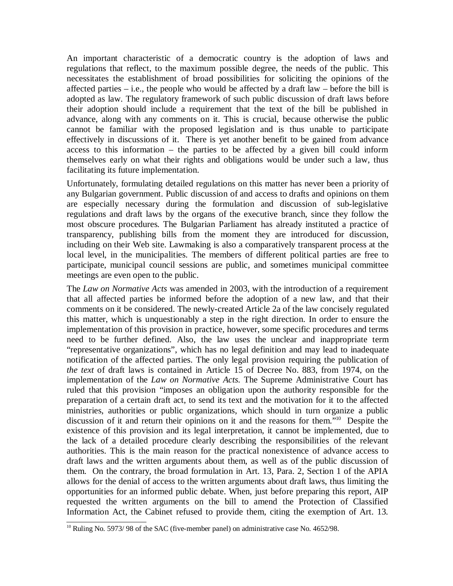An important characteristic of a democratic country is the adoption of laws and regulations that reflect, to the maximum possible degree, the needs of the public. This necessitates the establishment of broad possibilities for soliciting the opinions of the affected parties – i.e., the people who would be affected by a draft law – before the bill is adopted as law. The regulatory framework of such public discussion of draft laws before their adoption should include a requirement that the text of the bill be published in advance, along with any comments on it. This is crucial, because otherwise the public cannot be familiar with the proposed legislation and is thus unable to participate effectively in discussions of it. There is yet another benefit to be gained from advance access to this information – the parties to be affected by a given bill could inform themselves early on what their rights and obligations would be under such a law, thus facilitating its future implementation.

Unfortunately, formulating detailed regulations on this matter has never been a priority of any Bulgarian government. Public discussion of and access to drafts and opinions on them are especially necessary during the formulation and discussion of sub-legislative regulations and draft laws by the organs of the executive branch, since they follow the most obscure procedures. The Bulgarian Parliament has already instituted a practice of transparency, publishing bills from the moment they are introduced for discussion, including on their Web site. Lawmaking is also a comparatively transparent process at the local level, in the municipalities. The members of different political parties are free to participate, municipal council sessions are public, and sometimes municipal committee meetings are even open to the public.

The *Law on Normative Acts* was amended in 2003, with the introduction of a requirement that all affected parties be informed before the adoption of a new law, and that their comments on it be considered. The newly-created Article 2a of the law concisely regulated this matter, which is unquestionably a step in the right direction. In order to ensure the implementation of this provision in practice, however, some specific procedures and terms need to be further defined. Also, the law uses the unclear and inappropriate term "representative organizations", which has no legal definition and may lead to inadequate notification of the affected parties. The only legal provision requiring the publication of *the text* of draft laws is contained in Article 15 of Decree No. 883, from 1974, on the implementation of the *Law on Normative Acts.* The Supreme Administrative Court has ruled that this provision "imposes an obligation upon the authority responsible for the preparation of a certain draft act, to send its text and the motivation for it to the affected ministries, authorities or public organizations, which should in turn organize a public discussion of it and return their opinions on it and the reasons for them."<sup>10</sup> Despite the existence of this provision and its legal interpretation, it cannot be implemented, due to the lack of a detailed procedure clearly describing the responsibilities of the relevant authorities. This is the main reason for the practical nonexistence of advance access to draft laws and the written arguments about them, as well as of the public discussion of them. On the contrary, the broad formulation in Art. 13, Para. 2, Section 1 of the APIA allows for the denial of access to the written arguments about draft laws, thus limiting the opportunities for an informed public debate. When, just before preparing this report, AIP requested the written arguments on the bill to amend the Protection of Classified Information Act, the Cabinet refused to provide them, citing the exemption of Art. 13.

<sup>&</sup>lt;sup>10</sup> Ruling No. 5973/ 98 of the SAC (five-member panel) on administrative case No. 4652/98.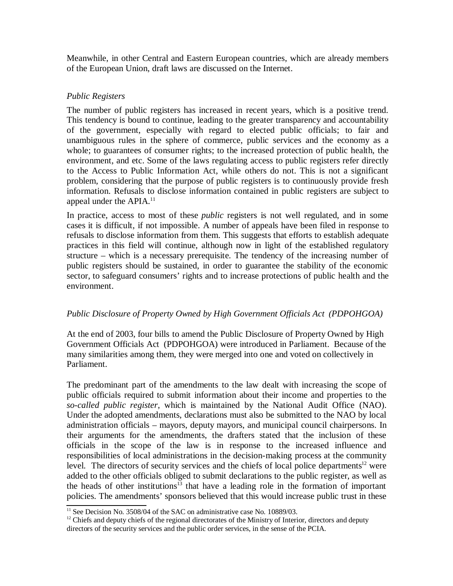Meanwhile, in other Central and Eastern European countries, which are already members of the European Union, draft laws are discussed on the Internet.

# *Public Registers*

The number of public registers has increased in recent years, which is a positive trend. This tendency is bound to continue, leading to the greater transparency and accountability of the government, especially with regard to elected public officials; to fair and unambiguous rules in the sphere of commerce, public services and the economy as a whole; to guarantees of consumer rights; to the increased protection of public health, the environment, and etc. Some of the laws regulating access to public registers refer directly to the Access to Public Information Act, while others do not. This is not a significant problem, considering that the purpose of public registers is to continuously provide fresh information. Refusals to disclose information contained in public registers are subject to appeal under the APIA.<sup>11</sup>

In practice, access to most of these *public* registers is not well regulated, and in some cases it is difficult, if not impossible. A number of appeals have been filed in response to refusals to disclose information from them. This suggests that efforts to establish adequate practices in this field will continue, although now in light of the established regulatory structure – which is a necessary prerequisite. The tendency of the increasing number of public registers should be sustained, in order to guarantee the stability of the economic sector, to safeguard consumers' rights and to increase protections of public health and the environment.

# *Public Disclosure of Property Owned by High Government Officials Act (PDPOHGOA)*

At the end of 2003, four bills to amend the Public Disclosure of Property Owned by High Government Officials Act (PDPOHGOA) were introduced in Parliament. Because of the many similarities among them, they were merged into one and voted on collectively in Parliament.

The predominant part of the amendments to the law dealt with increasing the scope of public officials required to submit information about their income and properties to the *so-called public register*, which is maintained by the National Audit Office (NAO). Under the adopted amendments, declarations must also be submitted to the NAO by local administration officials – mayors, deputy mayors, and municipal council chairpersons. In their arguments for the amendments, the drafters stated that the inclusion of these officials in the scope of the law is in response to the increased influence and responsibilities of local administrations in the decision-making process at the community level. The directors of security services and the chiefs of local police departments<sup>12</sup> were added to the other officials obliged to submit declarations to the public register, as well as the heads of other institutions<sup>13</sup> that have a leading role in the formation of important policies. The amendments' sponsors believed that this would increase public trust in these

<sup>&</sup>lt;sup>11</sup> See Decision No. 3508/04 of the SAC on administrative case No. 10889/03.

<sup>&</sup>lt;sup>12</sup> Chiefs and deputy chiefs of the regional directorates of the Ministry of Interior, directors and deputy directors of the security services and the public order services, in the sense of the PCIA.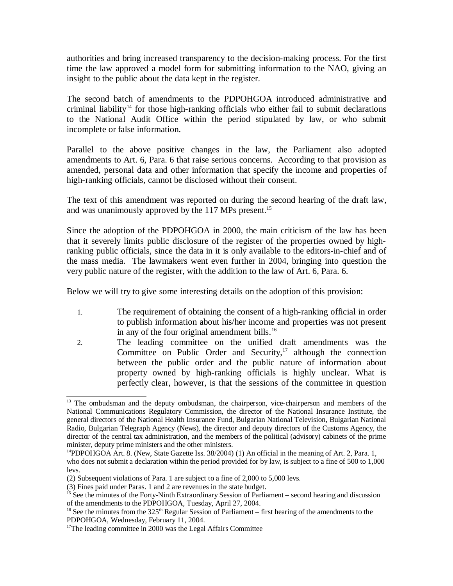authorities and bring increased transparency to the decision-making process. For the first time the law approved a model form for submitting information to the NAO, giving an insight to the public about the data kept in the register.

The second batch of amendments to the PDPOHGOA introduced administrative and criminal liability<sup>14</sup> for those high-ranking officials who either fail to submit declarations to the National Audit Office within the period stipulated by law, or who submit incomplete or false information.

Parallel to the above positive changes in the law, the Parliament also adopted amendments to Art. 6, Para. 6 that raise serious concerns. According to that provision as amended, personal data and other information that specify the income and properties of high-ranking officials, cannot be disclosed without their consent.

The text of this amendment was reported on during the second hearing of the draft law, and was unanimously approved by the 117 MPs present.<sup>15</sup>

Since the adoption of the PDPOHGOA in 2000, the main criticism of the law has been that it severely limits public disclosure of the register of the properties owned by highranking public officials, since the data in it is only available to the editors-in-chief and of the mass media. The lawmakers went even further in 2004, bringing into question the very public nature of the register, with the addition to the law of Art. 6, Para. 6.

Below we will try to give some interesting details on the adoption of this provision:

- 1. The requirement of obtaining the consent of a high-ranking official in order to publish information about his/her income and properties was not present in any of the four original amendment bills. $16$
- 2. The leading committee on the unified draft amendments was the Committee on Public Order and Security, $17$  although the connection between the public order and the public nature of information about property owned by high-ranking officials is highly unclear. What is perfectly clear, however, is that the sessions of the committee in question

<sup>&</sup>lt;sup>13</sup> The ombudsman and the deputy ombudsman, the chairperson, vice-chairperson and members of the National Communications Regulatory Commission, the director of the National Insurance Institute, the general directors of the National Health Insurance Fund, Bulgarian National Television, Bulgarian National Radio, Bulgarian Telegraph Agency (News), the director and deputy directors of the Customs Agency, the director of the central tax administration, and the members of the political (advisory) cabinets of the prime minister, deputy prime ministers and the other ministers.

<sup>&</sup>lt;sup>14</sup>PDPOHGOA Art. 8. (New, State Gazette Iss.  $38/2004$ ) (1) An official in the meaning of Art. 2, Para. 1, who does not submit a declaration within the period provided for by law, is subject to a fine of 500 to 1,000 levs.

<sup>(2)</sup> Subsequent violations of Para. 1 are subject to a fine of 2,000 to 5,000 levs.

<sup>(3)</sup> Fines paid under Paras. 1 and 2 are revenues in the state budget.

<sup>&</sup>lt;sup>15</sup> See the minutes of the Forty-Ninth Extraordinary Session of Parliament – second hearing and discussion of the amendments to the PDPOHGOA, Tuesday, April 27, 2004.

<sup>&</sup>lt;sup>16</sup> See the minutes from the 325<sup>th</sup> Regular Session of Parliament – first hearing of the amendments to the PDPOHGOA, Wednesday, February 11, 2004.

<sup>&</sup>lt;sup>17</sup>The leading committee in 2000 was the Legal Affairs Committee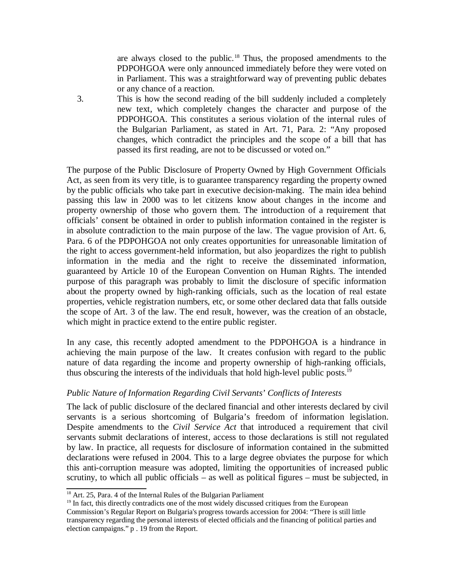are always closed to the public.<sup>18</sup> Thus, the proposed amendments to the PDPOHGOA were only announced immediately before they were voted on in Parliament. This was a straightforward way of preventing public debates or any chance of a reaction.

3. This is how the second reading of the bill suddenly included a completely new text, which completely changes the character and purpose of the PDPOHGOA. This constitutes a serious violation of the internal rules of the Bulgarian Parliament, as stated in Art. 71, Para. 2: "Any proposed changes, which contradict the principles and the scope of a bill that has passed its first reading, are not to be discussed or voted on."

The purpose of the Public Disclosure of Property Owned by High Government Officials Act, as seen from its very title, is to guarantee transparency regarding the property owned by the public officials who take part in executive decision-making. The main idea behind passing this law in 2000 was to let citizens know about changes in the income and property ownership of those who govern them. The introduction of a requirement that officials' consent be obtained in order to publish information contained in the register is in absolute contradiction to the main purpose of the law. The vague provision of Art. 6, Para. 6 of the PDPOHGOA not only creates opportunities for unreasonable limitation of the right to access government-held information, but also jeopardizes the right to publish information in the media and the right to receive the disseminated information, guaranteed by Article 10 of the European Convention on Human Rights. The intended purpose of this paragraph was probably to limit the disclosure of specific information about the property owned by high-ranking officials, such as the location of real estate properties, vehicle registration numbers, etc, or some other declared data that falls outside the scope of Art. 3 of the law. The end result, however, was the creation of an obstacle, which might in practice extend to the entire public register.

In any case, this recently adopted amendment to the PDPOHGOA is a hindrance in achieving the main purpose of the law. It creates confusion with regard to the public nature of data regarding the income and property ownership of high-ranking officials, thus obscuring the interests of the individuals that hold high-level public posts.<sup>19</sup>

#### *Public Nature of Information Regarding Civil Servants' Conflicts of Interests*

The lack of public disclosure of the declared financial and other interests declared by civil servants is a serious shortcoming of Bulgaria's freedom of information legislation. Despite amendments to the *Civil Service Act* that introduced a requirement that civil servants submit declarations of interest, access to those declarations is still not regulated by law. In practice, all requests for disclosure of information contained in the submitted declarations were refused in 2004. This to a large degree obviates the purpose for which this anti-corruption measure was adopted, limiting the opportunities of increased public scrutiny, to which all public officials – as well as political figures – must be subjected, in

<sup>19</sup> In fact, this directly contradicts one of the most widely discussed critiques from the European Commission's Regular Report on Bulgaria's progress towards accession for 2004: "There is still little transparency regarding the personal interests of elected officials and the financing of political parties and election campaigns." p . 19 from the Report.

<sup>&</sup>lt;sup>18</sup> Art. 25, Para. 4 of the Internal Rules of the Bulgarian Parliament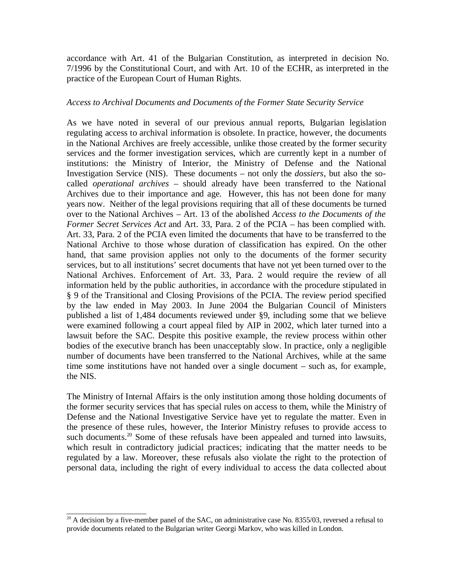accordance with Art. 41 of the Bulgarian Constitution, as interpreted in decision No. 7/1996 by the Constitutional Court, and with Art. 10 of the ECHR, as interpreted in the practice of the European Court of Human Rights.

#### *Access to Archival Documents and Documents of the Former State Security Service*

As we have noted in several of our previous annual reports, Bulgarian legislation regulating access to archival information is obsolete. In practice, however, the documents in the National Archives are freely accessible, unlike those created by the former security services and the former investigation services, which are currently kept in a number of institutions: the Ministry of Interior, the Ministry of Defense and the National Investigation Service (NIS). These documents – not only the *dossiers*, but also the socalled *operational archives* – should already have been transferred to the National Archives due to their importance and age. However, this has not been done for many years now. Neither of the legal provisions requiring that all of these documents be turned over to the National Archives – Art. 13 of the abolished *Access to the Documents of the Former Secret Services Act* and Art. 33, Para. 2 of the PCIA – has been complied with. Art. 33, Para. 2 of the PCIA even limited the documents that have to be transferred to the National Archive to those whose duration of classification has expired. On the other hand, that same provision applies not only to the documents of the former security services, but to all institutions' secret documents that have not yet been turned over to the National Archives. Enforcement of Art. 33, Para. 2 would require the review of all information held by the public authorities, in accordance with the procedure stipulated in § 9 of the Transitional and Closing Provisions of the PCIA. The review period specified by the law ended in May 2003. In June 2004 the Bulgarian Council of Ministers published a list of 1,484 documents reviewed under §9, including some that we believe were examined following a court appeal filed by AIP in 2002, which later turned into a lawsuit before the SAC. Despite this positive example, the review process within other bodies of the executive branch has been unacceptably slow. In practice, only a negligible number of documents have been transferred to the National Archives, while at the same time some institutions have not handed over a single document – such as, for example, the NIS.

The Ministry of Internal Affairs is the only institution among those holding documents of the former security services that has special rules on access to them, while the Ministry of Defense and the National Investigative Service have yet to regulate the matter. Even in the presence of these rules, however, the Interior Ministry refuses to provide access to such documents.<sup>20</sup> Some of these refusals have been appealed and turned into lawsuits, which result in contradictory judicial practices; indicating that the matter needs to be regulated by a law. Moreover, these refusals also violate the right to the protection of personal data, including the right of every individual to access the data collected about

 $20$  A decision by a five-member panel of the SAC, on administrative case No. 8355/03, reversed a refusal to provide documents related to the Bulgarian writer Georgi Markov, who was killed in London.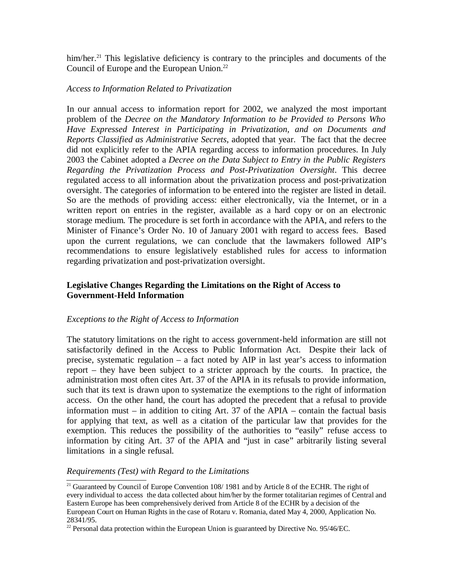him/her.<sup>21</sup> This legislative deficiency is contrary to the principles and documents of the Council of Europe and the European Union.<sup>22</sup>

#### *Access to Information Related to Privatization*

In our annual access to information report for 2002, we analyzed the most important problem of the *Decree on the Mandatory Information to be Provided to Persons Who Have Expressed Interest in Participating in Privatization, and on Documents and Reports Classified as Administrative Secrets*, adopted that year. Тhe fact that the decree did not explicitly refer to the APIA regarding access to information procedures. In July 2003 the Cabinet adopted a *Decree on the Data Subject to Entry in the Public Registers Regarding the Privatization Process and Post-Privatization Oversight*. This decree regulated access to all information about the privatization process and post-privatization oversight. The categories of information to be entered into the register are listed in detail. So are the methods of providing access: either electronically, via the Internet, or in a written report on entries in the register, available as a hard copy or on an electronic storage medium. The procedure is set forth in accordance with the APIA, and refers to the Minister of Finance's Order No. 10 of January 2001 with regard to access fees. Based upon the current regulations, we can conclude that the lawmakers followed AIP's recommendations to ensure legislatively established rules for access to information regarding privatization and post-privatization oversight.

# **Legislative Changes Regarding the Limitations on the Right of Access to Government-Held Information**

#### *Exceptions to the Right of Access to Information*

The statutory limitations on the right to access government-held information are still not satisfactorily defined in the Access to Public Information Act. Despite their lack of precise, systematic regulation – a fact noted by AIP in last year's access to information report – they have been subject to a stricter approach by the courts. In practice, the administration most often cites Art. 37 of the APIA in its refusals to provide information, such that its text is drawn upon to systematize the exemptions to the right of information access. On the other hand, the court has adopted the precedent that a refusal to provide information must – in addition to citing Art. 37 of the APIA – contain the factual basis for applying that text, as well as a citation of the particular law that provides for the exemption. This reduces the possibility of the authorities to "easily" refuse access to information by citing Art. 37 of the APIA and "just in case" arbitrarily listing several limitations in a single refusal.

#### *Requirements (Test) with Regard to the Limitations*

<sup>&</sup>lt;sup>21</sup> Guaranteed by Council of Europe Convention 108/ 1981 and by Article 8 of the ECHR. The right of every individual to access the data collected about him/her by the former totalitarian regimes of Central and Eastern Europe has been comprehensively derived from Article 8 of the ECHR by a decision of the European Court on Human Rights in the case of Rotaru v. Romania, dated May 4, 2000, Application No. 28341/95.

<sup>&</sup>lt;sup>22</sup> Personal data protection within the European Union is guaranteed by Directive No. 95/46/EC.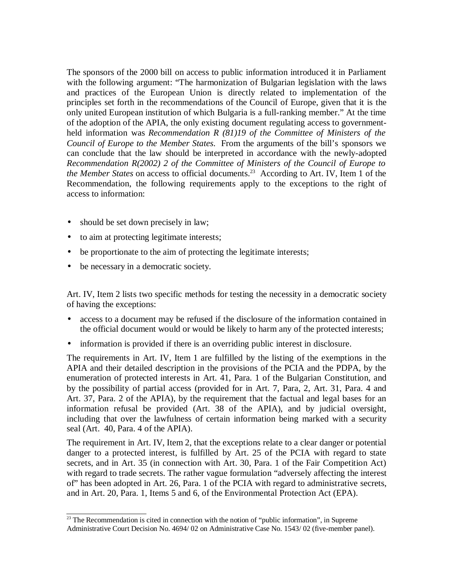The sponsors of the 2000 bill on access to public information introduced it in Parliament with the following argument: "The harmonization of Bulgarian legislation with the laws and practices of the European Union is directly related to implementation of the principles set forth in the recommendations of the Council of Europe, given that it is the only united European institution of which Bulgaria is a full-ranking member." At the time of the adoption of the APIA, the only existing document regulating access to governmentheld information was *Recommendation R (81)19 of the Committee of Ministers of the Council of Europe to the Member States*. From the arguments of the bill's sponsors we can conclude that the law should be interpreted in accordance with the newly-adopted *Recommendation R(2002) 2 of the Committee of Ministers of the Council of Europe to the Member States* on access to official documents.<sup>23</sup> According to Art. IV, Item 1 of the Recommendation, the following requirements apply to the exceptions to the right of access to information:

- should be set down precisely in law;
- to aim at protecting legitimate interests;
- be proportionate to the aim of protecting the legitimate interests;
- be necessary in a democratic society.

Art. IV, Item 2 lists two specific methods for testing the necessity in a democratic society of having the exceptions:

- access to a document may be refused if the disclosure of the information contained in the official document would or would be likely to harm any of the protected interests;
- information is provided if there is an overriding public interest in disclosure.

The requirements in Art. IV, Item 1 are fulfilled by the listing of the exemptions in the APIA and their detailed description in the provisions of the PCIA and the PDPA, by the enumeration of protected interests in Art. 41, Para. 1 of the Bulgarian Constitution, and by the possibility of partial access (provided for in Art. 7, Para, 2, Art. 31, Para. 4 and Art. 37, Para. 2 of the APIA), by the requirement that the factual and legal bases for an information refusal be provided (Art. 38 of the APIA), and by judicial oversight, including that over the lawfulness of certain information being marked with a security seal (Art. 40, Para. 4 of the APIA).

The requirement in Art. IV, Item 2, that the exceptions relate to a clear danger or potential danger to a protected interest, is fulfilled by Art. 25 of the PCIA with regard to state secrets, and in Art. 35 (in connection with Art. 30, Para. 1 of the Fair Competition Act) with regard to trade secrets. The rather vague formulation "adversely affecting the interest of" has been adopted in Art. 26, Para. 1 of the PCIA with regard to administrative secrets, and in Art. 20, Para. 1, Items 5 and 6, of the Environmental Protection Act (EPA).

 $\frac{23}{23}$  The Recommendation is cited in connection with the notion of "public information", in Supreme Administrative Court Decision No. 4694/ 02 on Administrative Case No. 1543/ 02 (five-member panel).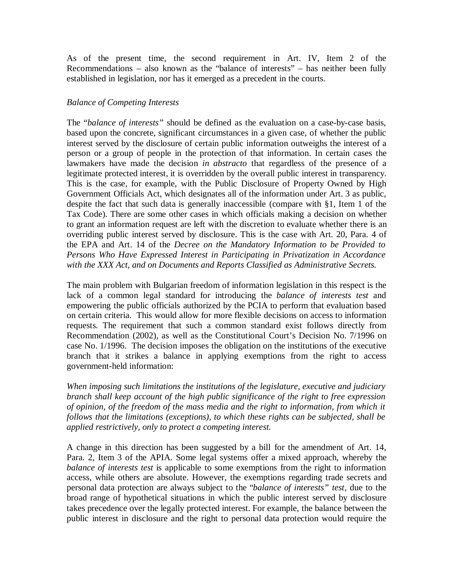As of the present time, the second requirement in Art. IV, Item 2 of the Recommendations – also known as the "balance of interests" – has neither been fully established in legislation, nor has it emerged as a precedent in the courts.

## *Balance of Competing Interests*

The "*balance of interests"* should be defined as the evaluation on a case-by-case basis, based upon the concrete, significant circumstances in a given case, of whether the public interest served by the disclosure of certain public information outweighs the interest of a person or a group of people in the protection of that information. In certain cases the lawmakers have made the decision *in abstracto* that regardless of the presence of a legitimate protected interest, it is overridden by the overall public interest in transparency. This is the case, for example, with the Public Disclosure of Property Owned by High Government Officials Act, which designates all of the information under Art. 3 as public, despite the fact that such data is generally inaccessible (compare with §1, Item 1 of the Tax Code). There are some other cases in which officials making a decision on whether to grant an information request are left with the discretion to evaluate whether there is an overriding public interest served by disclosure. This is the case with Art. 20, Para. 4 of the EPA and Art. 14 of the *Decree on the Mandatory Information to be Provided to Persons Who Have Expressed Interest in Participating in Privatization in Accordance with the XXX Act, and on Documents and Reports Classified as Administrative Secrets.*

The main problem with Bulgarian freedom of information legislation in this respect is the lack of a common legal standard for introducing the *balance of interests test* and empowering the public officials authorized by the PCIA to perform that evaluation based on certain criteria. This would allow for more flexible decisions on access to information requests. The requirement that such a common standard exist follows directly from Recommendation (2002), as well as the Constitutional Court's Decision No. 7/1996 on case No. 1/1996. The decision imposes the obligation on the institutions of the executive branch that it strikes a balance in applying exemptions from the right to access government-held information:

*When imposing such limitations the institutions of the legislature, executive and judiciary branch shall keep account of the high public significance of the right to free expression of opinion, of the freedom of the mass media and the right to information, from which it follows that the limitations (exceptions), to which these rights can be subjected, shall be applied restrictively, only to protect a competing interest.*

A change in this direction has been suggested by a bill for the amendment of Art. 14, Para. 2, Item 3 of the APIA. Some legal systems offer a mixed approach, whereby the *balance of interests test* is applicable to some exemptions from the right to information access, while others are absolute. However, the exemptions regarding trade secrets and personal data protection are always subject to the "*balance of interests" test*, due to the broad range of hypothetical situations in which the public interest served by disclosure takes precedence over the legally protected interest. For example, the balance between the public interest in disclosure and the right to personal data protection would require the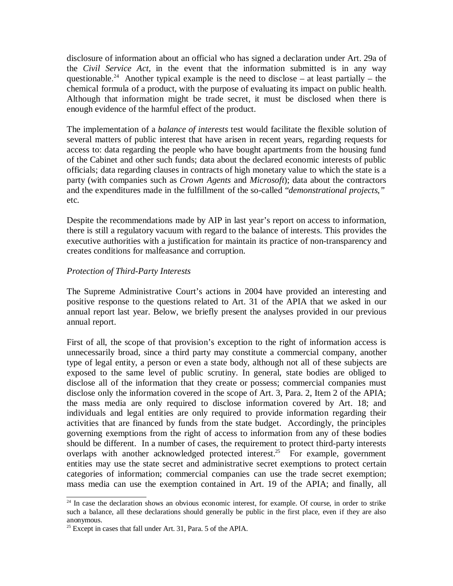disclosure of information about an official who has signed a declaration under Art. 29a of the *Civil Service Act,* in the event that the information submitted is in any way questionable.<sup>24</sup> Another typical example is the need to disclose – at least partially – the chemical formula of a product, with the purpose of evaluating its impact on public health. Although that information might be trade secret, it must be disclosed when there is enough evidence of the harmful effect of the product.

The implementation of a *balance of interests* test would facilitate the flexible solution of several matters of public interest that have arisen in recent years, regarding requests for access to: data regarding the people who have bought apartments from the housing fund of the Cabinet and other such funds; data about the declared economic interests of public officials; data regarding clauses in contracts of high monetary value to which the state is a party (with companies such as *Crown Agents* and *Microsoft*); data about the contractors and the expenditures made in the fulfillment of the so-called "*demonstrational projects,"* etc.

Despite the recommendations made by AIP in last year's report on access to information, there is still a regulatory vacuum with regard to the balance of interests. This provides the executive authorities with a justification for maintain its practice of non-transparency and creates conditions for malfeasance and corruption.

#### *Protection of Third-Party Interests*

The Supreme Administrative Court's actions in 2004 have provided an interesting and positive response to the questions related to Art. 31 of the APIA that we asked in our annual report last year. Below, we briefly present the analyses provided in our previous annual report.

First of all, the scope of that provision's exception to the right of information access is unnecessarily broad, since a third party may constitute a commercial company, another type of legal entity, a person or even a state body, although not all of these subjects are exposed to the same level of public scrutiny. In general, state bodies are obliged to disclose all of the information that they create or possess; commercial companies must disclose only the information covered in the scope of Art. 3, Para. 2, Item 2 of the APIA; the mass media are only required to disclose information covered by Art. 18; and individuals and legal entities are only required to provide information regarding their activities that are financed by funds from the state budget. Accordingly, the principles governing exemptions from the right of access to information from any of these bodies should be different. In a number of cases, the requirement to protect third-party interests overlaps with another acknowledged protected interest.<sup>25</sup> For example, government entities may use the state secret and administrative secret exemptions to protect certain categories of information; commercial companies can use the trade secret exemption; mass media can use the exemption contained in Art. 19 of the APIA; and finally, all

<sup>&</sup>lt;sup>24</sup> In case the declaration shows an obvious economic interest, for example. Of course, in order to strike such a balance, all these declarations should generally be public in the first place, even if they are also anonymous.

 $25$  Except in cases that fall under Art. 31, Para. 5 of the APIA.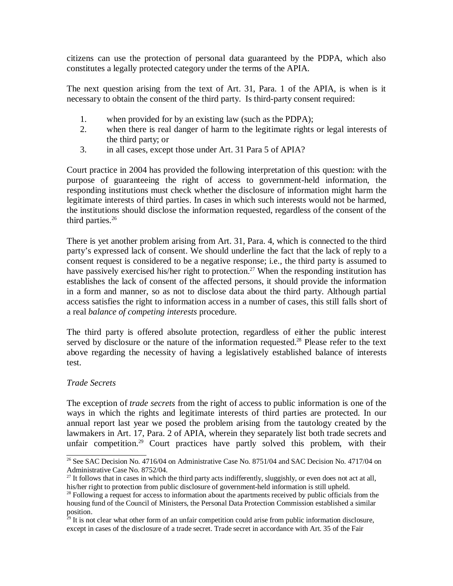citizens can use the protection of personal data guaranteed by the PDPA, which also constitutes a legally protected category under the terms of the APIA.

The next question arising from the text of Art. 31, Para. 1 of the APIA, is when is it necessary to obtain the consent of the third party. Is third-party consent required:

- 1. when provided for by an existing law (such as the PDPA);
- 2. when there is real danger of harm to the legitimate rights or legal interests of the third party; or
- 3. in all cases, except those under Art. 31 Para 5 of APIA?

Court practice in 2004 has provided the following interpretation of this question: with the purpose of guaranteeing the right of access to government-held information, the responding institutions must check whether the disclosure of information might harm the legitimate interests of third parties. In cases in which such interests would not be harmed, the institutions should disclose the information requested, regardless of the consent of the third parties. $26$ 

There is yet another problem arising from Art. 31, Para. 4, which is connected to the third party's expressed lack of consent. We should underline the fact that the lack of reply to a consent request is considered to be a negative response; i.e., the third party is assumed to have passively exercised his/her right to protection.<sup>27</sup> When the responding institution has establishes the lack of consent of the affected persons, it should provide the information in a form and manner, so as not to disclose data about the third party. Although partial access satisfies the right to information access in a number of cases, this still falls short of a real *balance of competing interests* procedure.

The third party is offered absolute protection, regardless of either the public interest served by disclosure or the nature of the information requested.<sup>28</sup> Please refer to the text above regarding the necessity of having a legislatively established balance of interests test.

# *Trade Secrets*

The exception of *trade secrets* from the right of access to public information is one of the ways in which the rights and legitimate interests of third parties are protected. In our annual report last year we posed the problem arising from the tautology created by the lawmakers in Art. 17, Para. 2 of APIA, wherein they separately list both trade secrets and unfair competition.<sup>29</sup> Court practices have partly solved this problem, with their

<sup>&</sup>lt;sup>26</sup> See SAC Decision No. 4716/04 on Administrative Case No. 8751/04 and SAC Decision No. 4717/04 on Administrative Case No. 8752/04.

<sup>&</sup>lt;sup>27</sup> It follows that in cases in which the third party acts indifferently, sluggishly, or even does not act at all, his/her right to protection from public disclosure of government-held information is still upheld.

<sup>&</sup>lt;sup>28</sup> Following a request for access to information about the apartments received by public officials from the housing fund of the Council of Ministers, the Personal Data Protection Commission established a similar position.

 $^{29}$  It is not clear what other form of an unfair competition could arise from public information disclosure, except in cases of the disclosure of a trade secret. Trade secret in accordance with Art. 35 of the Fair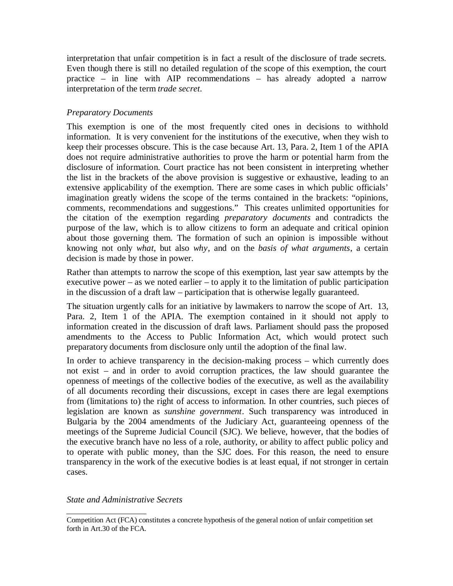interpretation that unfair competition is in fact a result of the disclosure of trade secrets. Even though there is still no detailed regulation of the scope of this exemption, the court practice – in line with AIP recommendations – has already adopted a narrow interpretation of the term *trade secret*.

# *Preparatory Documents*

This exemption is one of the most frequently cited ones in decisions to withhold information. It is very convenient for the institutions of the executive, when they wish to keep their processes obscure. This is the case because Art. 13, Para. 2, Item 1 of the APIA does not require administrative authorities to prove the harm or potential harm from the disclosure of information. Court practice has not been consistent in interpreting whether the list in the brackets of the above provision is suggestive or exhaustive, leading to an extensive applicability of the exemption. There are some cases in which public officials' imagination greatly widens the scope of the terms contained in the brackets: "opinions, comments, recommendations and suggestions." This creates unlimited opportunities for the citation of the exemption regarding *preparatory documents* and contradicts the purpose of the law, which is to allow citizens to form an adequate and critical opinion about those governing them. The formation of such an opinion is impossible without knowing not only *what*, but also *why*, and on the *basis of what arguments*, a certain decision is made by those in power.

Rather than attempts to narrow the scope of this exemption, last year saw attempts by the executive power – as we noted earlier – to apply it to the limitation of public participation in the discussion of a draft law – participation that is otherwise legally guaranteed.

The situation urgently calls for an initiative by lawmakers to narrow the scope of Art. 13, Para. 2, Item 1 of the APIA. The exemption contained in it should not apply to information created in the discussion of draft laws. Parliament should pass the proposed amendments to the Access to Public Information Act, which would protect such preparatory documents from disclosure only until the adoption of the final law.

In order to achieve transparency in the decision-making process – which currently does not exist – and in order to avoid corruption practices, the law should guarantee the openness of meetings of the collective bodies of the executive, as well as the availability of all documents recording their discussions, except in cases there are legal exemptions from (limitations to) the right of access to information. In other countries, such pieces of legislation are known as *sunshine government*. Such transparency was introduced in Bulgaria by the 2004 amendments of the Judiciary Act, guaranteeing openness of the meetings of the Supreme Judicial Council (SJC). We believe, however, that the bodies of the executive branch have no less of a role, authority, or ability to affect public policy and to operate with public money, than the SJC does. For this reason, the need to ensure transparency in the work of the executive bodies is at least equal, if not stronger in certain cases.

*State and Administrative Secrets*

Competition Act (FCA) constitutes a concrete hypothesis of the general notion of unfair competition set forth in Art.30 of the FCA.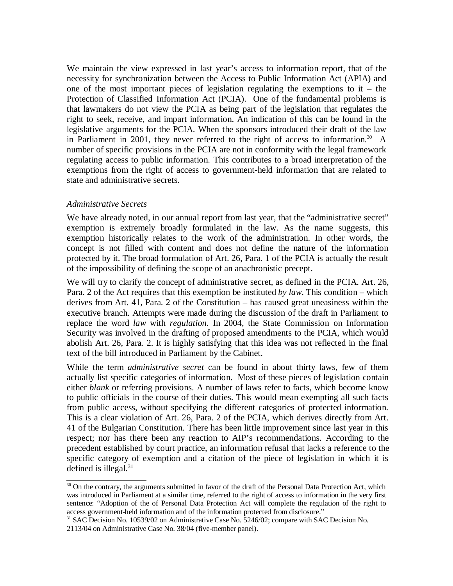We maintain the view expressed in last year's access to information report, that of the necessity for synchronization between the Access to Public Information Act (APIA) and one of the most important pieces of legislation regulating the exemptions to it – the Protection of Classified Information Act (PCIA). One of the fundamental problems is that lawmakers do not view the PCIA as being part of the legislation that regulates the right to seek, receive, and impart information. An indication of this can be found in the legislative arguments for the PCIA. When the sponsors introduced their draft of the law in Parliament in 2001, they never referred to the right of access to information.<sup>30</sup> A number of specific provisions in the PCIA are not in conformity with the legal framework regulating access to public information. This contributes to a broad interpretation of the exemptions from the right of access to government-held information that are related to state and administrative secrets.

#### *Administrative Secrets*

We have already noted, in our annual report from last year, that the "administrative secret" exemption is extremely broadly formulated in the law. As the name suggests, this exemption historically relates to the work of the administration. In other words, the concept is not filled with content and does not define the nature of the information protected by it. The broad formulation of Art. 26, Para. 1 of the PCIA is actually the result of the impossibility of defining the scope of an anachronistic precept.

We will try to clarify the concept of administrative secret, as defined in the PCIA. Art. 26, Para. 2 of the Act requires that this exemption be instituted *by law*. This condition – which derives from Art. 41, Para. 2 of the Constitution – has caused great uneasiness within the executive branch. Attempts were made during the discussion of the draft in Parliament to replace the word *law* with *regulation.* In 2004, the State Commission on Information Security was involved in the drafting of proposed amendments to the PCIA, which would abolish Art. 26, Para. 2. It is highly satisfying that this idea was not reflected in the final text of the bill introduced in Parliament by the Cabinet.

While the term *administrative secret* can be found in about thirty laws, few of them actually list specific categories of information. Most of these pieces of legislation contain either *blank* or referring provisions. A number of laws refer to facts, which become know to public officials in the course of their duties. This would mean exempting all such facts from public access, without specifying the different categories of protected information. This is a clear violation of Art. 26, Para. 2 of the PCIA, which derives directly from Art. 41 of the Bulgarian Constitution. There has been little improvement since last year in this respect; nor has there been any reaction to AIP's recommendations. According to the precedent established by court practice, an information refusal that lacks a reference to the specific category of exemption and a citation of the piece of legislation in which it is defined is illegal. $31$ 

<sup>&</sup>lt;sup>30</sup> On the contrary, the arguments submitted in favor of the draft of the Personal Data Protection Act, which was introduced in Parliament at a similar time, referred to the right of access to information in the very first sentence: "Adoption of the of Personal Data Protection Act will complete the regulation of the right to access government-held information and of the information protected from disclosure."

<sup>&</sup>lt;sup>31</sup> SAC Decision No. 10539/02 on Administrative Case No. 5246/02; compare with SAC Decision No.

<sup>2113/04</sup> on Administrative Case No. 38/04 (five-member panel).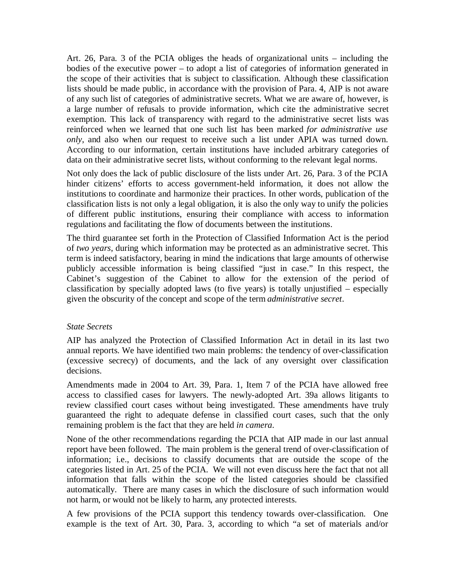Art. 26, Para. 3 of the PCIA obliges the heads of organizational units – including the bodies of the executive power – to adopt a list of categories of information generated in the scope of their activities that is subject to classification. Although these classification lists should be made public, in accordance with the provision of Para. 4, AIP is not aware of any such list of categories of administrative secrets. What we are aware of, however, is a large number of refusals to provide information, which cite the administrative secret exemption. This lack of transparency with regard to the administrative secret lists was reinforced when we learned that one such list has been marked *for administrative use only*, and also when our request to receive such a list under APIA was turned down. According to our information, certain institutions have included arbitrary categories of data on their administrative secret lists, without conforming to the relevant legal norms.

Not only does the lack of public disclosure of the lists under Art. 26, Para. 3 of the PCIA hinder citizens' efforts to access government-held information, it does not allow the institutions to coordinate and harmonize their practices. In other words, publication of the classification lists is not only a legal obligation, it is also the only way to unify the policies of different public institutions, ensuring their compliance with access to information regulations and facilitating the flow of documents between the institutions.

The third guarantee set forth in the Protection of Classified Information Act is the period of *two years*, during which information may be protected as an administrative secret. This term is indeed satisfactory, bearing in mind the indications that large amounts of otherwise publicly accessible information is being classified "just in case." In this respect, the Cabinet's suggestion of the Cabinet to allow for the extension of the period of classification by specially adopted laws (to five years) is totally unjustified – especially given the obscurity of the concept and scope of the term *administrative secret*.

#### *State Secrets*

AIP has analyzed the Protection of Classified Information Act in detail in its last two annual reports. We have identified two main problems: the tendency of over-classification (excessive secrecy) of documents, and the lack of any oversight over classification decisions.

Amendments made in 2004 to Art. 39, Para. 1, Item 7 of the PCIA have allowed free access to classified cases for lawyers. The newly-adopted Art. 39a allows litigants to review classified court cases without being investigated. These amendments have truly guaranteed the right to adequate defense in classified court cases, such that the only remaining problem is the fact that they are held *in camera*.

None of the other recommendations regarding the PCIA that AIP made in our last annual report have been followed. The main problem is the general trend of over-classification of information; i.e., decisions to classify documents that are outside the scope of the categories listed in Art. 25 of the PCIA. We will not even discuss here the fact that not all information that falls within the scope of the listed categories should be classified automatically. There are many cases in which the disclosure of such information would not harm, or would not be likely to harm, any protected interests.

A few provisions of the PCIA support this tendency towards over-classification. One example is the text of Art. 30, Para. 3, according to which "a set of materials and/or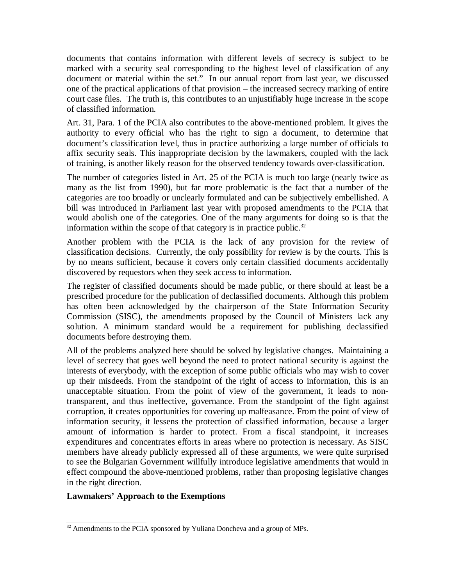documents that contains information with different levels of secrecy is subject to be marked with a security seal corresponding to the highest level of classification of any document or material within the set." In our annual report from last year, we discussed one of the practical applications of that provision – the increased secrecy marking of entire court case files. The truth is, this contributes to an unjustifiably huge increase in the scope of classified information.

Art. 31, Para. 1 of the PCIA also contributes to the above-mentioned problem. It gives the authority to every official who has the right to sign a document, to determine that document's classification level, thus in practice authorizing a large number of officials to affix security seals. This inappropriate decision by the lawmakers, coupled with the lack of training, is another likely reason for the observed tendency towards over-classification.

The number of categories listed in Art. 25 of the PCIA is much too large (nearly twice as many as the list from 1990), but far more problematic is the fact that a number of the categories are too broadly or unclearly formulated and can be subjectively embellished. A bill was introduced in Parliament last year with proposed amendments to the PCIA that would abolish one of the categories. One of the many arguments for doing so is that the information within the scope of that category is in practice public. $32$ 

Another problem with the PCIA is the lack of any provision for the review of classification decisions. Currently, the only possibility for review is by the courts. This is by no means sufficient, because it covers only certain classified documents accidentally discovered by requestors when they seek access to information.

The register of classified documents should be made public, or there should at least be a prescribed procedure for the publication of declassified documents. Although this problem has often been acknowledged by the chairperson of the State Information Security Commission (SISC), the amendments proposed by the Council of Ministers lack any solution. A minimum standard would be a requirement for publishing declassified documents before destroying them.

All of the problems analyzed here should be solved by legislative changes. Maintaining a level of secrecy that goes well beyond the need to protect national security is against the interests of everybody, with the exception of some public officials who may wish to cover up their misdeeds. From the standpoint of the right of access to information, this is an unacceptable situation. From the point of view of the government, it leads to nontransparent, and thus ineffective, governance. From the standpoint of the fight against corruption, it creates opportunities for covering up malfeasance. From the point of view of information security, it lessens the protection of classified information, because a larger amount of information is harder to protect. From a fiscal standpoint, it increases expenditures and concentrates efforts in areas where no protection is necessary. As SISC members have already publicly expressed all of these arguments, we were quite surprised to see the Bulgarian Government willfully introduce legislative amendments that would in effect compound the above-mentioned problems, rather than proposing legislative changes in the right direction.

# **Lawmakers' Approach to the Exemptions**

<sup>&</sup>lt;sup>32</sup> Amendments to the PCIA sponsored by Yuliana Doncheva and a group of MPs.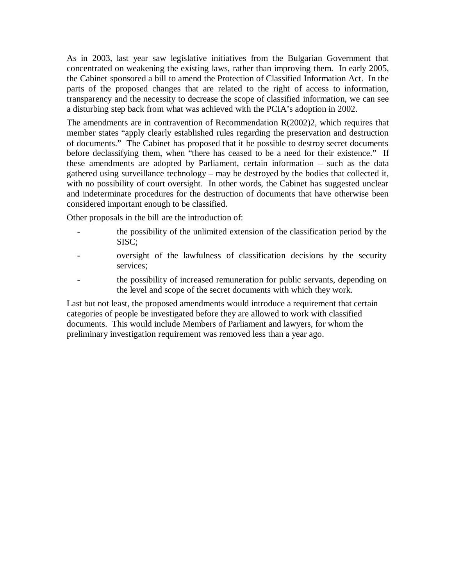As in 2003, last year saw legislative initiatives from the Bulgarian Government that concentrated on weakening the existing laws, rather than improving them. In early 2005, the Cabinet sponsored a bill to amend the Protection of Classified Information Act. In the parts of the proposed changes that are related to the right of access to information, transparency and the necessity to decrease the scope of classified information, we can see a disturbing step back from what was achieved with the PCIA's adoption in 2002.

The amendments are in contravention of Recommendation R(2002)2, which requires that member states "apply clearly established rules regarding the preservation and destruction of documents." The Cabinet has proposed that it be possible to destroy secret documents before declassifying them, when "there has ceased to be a need for their existence." If these amendments are adopted by Parliament, certain information – such as the data gathered using surveillance technology – may be destroyed by the bodies that collected it, with no possibility of court oversight. In other words, the Cabinet has suggested unclear and indeterminate procedures for the destruction of documents that have otherwise been considered important enough to be classified.

Other proposals in the bill are the introduction of:

- the possibility of the unlimited extension of the classification period by the SISC;
- oversight of the lawfulness of classification decisions by the security services;
	- the possibility of increased remuneration for public servants, depending on the level and scope of the secret documents with which they work.

Last but not least, the proposed amendments would introduce a requirement that certain categories of people be investigated before they are allowed to work with classified documents. This would include Members of Parliament and lawyers, for whom the preliminary investigation requirement was removed less than a year ago.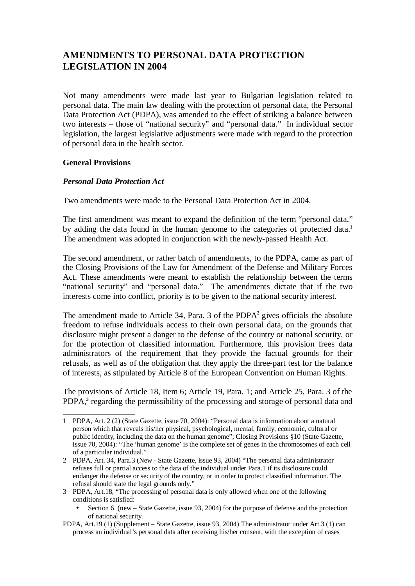# **AMENDMENTS TO PERSONAL DATA PROTECTION LEGISLATION IN 2004**

Not many amendments were made last year to Bulgarian legislation related to personal data. The main law dealing with the protection of personal data, the Personal Data Protection Act (PDPA), was amended to the effect of striking a balance between two interests – those of "national security" and "personal data." In individual sector legislation, the largest legislative adjustments were made with regard to the protection of personal data in the health sector.

## **General Provisions**

## *Personal Data Protection Act*

Two amendments were made to the Personal Data Protection Act in 2004.

The first amendment was meant to expand the definition of the term "personal data," by adding the data found in the human genome to the categories of protected data.**<sup>1</sup>** The amendment was adopted in conjunction with the newly-passed Health Act.

The second amendment, or rather batch of amendments, to the PDPA, came as part of the Closing Provisions of the Law for Amendment of the Defense and Military Forces Act. These amendments were meant to establish the relationship between the terms "national security" and "personal data." The amendments dictate that if the two interests come into conflict, priority is to be given to the national security interest.

The amendment made to Article 34, Para. 3 of the PDPA**<sup>2</sup>** gives officials the absolute freedom to refuse individuals access to their own personal data, on the grounds that disclosure might present a danger to the defense of the country or national security, or for the protection of classified information. Furthermore, this provision frees data administrators of the requirement that they provide the factual grounds for their refusals, as well as of the obligation that they apply the three-part test for the balance of interests, as stipulated by Article 8 of the European Convention on Human Rights.

The provisions of Article 18, Item 6; Article 19, Para. 1; and Article 25, Para. 3 of the PDPA,<sup>3</sup> regarding the permissibility of the processing and storage of personal data and

- 3 PDPA, Art.18, "The processing of personal data is only allowed when one of the following conditions is satisfied:
	- Section 6 (new State Gazette, issue 93, 2004) for the purpose of defense and the protection of national security.
- PDPA, Art.19 (1) (Supplement State Gazette, issue 93, 2004) The administrator under Art.3 (1) can process an individual's personal data after receiving his/her consent, with the exception of cases

<sup>1</sup> PDPA, Art. 2 (2) (State Gazette, issue 70, 2004): "Personal data is information about a natural person which that reveals his/her physical, psychological, mental, family, economic, cultural or public identity, including the data on the human genome"; Closing Provisions §10 (State Gazette, issue 70, 2004): "The 'human genome' is the complete set of genes in the chromosomes of each cell of a particular individual."

<sup>2</sup> PDPA, Art. 34, Para.3 (New - State Gazette, issue 93, 2004) "The personal data administrator refuses full or partial access to the data of the individual under Para.1 if its disclosure could endanger the defense or security of the country, or in order to protect classified information. The refusal should state the legal grounds only."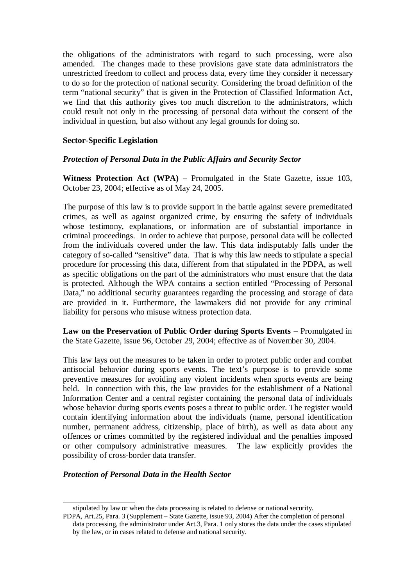the obligations of the administrators with regard to such processing, were also amended. The changes made to these provisions gave state data administrators the unrestricted freedom to collect and process data, every time they consider it necessary to do so for the protection of national security. Considering the broad definition of the term "national security" that is given in the Protection of Classified Information Act, we find that this authority gives too much discretion to the administrators, which could result not only in the processing of personal data without the consent of the individual in question, but also without any legal grounds for doing so.

### **Sector-Specific Legislation**

#### *Protection of Personal Data in the Public Affairs and Security Sector*

**Witness Protection Act (WPA) –** Promulgated in the State Gazette, issue 103, October 23, 2004; effective as of May 24, 2005.

The purpose of this law is to provide support in the battle against severe premeditated crimes, as well as against organized crime, by ensuring the safety of individuals whose testimony, explanations, or information are of substantial importance in criminal proceedings. In order to achieve that purpose, personal data will be collected from the individuals covered under the law. This data indisputably falls under the category of so-called "sensitive" data. That is why this law needs to stipulate a special procedure for processing this data, different from that stipulated in the PDPA, as well as specific obligations on the part of the administrators who must ensure that the data is protected. Although the WPA contains a section entitled "Processing of Personal Data," no additional security guarantees regarding the processing and storage of data are provided in it. Furthermore, the lawmakers did not provide for any criminal liability for persons who misuse witness protection data.

**Law on the Preservation of Public Order during Sports Events** – Promulgated in the State Gazette, issue 96, October 29, 2004; effective as of November 30, 2004.

This law lays out the measures to be taken in order to protect public order and combat antisocial behavior during sports events. The text's purpose is to provide some preventive measures for avoiding any violent incidents when sports events are being held. In connection with this, the law provides for the establishment of a National Information Center and a central register containing the personal data of individuals whose behavior during sports events poses a threat to public order. The register would contain identifying information about the individuals (name, personal identification number, permanent address, citizenship, place of birth), as well as data about any offences or crimes committed by the registered individual and the penalties imposed or other compulsory administrative measures. The law explicitly provides the possibility of cross-border data transfer.

#### *Protection of Personal Data in the Health Sector*

stipulated by law or when the data processing is related to defense or national security.

PDPA, Art.25, Para. 3 (Supplement – State Gazette, issue 93, 2004) After the completion of personal data processing, the administrator under Art.3, Para. 1 only stores the data under the cases stipulated by the law, or in cases related to defense and national security.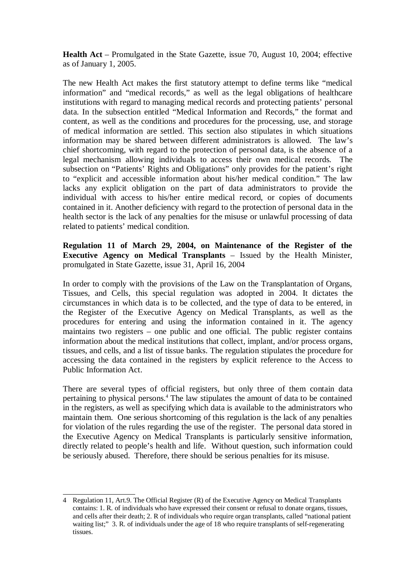**Health Act** – Promulgated in the State Gazette, issue 70, August 10, 2004; effective as of January 1, 2005.

The new Health Act makes the first statutory attempt to define terms like "medical information" and "medical records," as well as the legal obligations of healthcare institutions with regard to managing medical records and protecting patients' personal data. In the subsection entitled "Medical Information and Records," the format and content, as well as the conditions and procedures for the processing, use, and storage of medical information are settled. This section also stipulates in which situations information may be shared between different administrators is allowed. The law's chief shortcoming, with regard to the protection of personal data, is the absence of a legal mechanism allowing individuals to access their own medical records. The subsection on "Patients' Rights and Obligations" only provides for the patient's right to "explicit and accessible information about his/her medical condition." The law lacks any explicit obligation on the part of data administrators to provide the individual with access to his/her entire medical record, or copies of documents contained in it. Another deficiency with regard to the protection of personal data in the health sector is the lack of any penalties for the misuse or unlawful processing of data related to patients' medical condition.

**Regulation 11 of March 29, 2004, on Maintenance of the Register of the Executive Agency on Medical Transplants** – Issued by the Health Minister, promulgated in State Gazette, issue 31, April 16, 2004

In order to comply with the provisions of the Law on the Transplantation of Organs, Tissues, and Cells, this special regulation was adopted in 2004. It dictates the circumstances in which data is to be collected, and the type of data to be entered, in the Register of the Executive Agency on Medical Transplants, as well as the procedures for entering and using the information contained in it. The agency maintains two registers – one public and one official. The public register contains information about the medical institutions that collect, implant, and/or process organs, tissues, and cells, and a list of tissue banks. The regulation stipulates the procedure for accessing the data contained in the registers by explicit reference to the Access to Public Information Act.

There are several types of official registers, but only three of them contain data pertaining to physical persons.<sup>4</sup> The law stipulates the amount of data to be contained in the registers, as well as specifying which data is available to the administrators who maintain them. One serious shortcoming of this regulation is the lack of any penalties for violation of the rules regarding the use of the register. The personal data stored in the Executive Agency on Medical Transplants is particularly sensitive information, directly related to people's health and life. Without question, such information could be seriously abused. Therefore, there should be serious penalties for its misuse.

<sup>4</sup> Regulation 11, Art.9. The Official Register (R) of the Executive Agency on Medical Transplants contains: 1. R. of individuals who have expressed their consent or refusal to donate organs, tissues, and cells after their death; 2. R of individuals who require organ transplants, called "national patient waiting list;" 3. R. of individuals under the age of 18 who require transplants of self-regenerating tissues.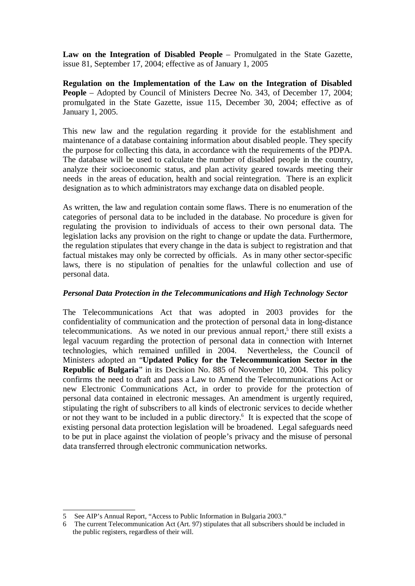**Law on the Integration of Disabled People** – Promulgated in the State Gazette, issue 81, September 17, 2004; effective as of January 1, 2005

**Regulation on the Implementation of the Law on the Integration of Disabled People** – Adopted by Council of Ministers Decree No. 343, of December 17, 2004; promulgated in the State Gazette, issue 115, December 30, 2004; effective as of January 1, 2005.

This new law and the regulation regarding it provide for the establishment and maintenance of a database containing information about disabled people. They specify the purpose for collecting this data, in accordance with the requirements of the PDPA. The database will be used to calculate the number of disabled people in the country, analyze their socioeconomic status, and plan activity geared towards meeting their needs in the areas of education, health and social reintegration. There is an explicit designation as to which administrators may exchange data on disabled people.

As written, the law and regulation contain some flaws. There is no enumeration of the categories of personal data to be included in the database. No procedure is given for regulating the provision to individuals of access to their own personal data. The legislation lacks any provision on the right to change or update the data. Furthermore, the regulation stipulates that every change in the data is subject to registration and that factual mistakes may only be corrected by officials. As in many other sector-specific laws, there is no stipulation of penalties for the unlawful collection and use of personal data.

#### *Personal Data Protection in the Telecommunications and High Technology Sector*

The Telecommunications Act that was adopted in 2003 provides for the confidentiality of communication and the protection of personal data in long-distance telecommunications. As we noted in our previous annual report,<sup>5</sup> there still exists a legal vacuum regarding the protection of personal data in connection with Internet technologies, which remained unfilled in 2004. Nevertheless, the Council of Ministers adopted an "**Updated Policy for the Telecommunication Sector in the Republic of Bulgaria**" in its Decision No. 885 of November 10, 2004. This policy confirms the need to draft and pass a Law to Amend the Telecommunications Act or new Electronic Communications Act, in order to provide for the protection of personal data contained in electronic messages. An amendment is urgently required, stipulating the right of subscribers to all kinds of electronic services to decide whether or not they want to be included in a public directory.<sup>6</sup> It is expected that the scope of existing personal data protection legislation will be broadened. Legal safeguards need to be put in place against the violation of people's privacy and the misuse of personal data transferred through electronic communication networks.

<sup>5</sup> See AIP's Annual Report, "Access to Public Information in Bulgaria 2003."

<sup>6</sup> The current Telecommunication Act (Art. 97) stipulates that all subscribers should be included in the public registers, regardless of their will.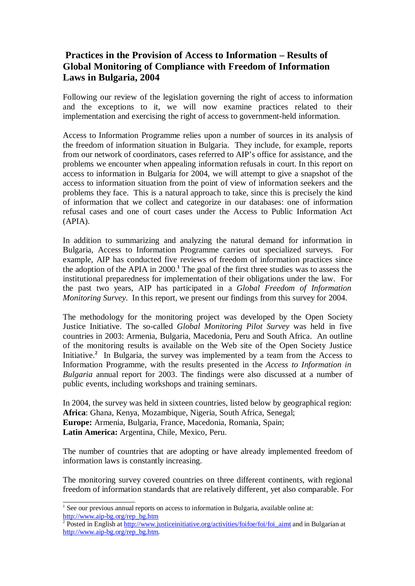# **Practices in the Provision of Access to Information – Results of Global Monitoring of Compliance with Freedom of Information Laws in Bulgaria, 2004**

Following our review of the legislation governing the right of access to information and the exceptions to it, we will now examine practices related to their implementation and exercising the right of access to government-held information.

Access to Information Programme relies upon a number of sources in its analysis of the freedom of information situation in Bulgaria. They include, for example, reports from our network of coordinators, cases referred to AIP's office for assistance, and the problems we encounter when appealing information refusals in court. In this report on access to information in Bulgaria for 2004, we will attempt to give a snapshot of the access to information situation from the point of view of information seekers and the problems they face. This is a natural approach to take, since this is precisely the kind of information that we collect and categorize in our databases: one of information refusal cases and one of court cases under the Access to Public Information Act (APIA).

In addition to summarizing and analyzing the natural demand for information in Bulgaria, Access to Information Programme carries out specialized surveys. For example, AIP has conducted five reviews of freedom of information practices since the adoption of the APIA in 2000.**<sup>1</sup>** The goal of the first three studies was to assess the institutional preparedness for implementation of their obligations under the law. For the past two years, AIP has participated in a *Global Freedom of Information Monitoring Survey*. In this report, we present our findings from this survey for 2004.

The methodology for the monitoring project was developed by the Open Society Justice Initiative. The so-called *Global Monitoring Pilot Survey* was held in five countries in 2003: Armenia, Bulgaria, Macedonia, Peru and South Africa. An outline of the monitoring results is available on the Web site of the Open Society Justice Initiative.**<sup>2</sup>** In Bulgaria, the survey was implemented by a team from the Access to Information Programme, with the results presented in the *Access to Information in Bulgaria* annual report for 2003. The findings were also discussed at a number of public events, including workshops and training seminars.

In 2004, the survey was held in sixteen countries, listed below by geographical region: **Africa**: Ghana, Kenya, Mozambique, Nigeria, South Africa, Senegal; **Europe:** Armenia, Bulgaria, France, Macedonia, Romania, Spain; **Latin America:** Argentina, Chile, Mexico, Peru.

The number of countries that are adopting or have already implemented freedom of information laws is constantly increasing.

The monitoring survey covered countries on three different continents, with regional freedom of information standards that are relatively different, yet also comparable. For

 $<sup>1</sup>$  See our previous annual reports on access to information in Bulgaria, available online at:</sup> [http://www.aip-bg.org/rep\\_bg.htm](http://www.aip-bg.org/rep_bg.htm)

<sup>&</sup>lt;sup>2</sup> Posted in English at [http://www.justiceinitiative.org/activities/foifoe/foi/foi\\_aimt](http://www.justiceinitiative.org/activities/foifoe/foi/foi_aimt) and in Bulgarian at [http://www.aip-bg.org/rep\\_bg.htm.](http://www.aip-bg.org/rep_bg.htm)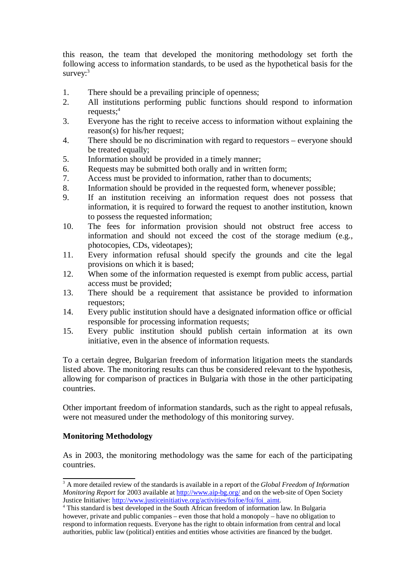this reason, the team that developed the monitoring methodology set forth the following access to information standards, to be used as the hypothetical basis for the  $survev$ :<sup>3</sup>

- 1. There should be a prevailing principle of openness;
- 2. All institutions performing public functions should respond to information requests;<sup>4</sup>
- 3. Everyone has the right to receive access to information without explaining the reason(s) for his/her request;
- 4. There should be no discrimination with regard to requestors everyone should be treated equally;
- 5. Information should be provided in a timely manner;
- 6. Requests may be submitted both orally and in written form;
- 7. Access must be provided to information, rather than to documents;
- 8. Information should be provided in the requested form, whenever possible;
- 9. If an institution receiving an information request does not possess that information, it is required to forward the request to another institution, known to possess the requested information;
- 10. The fees for information provision should not obstruct free access to information and should not exceed the cost of the storage medium (e.g., photocopies, CDs, videotapes);
- 11. Every information refusal should specify the grounds and cite the legal provisions on which it is based;
- 12. When some of the information requested is exempt from public access, partial access must be provided;
- 13. There should be a requirement that assistance be provided to information requestors;
- 14. Every public institution should have a designated information office or official responsible for processing information requests;
- 15. Every public institution should publish certain information at its own initiative, even in the absence of information requests.

To a certain degree, Bulgarian freedom of information litigation meets the standards listed above. The monitoring results can thus be considered relevant to the hypothesis, allowing for comparison of practices in Bulgaria with those in the other participating countries.

Other important freedom of information standards, such as the right to appeal refusals, were not measured under the methodology of this monitoring survey.

# **Monitoring Methodology**

As in 2003, the monitoring methodology was the same for each of the participating countries.

<sup>3</sup> A more detailed review of the standards is available in a report of the *Global Freedom of Information Monitoring Report* for 2003 available at<http://www.aip-bg.org/> and on the web-site of Open Society Justice Initiative: [http://www.justiceinitiative.org/activities/foifoe/foi/foi\\_aimt.](http://www.justiceinitiative.org/activities/foifoe/foi/foi_aimt)

<sup>4</sup> This standard is best developed in the South African freedom of information law. In Bulgaria however, private and public companies – even those that hold a monopoly – have no obligation to respond to information requests. Everyone has the right to obtain information from central and local authorities, public law (political) entities and entities whose activities are financed by the budget.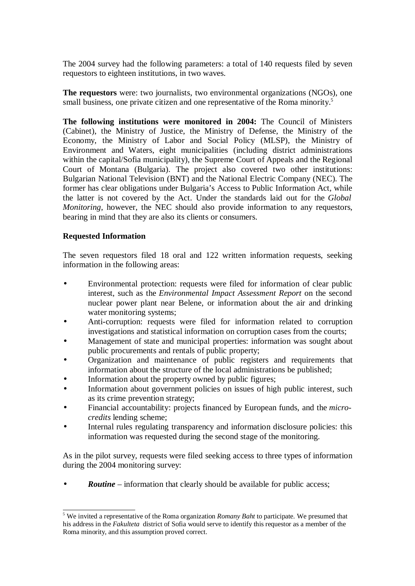The 2004 survey had the following parameters: a total of 140 requests filed by seven requestors to eighteen institutions, in two waves.

**The requestors** were: two journalists, two environmental organizations (NGOs), one small business, one private citizen and one representative of the Roma minority.<sup>5</sup>

**The following institutions were monitored in 2004:** The Council of Ministers (Cabinet), the Ministry of Justice, the Ministry of Defense, the Ministry of the Economy, the Ministry of Labor and Social Policy (MLSP), the Ministry of Environment and Waters, eight municipalities (including district administrations within the capital/Sofia municipality), the Supreme Court of Appeals and the Regional Court of Montana (Bulgaria). The project also covered two other institutions: Bulgarian National Television (BNT) and the National Electric Company (NEC). The former has clear obligations under Bulgaria's Access to Public Information Act, while the latter is not covered by the Act. Under the standards laid out for the *Global Monitoring*, however, the NEC should also provide information to any requestors, bearing in mind that they are also its clients or consumers.

## **Requested Information**

The seven requestors filed 18 oral and 122 written information requests, seeking information in the following areas:

- Environmental protection: requests were filed for information of clear public interest, such as the *Environmental Impact Assessment Report* on the second nuclear power plant near Belene, or information about the air and drinking water monitoring systems;
- Anti-corruption: requests were filed for information related to corruption investigations and statistical information on corruption cases from the courts;
- Management of state and municipal properties: information was sought about public procurements and rentals of public property;
- Organization and maintenance of public registers and requirements that information about the structure of the local administrations be published;
- Information about the property owned by public figures;
- Information about government policies on issues of high public interest, such as its crime prevention strategy;
- Financial accountability: projects financed by European funds, and the *microcredits* lending scheme;
- Internal rules regulating transparency and information disclosure policies: this information was requested during the second stage of the monitoring.

As in the pilot survey, requests were filed seeking access to three types of information during the 2004 monitoring survey:

• *Routine* – information that clearly should be available for public access;

<sup>5</sup> We invited a representative of the Roma organization *Romany Baht* to participate. We presumed that his address in the *Fakulteta* district of Sofia would serve to identify this requestor as a member of the Roma minority, and this assumption proved correct.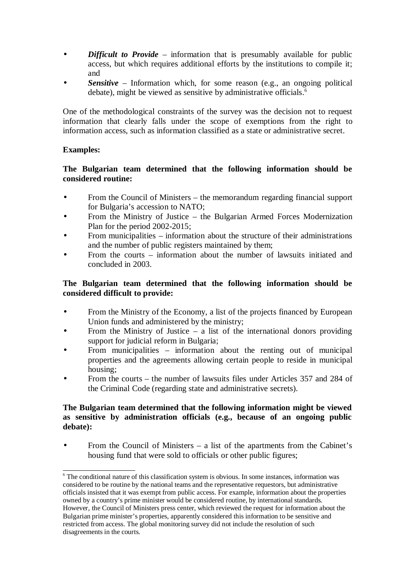- *Difficult to Provide* information that is presumably available for public access, but which requires additional efforts by the institutions to compile it; and
- **Sensitive** Information which, for some reason (e.g., an ongoing political debate), might be viewed as sensitive by administrative officials.<sup>6</sup>

One of the methodological constraints of the survey was the decision not to request information that clearly falls under the scope of exemptions from the right to information access, such as information classified as a state or administrative secret.

## **Examples:**

## **The Bulgarian team determined that the following information should be considered routine:**

- From the Council of Ministers the memorandum regarding financial support for Bulgaria's accession to NATO;
- From the Ministry of Justice the Bulgarian Armed Forces Modernization Plan for the period 2002-2015;
- From municipalities information about the structure of their administrations and the number of public registers maintained by them;
- From the courts information about the number of lawsuits initiated and concluded in 2003.

## **The Bulgarian team determined that the following information should be considered difficult to provide:**

- From the Ministry of the Economy, a list of the projects financed by European Union funds and administered by the ministry;
- From the Ministry of Justice  $-$  a list of the international donors providing support for judicial reform in Bulgaria;
- From municipalities information about the renting out of municipal properties and the agreements allowing certain people to reside in municipal housing;
- From the courts the number of lawsuits files under Articles 357 and 284 of the Criminal Code (regarding state and administrative secrets).

## **The Bulgarian team determined that the following information might be viewed as sensitive by administration officials (e.g., because of an ongoing public debate):**

From the Council of Ministers  $-$  a list of the apartments from the Cabinet's housing fund that were sold to officials or other public figures;

<sup>&</sup>lt;sup>6</sup> The conditional nature of this classification system is obvious. In some instances, information was considered to be routine by the national teams and the representative requestors, but administrative officials insisted that it was exempt from public access. For example, information about the properties owned by a country's prime minister would be considered routine, by international standards. However, the Council of Ministers press center, which reviewed the request for information about the Bulgarian prime minister's properties, apparently considered this information to be sensitive and restricted from access. The global monitoring survey did not include the resolution of such disagreements in the courts.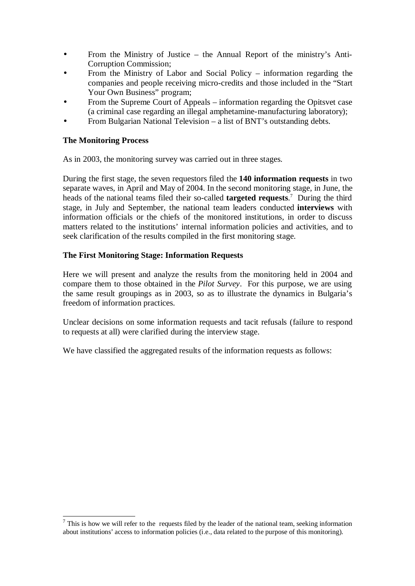- From the Ministry of Justice the Annual Report of the ministry's Anti-Corruption Commission;
- From the Ministry of Labor and Social Policy information regarding the companies and people receiving micro-credits and those included in the "Start Your Own Business" program;
- From the Supreme Court of Appeals information regarding the Opitsvet case (a criminal case regarding an illegal amphetamine-manufacturing laboratory);
- From Bulgarian National Television a list of BNT's outstanding debts.

## **The Monitoring Process**

As in 2003, the monitoring survey was carried out in three stages.

During the first stage, the seven requestors filed the **140 information requests** in two separate waves, in April and May of 2004. In the second monitoring stage, in June, the heads of the national teams filed their so-called **targeted requests**. <sup>7</sup> During the third stage, in July and September, the national team leaders conducted **interviews** with information officials or the chiefs of the monitored institutions, in order to discuss matters related to the institutions' internal information policies and activities, and to seek clarification of the results compiled in the first monitoring stage.

## **The First Monitoring Stage: Information Requests**

Here we will present and analyze the results from the monitoring held in 2004 and compare them to those obtained in the *Pilot Survey*. For this purpose, we are using the same result groupings as in 2003, so as to illustrate the dynamics in Bulgaria's freedom of information practices.

Unclear decisions on some information requests and tacit refusals (failure to respond to requests at all) were clarified during the interview stage.

We have classified the aggregated results of the information requests as follows:

 $<sup>7</sup>$  This is how we will refer to the requests filed by the leader of the national team, seeking information</sup> about institutions' access to information policies (i.e., data related to the purpose of this monitoring).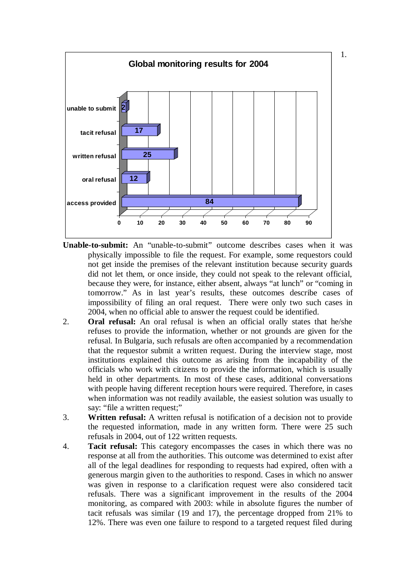

- **Unable-to-submit:** An "unable-to-submit" outcome describes cases when it was physically impossible to file the request. For example, some requestors could not get inside the premises of the relevant institution because security guards did not let them, or once inside, they could not speak to the relevant official, because they were, for instance, either absent, always "at lunch" or "coming in tomorrow." As in last year's results, these outcomes describe cases of impossibility of filing an oral request. There were only two such cases in 2004, when no official able to answer the request could be identified.
- 2. **Oral refusal:** An oral refusal is when an official orally states that he/she refuses to provide the information, whether or not grounds are given for the refusal. In Bulgaria, such refusals are often accompanied by a recommendation that the requestor submit a written request. During the interview stage, most institutions explained this outcome as arising from the incapability of the officials who work with citizens to provide the information, which is usually held in other departments. In most of these cases, additional conversations with people having different reception hours were required. Therefore, in cases when information was not readily available, the easiest solution was usually to say: "file a written request;"
- 3. **Written refusal:** A written refusal is notification of a decision not to provide the requested information, made in any written form. There were 25 such refusals in 2004, out of 122 written requests.
- 4. **Tacit refusal:** This category encompasses the cases in which there was no response at all from the authorities. This outcome was determined to exist after all of the legal deadlines for responding to requests had expired, often with a generous margin given to the authorities to respond. Cases in which no answer was given in response to a clarification request were also considered tacit refusals. There was a significant improvement in the results of the 2004 monitoring, as compared with 2003: while in absolute figures the number of tacit refusals was similar (19 and 17), the percentage dropped from 21% to 12%. There was even one failure to respond to a targeted request filed during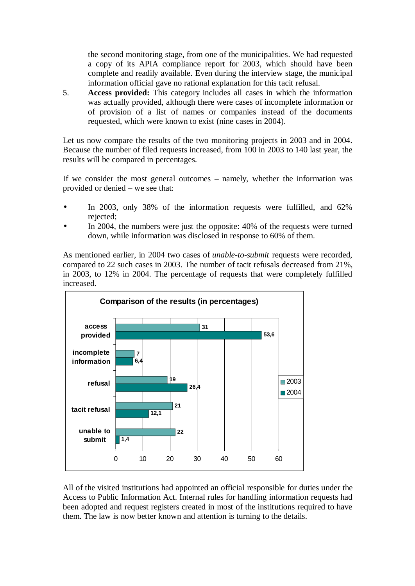the second monitoring stage, from one of the municipalities. We had requested a copy of its APIA compliance report for 2003, which should have been complete and readily available. Even during the interview stage, the municipal information official gave no rational explanation for this tacit refusal.

5. **Access provided:** This category includes all cases in which the information was actually provided, although there were cases of incomplete information or of provision of a list of names or companies instead of the documents requested, which were known to exist (nine cases in 2004).

Let us now compare the results of the two monitoring projects in 2003 and in 2004. Because the number of filed requests increased, from 100 in 2003 to 140 last year, the results will be compared in percentages.

If we consider the most general outcomes – namely, whether the information was provided or denied – we see that:

- In 2003, only 38% of the information requests were fulfilled, and 62% rejected;
- In 2004, the numbers were just the opposite: 40% of the requests were turned down, while information was disclosed in response to 60% of them.

As mentioned earlier, in 2004 two cases of *unable-to-submit* requests were recorded, compared to 22 such cases in 2003. The number of tacit refusals decreased from 21%, in 2003, to 12% in 2004. The percentage of requests that were completely fulfilled increased.



All of the visited institutions had appointed an official responsible for duties under the Access to Public Information Act. Internal rules for handling information requests had been adopted and request registers created in most of the institutions required to have them. The law is now better known and attention is turning to the details.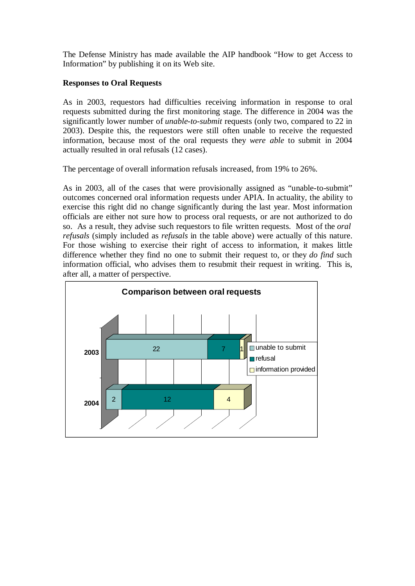The Defense Ministry has made available the AIP handbook "How to get Access to Information" by publishing it on its Web site.

#### **Responses to Oral Requests**

As in 2003, requestors had difficulties receiving information in response to oral requests submitted during the first monitoring stage. The difference in 2004 was the significantly lower number of *unable-to-submit* requests (only two, compared to 22 in 2003). Despite this, the requestors were still often unable to receive the requested information, because most of the oral requests they *were able* to submit in 2004 actually resulted in oral refusals (12 cases).

The percentage of overall information refusals increased, from 19% to 26%.

As in 2003, all of the cases that were provisionally assigned as "unable-to-submit" outcomes concerned oral information requests under APIA. In actuality, the ability to exercise this right did no change significantly during the last year. Most information officials are either not sure how to process oral requests, or are not authorized to do so. As a result, they advise such requestors to file written requests. Most of the *oral refusals* (simply included as *refusals* in the table above) were actually of this nature. For those wishing to exercise their right of access to information, it makes little difference whether they find no one to submit their request to, or they *do find* such information official, who advises them to resubmit their request in writing. This is, after all, a matter of perspective.

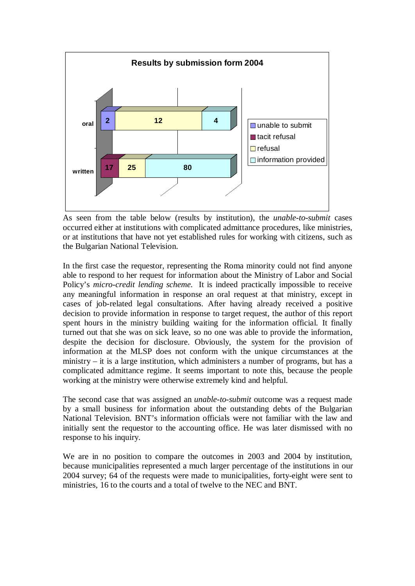

As seen from the table below (results by institution), the *unable-to-submit* cases occurred either at institutions with complicated admittance procedures, like ministries, or at institutions that have not yet established rules for working with citizens, such as the Bulgarian National Television.

In the first case the requestor, representing the Roma minority could not find anyone able to respond to her request for information about the Ministry of Labor and Social Policy's *micro-credit lending scheme*. It is indeed practically impossible to receive any meaningful information in response an oral request at that ministry, except in cases of job-related legal consultations. After having already received a positive decision to provide information in response to target request, the author of this report spent hours in the ministry building waiting for the information official. It finally turned out that she was on sick leave, so no one was able to provide the information, despite the decision for disclosure. Obviously, the system for the provision of information at the MLSP does not conform with the unique circumstances at the ministry – it is a large institution, which administers a number of programs, but has a complicated admittance regime. It seems important to note this, because the people working at the ministry were otherwise extremely kind and helpful.

The second case that was assigned an *unable-to-submit* outcome was a request made by a small business for information about the outstanding debts of the Bulgarian National Television. BNT's information officials were not familiar with the law and initially sent the requestor to the accounting office. He was later dismissed with no response to his inquiry.

We are in no position to compare the outcomes in 2003 and 2004 by institution, because municipalities represented a much larger percentage of the institutions in our 2004 survey; 64 of the requests were made to municipalities, forty-eight were sent to ministries, 16 to the courts and a total of twelve to the NEC and BNT.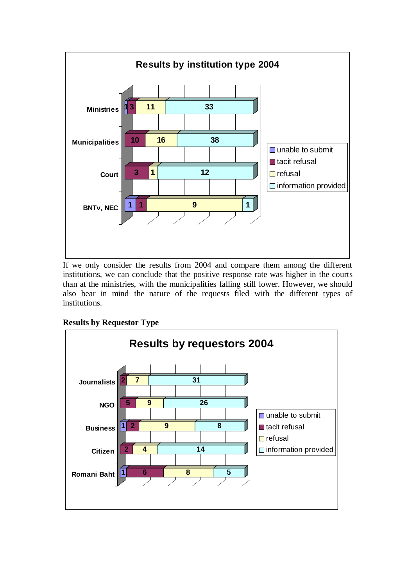

If we only consider the results from 2004 and compare them among the different institutions, we can conclude that the positive response rate was higher in the courts than at the ministries, with the municipalities falling still lower. However, we should also bear in mind the nature of the requests filed with the different types of institutions.

## **Results by Requestor Type**

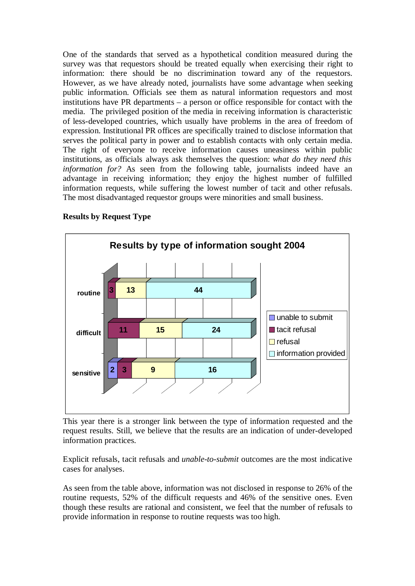One of the standards that served as a hypothetical condition measured during the survey was that requestors should be treated equally when exercising their right to information: there should be no discrimination toward any of the requestors. However, as we have already noted, journalists have some advantage when seeking public information. Officials see them as natural information requestors and most institutions have PR departments – a person or office responsible for contact with the media. The privileged position of the media in receiving information is characteristic of less-developed countries, which usually have problems in the area of freedom of expression. Institutional PR offices are specifically trained to disclose information that serves the political party in power and to establish contacts with only certain media. The right of everyone to receive information causes uneasiness within public institutions, as officials always ask themselves the question: *what do they need this information for?* As seen from the following table, journalists indeed have an advantage in receiving information; they enjoy the highest number of fulfilled information requests, while suffering the lowest number of tacit and other refusals. The most disadvantaged requestor groups were minorities and small business.



**Results by Request Type**

This year there is a stronger link between the type of information requested and the request results. Still, we believe that the results are an indication of under-developed information practices.

Explicit refusals, tacit refusals and *unable-to-submit* outcomes are the most indicative cases for analyses.

As seen from the table above, information was not disclosed in response to 26% of the routine requests, 52% of the difficult requests and 46% of the sensitive ones. Even though these results are rational and consistent, we feel that the number of refusals to provide information in response to routine requests was too high.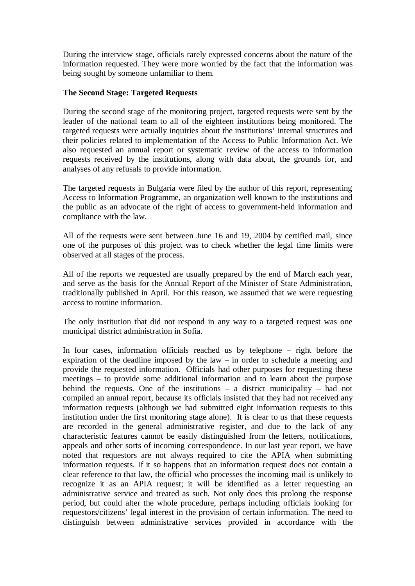During the interview stage, officials rarely expressed concerns about the nature of the information requested. They were more worried by the fact that the information was being sought by someone unfamiliar to them.

#### **The Second Stage: Targeted Requests**

During the second stage of the monitoring project, targeted requests were sent by the leader of the national team to all of the eighteen institutions being monitored. The targeted requests were actually inquiries about the institutions' internal structures and their policies related to implementation of the Access to Public Information Act. We also requested an annual report or systematic review of the access to information requests received by the institutions, along with data about, the grounds for, and analyses of any refusals to provide information.

The targeted requests in Bulgaria were filed by the author of this report, representing Access to Information Programme, an organization well known to the institutions and the public as an advocate of the right of access to government-held information and compliance with the law.

All of the requests were sent between June 16 and 19, 2004 by certified mail, since one of the purposes of this project was to check whether the legal time limits were observed at all stages of the process.

All of the reports we requested are usually prepared by the end of March each year, and serve as the basis for the Annual Report of the Minister of State Administration, traditionally published in April. For this reason, we assumed that we were requesting access to routine information.

The only institution that did not respond in any way to a targeted request was one municipal district administration in Sofia.

In four cases, information officials reached us by telephone – right before the expiration of the deadline imposed by the law – in order to schedule a meeting and provide the requested information. Officials had other purposes for requesting these meetings – to provide some additional information and to learn about the purpose behind the requests. One of the institutions – a district municipality – had not compiled an annual report, because its officials insisted that they had not received any information requests (although we had submitted eight information requests to this institution under the first monitoring stage alone). It is clear to us that these requests are recorded in the general administrative register, and due to the lack of any characteristic features cannot be easily distinguished from the letters, notifications, appeals and other sorts of incoming correspondence. In our last year report, we have noted that requestors are not always required to cite the APIA when submitting information requests. If it so happens that an information request does not contain a clear reference to that law, the official who processes the incoming mail is unlikely to recognize it as an APIA request; it will be identified as a letter requesting an administrative service and treated as such. Not only does this prolong the response period, but could alter the whole procedure, perhaps including officials looking for requestors/citizens' legal interest in the provision of certain information. The need to distinguish between administrative services provided in accordance with the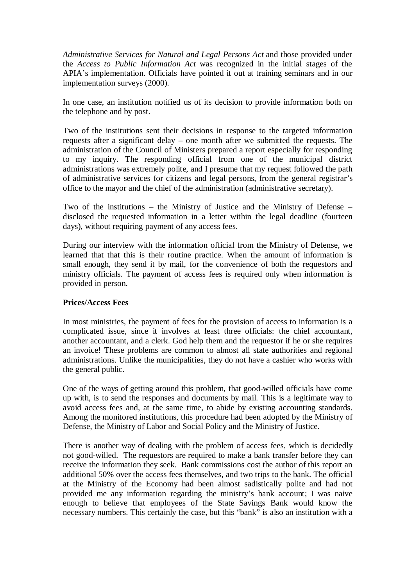*Administrative Services for Natural and Legal Persons Act* and those provided under the *Access to Public Information Act* was recognized in the initial stages of the APIA's implementation. Officials have pointed it out at training seminars and in our implementation surveys (2000).

In one case, an institution notified us of its decision to provide information both on the telephone and by post.

Two of the institutions sent their decisions in response to the targeted information requests after a significant delay – one month after we submitted the requests. The administration of the Council of Ministers prepared a report especially for responding to my inquiry. The responding official from one of the municipal district administrations was extremely polite, and I presume that my request followed the path of administrative services for citizens and legal persons, from the general registrar's office to the mayor and the chief of the administration (administrative secretary).

Two of the institutions – the Ministry of Justice and the Ministry of Defense – disclosed the requested information in a letter within the legal deadline (fourteen days), without requiring payment of any access fees.

During our interview with the information official from the Ministry of Defense, we learned that that this is their routine practice. When the amount of information is small enough, they send it by mail, for the convenience of both the requestors and ministry officials. The payment of access fees is required only when information is provided in person.

#### **Prices/Access Fees**

In most ministries, the payment of fees for the provision of access to information is a complicated issue, since it involves at least three officials: the chief accountant, another accountant, and a clerk. God help them and the requestor if he or she requires an invoice! These problems are common to almost all state authorities and regional administrations. Unlike the municipalities, they do not have a cashier who works with the general public.

One of the ways of getting around this problem, that good-willed officials have come up with, is to send the responses and documents by mail. This is a legitimate way to avoid access fees and, at the same time, to abide by existing accounting standards. Among the monitored institutions, this procedure had been adopted by the Ministry of Defense, the Ministry of Labor and Social Policy and the Ministry of Justice.

There is another way of dealing with the problem of access fees, which is decidedly not good-willed. The requestors are required to make a bank transfer before they can receive the information they seek. Bank commissions cost the author of this report an additional 50% over the access fees themselves, and two trips to the bank. The official at the Ministry of the Economy had been almost sadistically polite and had not provided me any information regarding the ministry's bank account; I was naive enough to believe that employees of the State Savings Bank would know the necessary numbers. This certainly the case, but this "bank" is also an institution with a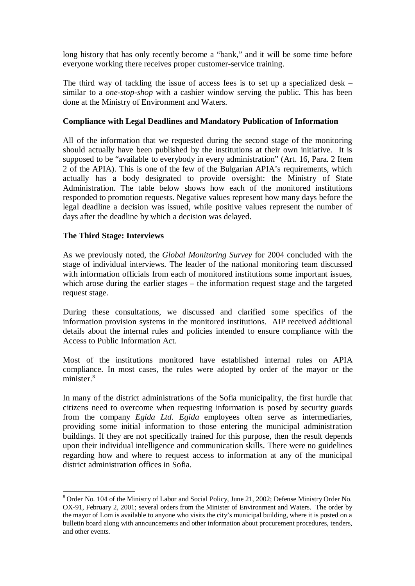long history that has only recently become a "bank," and it will be some time before everyone working there receives proper customer-service training.

The third way of tackling the issue of access fees is to set up a specialized desk – similar to a *one-stop-shop* with a cashier window serving the public. This has been done at the Ministry of Environment and Waters.

## **Compliance with Legal Deadlines and Mandatory Publication of Information**

All of the information that we requested during the second stage of the monitoring should actually have been published by the institutions at their own initiative. It is supposed to be "available to everybody in every administration" (Art. 16, Para. 2 Item 2 of the APIA). This is one of the few of the Bulgarian APIA's requirements, which actually has a body designated to provide oversight: the Ministry of State Administration. The table below shows how each of the monitored institutions responded to promotion requests. Negative values represent how many days before the legal deadline a decision was issued, while positive values represent the number of days after the deadline by which a decision was delayed.

## **The Third Stage: Interviews**

As we previously noted, the *Global Monitoring Survey* for 2004 concluded with the stage of individual interviews. The leader of the national monitoring team discussed with information officials from each of monitored institutions some important issues, which arose during the earlier stages – the information request stage and the targeted request stage.

During these consultations, we discussed and clarified some specifics of the information provision systems in the monitored institutions. AIP received additional details about the internal rules and policies intended to ensure compliance with the Access to Public Information Act.

Most of the institutions monitored have established internal rules on APIA compliance. In most cases, the rules were adopted by order of the mayor or the minister.<sup>8</sup>

In many of the district administrations of the Sofia municipality, the first hurdle that citizens need to overcome when requesting information is posed by security guards from the company *Egida Ltd. Egida* employees often serve as intermediaries, providing some initial information to those entering the municipal administration buildings. If they are not specifically trained for this purpose, then the result depends upon their individual intelligence and communication skills. There were no guidelines regarding how and where to request access to information at any of the municipal district administration offices in Sofia.

<sup>&</sup>lt;sup>8</sup> Order No. 104 of the Ministry of Labor and Social Policy, June 21, 2002; Defense Ministry Order No. OX-91, February 2, 2001; several orders from the Minister of Environment and Waters. The order by the mayor of Lom is available to anyone who visits the city's municipal building, where it is posted on a bulletin board along with announcements and other information about procurement procedures, tenders, and other events.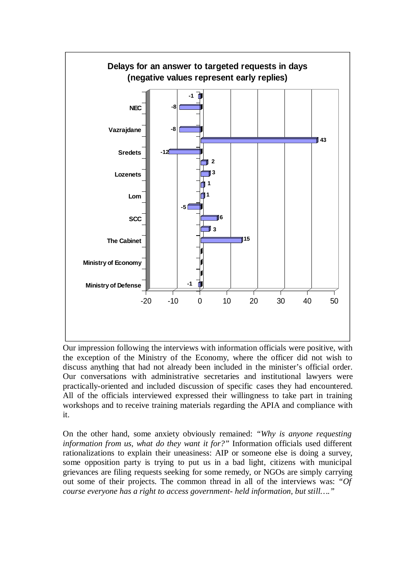

Our impression following the interviews with information officials were positive, with the exception of the Ministry of the Economy, where the officer did not wish to discuss anything that had not already been included in the minister's official order. Our conversations with administrative secretaries and institutional lawyers were practically-oriented and included discussion of specific cases they had encountered. All of the officials interviewed expressed their willingness to take part in training workshops and to receive training materials regarding the APIA and compliance with it.

On the other hand, some anxiety obviously remained: *"Why is anyone requesting information from us, what do they want it for?"* Information officials used different rationalizations to explain their uneasiness: AIP or someone else is doing a survey, some opposition party is trying to put us in a bad light, citizens with municipal grievances are filing requests seeking for some remedy, or NGOs are simply carrying out some of their projects. The common thread in all of the interviews was: *"Of course everyone has a right to access government- held information, but still…."*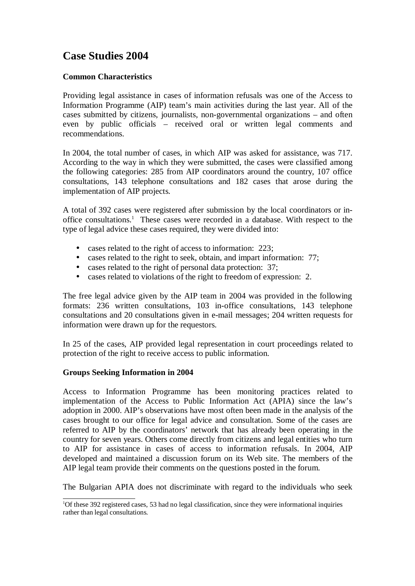# **Case Studies 2004**

## **Common Characteristics**

Providing legal assistance in cases of information refusals was one of the Access to Information Programme (AIP) team's main activities during the last year. All of the cases submitted by citizens, journalists, non-governmental organizations – and often even by public officials – received oral or written legal comments and recommendations.

In 2004, the total number of cases, in which AIP was asked for assistance, was 717. According to the way in which they were submitted, the cases were classified among the following categories: 285 from AIP coordinators around the country, 107 office consultations, 143 telephone consultations and 182 cases that arose during the implementation of AIP projects.

A total of 392 cases were registered after submission by the local coordinators or inoffice consultations.<sup>1</sup> These cases were recorded in a database. With respect to the type of legal advice these cases required, they were divided into:

- cases related to the right of access to information: 223;
- cases related to the right to seek, obtain, and impart information: 77;
- cases related to the right of personal data protection: 37;
- cases related to violations of the right to freedom of expression: 2.

The free legal advice given by the AIP team in 2004 was provided in the following formats: 236 written consultations, 103 in-office consultations, 143 telephone consultations and 20 consultations given in e-mail messages; 204 written requests for information were drawn up for the requestors.

In 25 of the cases, AIP provided legal representation in court proceedings related to protection of the right to receive access to public information.

#### **Groups Seeking Information in 2004**

Access to Information Programme has been monitoring practices related to implementation of the Access to Public Information Act (APIA) since the law's adoption in 2000. AIP's observations have most often been made in the analysis of the cases brought to our office for legal advice and consultation. Some of the cases are referred to AIP by the coordinators' network that has already been operating in the country for seven years. Others come directly from citizens and legal entities who turn to AIP for assistance in cases of access to information refusals. In 2004, AIP developed and maintained a discussion forum on its Web site. The members of the AIP legal team provide their comments on the questions posted in the forum.

The Bulgarian APIA does not discriminate with regard to the individuals who seek

<sup>&</sup>lt;sup>1</sup>Of these 392 registered cases, 53 had no legal classification, since they were informational inquiries rather than legal consultations.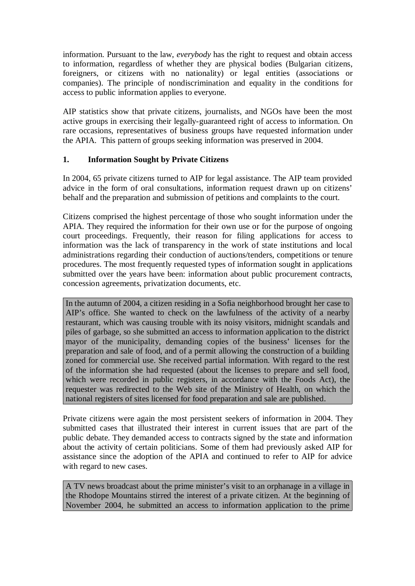information. Pursuant to the law, *everybody* has the right to request and obtain access to information, regardless of whether they are physical bodies (Bulgarian citizens, foreigners, or citizens with no nationality) or legal entities (associations or companies). The principle of nondiscrimination and equality in the conditions for access to public information applies to everyone.

AIP statistics show that private citizens, journalists, and NGOs have been the most active groups in exercising their legally-guaranteed right of access to information. On rare occasions, representatives of business groups have requested information under the APIA. This pattern of groups seeking information was preserved in 2004.

## **1. Information Sought by Private Citizens**

In 2004, 65 private citizens turned to AIP for legal assistance. The AIP team provided advice in the form of oral consultations, information request drawn up on citizens' behalf and the preparation and submission of petitions and complaints to the court.

Citizens comprised the highest percentage of those who sought information under the APIA. They required the information for their own use or for the purpose of ongoing court proceedings. Frequently, their reason for filing applications for access to information was the lack of transparency in the work of state institutions and local administrations regarding their conduction of auctions/tenders, competitions or tenure procedures. The most frequently requested types of information sought in applications submitted over the years have been: information about public procurement contracts, concession agreements, privatization documents, etc.

In the autumn of 2004, a citizen residing in a Sofia neighborhood brought her case to AIP's office. She wanted to check on the lawfulness of the activity of a nearby restaurant, which was causing trouble with its noisy visitors, midnight scandals and piles of garbage, so she submitted an access to information application to the district mayor of the municipality, demanding copies of the business' licenses for the preparation and sale of food, and of a permit allowing the construction of a building zoned for commercial use. She received partial information. With regard to the rest of the information she had requested (about the licenses to prepare and sell food, which were recorded in public registers, in accordance with the Foods Act), the requester was redirected to the Web site of the Ministry of Health, on which the national registers of sites licensed for food preparation and sale are published.

Private citizens were again the most persistent seekers of information in 2004. They submitted cases that illustrated their interest in current issues that are part of the public debate. They demanded access to contracts signed by the state and information about the activity of certain politicians. Some of them had previously asked AIP for assistance since the adoption of the APIA and continued to refer to AIP for advice with regard to new cases.

A TV news broadcast about the prime minister's visit to an orphanage in a village in the Rhodope Mountains stirred the interest of a private citizen. At the beginning of November 2004, he submitted an access to information application to the prime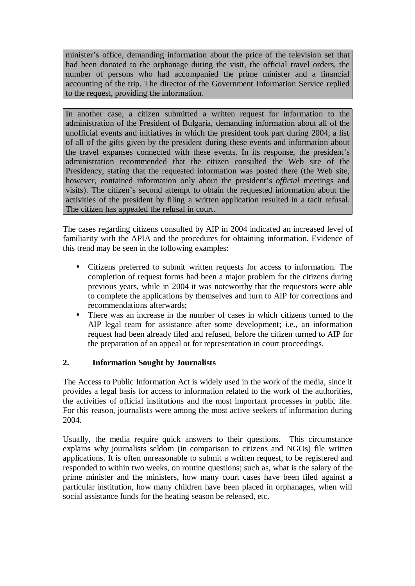minister's office, demanding information about the price of the television set that had been donated to the orphanage during the visit, the official travel orders, the number of persons who had accompanied the prime minister and a financial accounting of the trip. The director of the Government Information Service replied to the request, providing the information.

In another case, a citizen submitted a written request for information to the administration of the President of Bulgaria, demanding information about all of the unofficial events and initiatives in which the president took part during 2004, a list of all of the gifts given by the president during these events and information about the travel expanses connected with these events. In its response, the president's administration recommended that the citizen consulted the Web site of the Presidency, stating that the requested information was posted there (the Web site, however, contained information only about the president's *official* meetings and visits). The citizen's second attempt to obtain the requested information about the activities of the president by filing a written application resulted in a tacit refusal. The citizen has appealed the refusal in court.

The cases regarding citizens consulted by AIP in 2004 indicated an increased level of familiarity with the APIA and the procedures for obtaining information. Evidence of this trend may be seen in the following examples:

- Citizens preferred to submit written requests for access to information. The completion of request forms had been a major problem for the citizens during previous years, while in 2004 it was noteworthy that the requestors were able to complete the applications by themselves and turn to AIP for corrections and recommendations afterwards;
- There was an increase in the number of cases in which citizens turned to the AIP legal team for assistance after some development; i.e., an information request had been already filed and refused, before the citizen turned to AIP for the preparation of an appeal or for representation in court proceedings.

## **2. Information Sought by Journalists**

The Access to Public Information Act is widely used in the work of the media, since it provides a legal basis for access to information related to the work of the authorities, the activities of official institutions and the most important processes in public life. For this reason, journalists were among the most active seekers of information during 2004.

Usually, the media require quick answers to their questions. This circumstance explains why journalists seldom (in comparison to citizens and NGOs) file written applications. It is often unreasonable to submit a written request, to be registered and responded to within two weeks, on routine questions; such as, what is the salary of the prime minister and the ministers, how many court cases have been filed against a particular institution, how many children have been placed in orphanages, when will social assistance funds for the heating season be released, etc.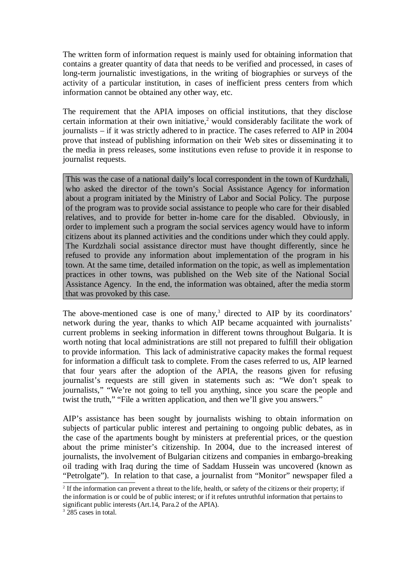The written form of information request is mainly used for obtaining information that contains a greater quantity of data that needs to be verified and processed, in cases of long-term journalistic investigations, in the writing of biographies or surveys of the activity of a particular institution, in cases of inefficient press centers from which information cannot be obtained any other way, etc.

The requirement that the APIA imposes on official institutions, that they disclose certain information at their own initiative,<sup>2</sup> would considerably facilitate the work of journalists – if it was strictly adhered to in practice. The cases referred to AIP in 2004 prove that instead of publishing information on their Web sites or disseminating it to the media in press releases, some institutions even refuse to provide it in response to journalist requests.

This was the case of a national daily's local correspondent in the town of Kurdzhali, who asked the director of the town's Social Assistance Agency for information about a program initiated by the Ministry of Labor and Social Policy. The purpose of the program was to provide social assistance to people who care for their disabled relatives, and to provide for better in-home care for the disabled. Obviously, in order to implement such a program the social services agency would have to inform citizens about its planned activities and the conditions under which they could apply. The Kurdzhali social assistance director must have thought differently, since he refused to provide any information about implementation of the program in his town. At the same time, detailed information on the topic, as well as implementation practices in other towns, was published on the Web site of the National Social Assistance Agency. In the end, the information was obtained, after the media storm that was provoked by this case.

The above-mentioned case is one of many, $3$  directed to AIP by its coordinators' network during the year, thanks to which AIP became acquainted with journalists' current problems in seeking information in different towns throughout Bulgaria. It is worth noting that local administrations are still not prepared to fulfill their obligation to provide information. This lack of administrative capacity makes the formal request for information a difficult task to complete. From the cases referred to us, AIP learned that four years after the adoption of the APIA, the reasons given for refusing journalist's requests are still given in statements such as: "We don't speak to journalists," "We're not going to tell you anything, since you scare the people and twist the truth," "File a written application, and then we'll give you answers."

AIP's assistance has been sought by journalists wishing to obtain information on subjects of particular public interest and pertaining to ongoing public debates, as in the case of the apartments bought by ministers at preferential prices, or the question about the prime minister's citizenship. In 2004, due to the increased interest of journalists, the involvement of Bulgarian citizens and companies in embargo-breaking oil trading with Iraq during the time of Saddam Hussein was uncovered (known as "Petrolgate"). In relation to that case, a journalist from "Monitor" newspaper filed a

<sup>&</sup>lt;sup>2</sup> If the information can prevent a threat to the life, health, or safety of the citizens or their property; if the information is or could be of public interest; or if it refutes untruthful information that pertains to significant public interests (Art.14, Para.2 of the APIA).

<sup>&</sup>lt;sup>3</sup> 285 cases in total.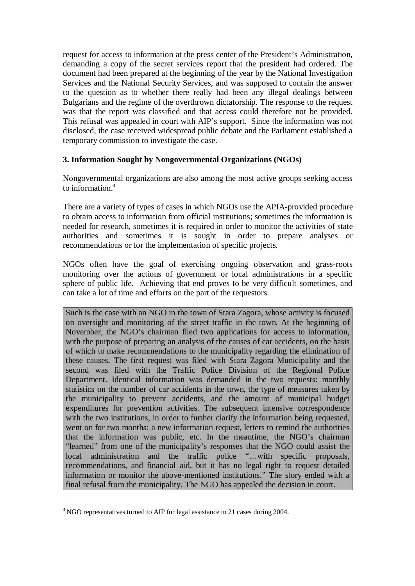request for access to information at the press center of the President's Administration, demanding a copy of the secret services report that the president had ordered. The document had been prepared at the beginning of the year by the National Investigation Services and the National Security Services, and was supposed to contain the answer to the question as to whether there really had been any illegal dealings between Bulgarians and the regime of the overthrown dictatorship. The response to the request was that the report was classified and that access could therefore not be provided. This refusal was appealed in court with AIP's support. Since the information was not disclosed, the case received widespread public debate and the Parliament established a temporary commission to investigate the case.

## **3. Information Sought by Nongovernmental Organizations (NGOs)**

Nongovernmental organizations are also among the most active groups seeking access to information.<sup>4</sup>

There are a variety of types of cases in which NGOs use the APIA-provided procedure to obtain access to information from official institutions; sometimes the information is needed for research, sometimes it is required in order to monitor the activities of state authorities and sometimes it is sought in order to prepare analyses or recommendations or for the implementation of specific projects.

NGOs often have the goal of exercising ongoing observation and grass-roots monitoring over the actions of government or local administrations in a specific sphere of public life. Achieving that end proves to be very difficult sometimes, and can take a lot of time and efforts on the part of the requestors.

Such is the case with an NGO in the town of Stara Zagora, whose activity is focused on oversight and monitoring of the street traffic in the town. At the beginning of November, the NGO's chairman filed two applications for access to information, with the purpose of preparing an analysis of the causes of car accidents, on the basis of which to make recommendations to the municipality regarding the elimination of these causes. The first request was filed with Stara Zagora Municipality and the second was filed with the Traffic Police Division of the Regional Police Department. Identical information was demanded in the two requests: monthly statistics on the number of car accidents in the town, the type of measures taken by the municipality to prevent accidents, and the amount of municipal budget expenditures for prevention activities. The subsequent intensive correspondence with the two institutions, in order to further clarify the information being requested, went on for two months: a new information request, letters to remind the authorities that the information was public, etc. In the meantime, the NGO's chairman "learned" from one of the municipality's responses that the NGO could assist the local administration and the traffic police "…with specific proposals, recommendations, and financial aid, but it has no legal right to request detailed information or monitor the above-mentioned institutions." The story ended with a final refusal from the municipality. The NGO has appealed the decision in court.

<sup>&</sup>lt;sup>4</sup> NGO representatives turned to AIP for legal assistance in 21 cases during 2004.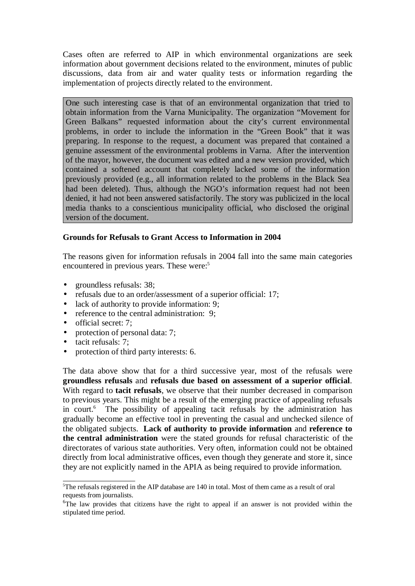Cases often are referred to AIP in which environmental organizations are seek information about government decisions related to the environment, minutes of public discussions, data from air and water quality tests or information regarding the implementation of projects directly related to the environment.

One such interesting case is that of an environmental organization that tried to obtain information from the Varna Municipality. The organization "Movement for Green Balkans" requested information about the city's current environmental problems, in order to include the information in the "Green Book" that it was preparing. In response to the request, a document was prepared that contained a genuine assessment of the environmental problems in Varna. After the intervention of the mayor, however, the document was edited and a new version provided, which contained a softened account that completely lacked some of the information previously provided (e.g., all information related to the problems in the Black Sea had been deleted). Thus, although the NGO's information request had not been denied, it had not been answered satisfactorily. The story was publicized in the local media thanks to a conscientious municipality official, who disclosed the original version of the document.

## **Grounds for Refusals to Grant Access to Information in 2004**

The reasons given for information refusals in 2004 fall into the same main categories encountered in previous years. These were:<sup>5</sup>

- groundless refusals: 38;
- refusals due to an order/assessment of a superior official: 17;
- lack of authority to provide information: 9;<br>• reference to the central administration: 9;
- reference to the central administration: 9:
- official secret: 7;
- protection of personal data: 7;
- tacit refusals: 7;
- protection of third party interests: 6.

The data above show that for a third successive year, most of the refusals were **groundless refusals** and **refusals due based on assessment of a superior official**. With regard to **tacit refusals**, we observe that their number decreased in comparison to previous years. This might be a result of the emerging practice of appealing refusals in court.<sup>6</sup> The possibility of appealing tacit refusals by the administration has gradually become an effective tool in preventing the casual and unchecked silence of the obligated subjects. **Lack of authority to provide information** and **reference to the central administration** were the stated grounds for refusal characteristic of the directorates of various state authorities. Very often, information could not be obtained directly from local administrative offices, even though they generate and store it, since they are not explicitly named in the APIA as being required to provide information.

<sup>5</sup>The refusals registered in the AIP database are 140 in total. Most of them came as a result of oral requests from journalists.

<sup>&</sup>lt;sup>6</sup>The law provides that citizens have the right to appeal if an answer is not provided within the stipulated time period.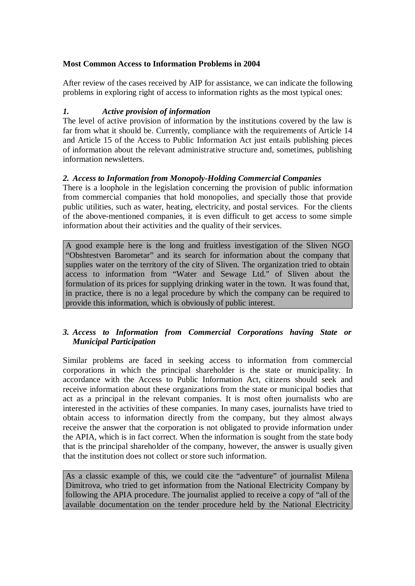## **Most Common Access to Information Problems in 2004**

After review of the cases received by AIP for assistance, we can indicate the following problems in exploring right of access to information rights as the most typical ones:

#### *1. Active provision of information*

The level of active provision of information by the institutions covered by the law is far from what it should be. Currently, compliance with the requirements of Article 14 and Article 15 of the Access to Public Information Act just entails publishing pieces of information about the relevant administrative structure and, sometimes, publishing information newsletters.

## *2. Access to Information from Monopoly-Holding Commercial Companies*

There is a loophole in the legislation concerning the provision of public information from commercial companies that hold monopolies, and specially those that provide public utilities, such as water, heating, electricity, and postal services. For the clients of the above-mentioned companies, it is even difficult to get access to some simple information about their activities and the quality of their services.

A good example here is the long and fruitless investigation of the Sliven NGO "Obshtestven Barometar" and its search for information about the company that supplies water on the territory of the city of Sliven. The organization tried to obtain access to information from "Water and Sewage Ltd." of Sliven about the formulation of its prices for supplying drinking water in the town. It was found that, in practice, there is no a legal procedure by which the company can be required to provide this information, which is obviously of public interest.

## *3. Access to Information from Commercial Corporations having State or Municipal Participation*

Similar problems are faced in seeking access to information from commercial corporations in which the principal shareholder is the state or municipality. In accordance with the Access to Public Information Act, citizens should seek and receive information about these organizations from the state or municipal bodies that act as a principal in the relevant companies. It is most often journalists who are interested in the activities of these companies. In many cases, journalists have tried to obtain access to information directly from the company, but they almost always receive the answer that the corporation is not obligated to provide information under the APIA, which is in fact correct. When the information is sought from the state body that is the principal shareholder of the company, however, the answer is usually given that the institution does not collect or store such information.

As a classic example of this, we could cite the "adventure" of journalist Milena Dimitrova, who tried to get information from the National Electricity Company by following the APIA procedure. The journalist applied to receive a copy of "all of the available documentation on the tender procedure held by the National Electricity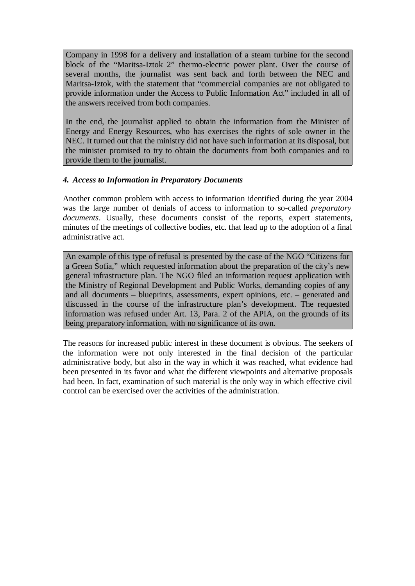Company in 1998 for a delivery and installation of a steam turbine for the second block of the "Maritsa-Iztok 2" thermo-electric power plant. Over the course of several months, the journalist was sent back and forth between the NEC and Maritsa-Iztok, with the statement that "commercial companies are not obligated to provide information under the Access to Public Information Act" included in all of the answers received from both companies.

In the end, the journalist applied to obtain the information from the Minister of Energy and Energy Resources, who has exercises the rights of sole owner in the NEC. It turned out that the ministry did not have such information at its disposal, but the minister promised to try to obtain the documents from both companies and to provide them to the journalist.

## *4. Access to Information in Preparatory Documents*

Another common problem with access to information identified during the year 2004 was the large number of denials of access to information to so-called *preparatory documents*. Usually, these documents consist of the reports, expert statements, minutes of the meetings of collective bodies, etc. that lead up to the adoption of a final administrative act.

An example of this type of refusal is presented by the case of the NGO "Citizens for a Green Sofia," which requested information about the preparation of the city's new general infrastructure plan. The NGO filed an information request application with the Ministry of Regional Development and Public Works, demanding copies of any and all documents – blueprints, assessments, expert opinions, etc. – generated and discussed in the course of the infrastructure plan's development. The requested information was refused under Art. 13, Para. 2 of the APIA, on the grounds of its being preparatory information, with no significance of its own.

The reasons for increased public interest in these document is obvious. The seekers of the information were not only interested in the final decision of the particular administrative body, but also in the way in which it was reached, what evidence had been presented in its favor and what the different viewpoints and alternative proposals had been. In fact, examination of such material is the only way in which effective civil control can be exercised over the activities of the administration.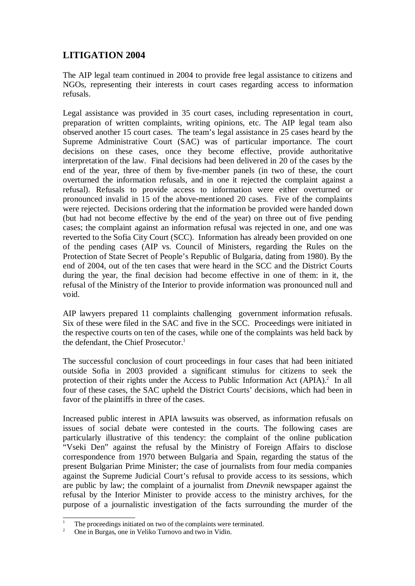## **LITIGATION 2004**

The AIP legal team continued in 2004 to provide free legal assistance to citizens and NGOs, representing their interests in court cases regarding access to information refusals.

Legal assistance was provided in 35 court cases, including representation in court, preparation of written complaints, writing opinions, etc. The AIP legal team also observed another 15 court cases. The team's legal assistance in 25 cases heard by the Supreme Administrative Court (SAC) was of particular importance. The court decisions on these cases, once they become effective, provide authoritative interpretation of the law. Final decisions had been delivered in 20 of the cases by the end of the year, three of them by five-member panels (in two of these, the court overturned the information refusals, and in one it rejected the complaint against a refusal). Refusals to provide access to information were either overturned or pronounced invalid in 15 of the above-mentioned 20 cases. Five of the complaints were rejected. Decisions ordering that the information be provided were handed down (but had not become effective by the end of the year) on three out of five pending cases; the complaint against an information refusal was rejected in one, and one was reverted to the Sofia City Court (SCC). Information has already been provided on one of the pending cases (AIP vs. Council of Ministers, regarding the Rules on the Protection of State Secret of People's Republic of Bulgaria, dating from 1980). By the end of 2004, out of the ten cases that were heard in the SCC and the District Courts during the year, the final decision had become effective in one of them: in it, the refusal of the Ministry of the Interior to provide information was pronounced null and void.

AIP lawyers prepared 11 complaints challenging government information refusals. Six of these were filed in the SAC and five in the SCC. Proceedings were initiated in the respective courts on ten of the cases, while one of the complaints was held back by the defendant, the Chief Prosecutor.<sup>1</sup>

The successful conclusion of court proceedings in four cases that had been initiated outside Sofia in 2003 provided a significant stimulus for citizens to seek the protection of their rights under the Access to Public Information Act  $(APIA)<sup>2</sup>$  In all four of these cases, the SAC upheld the District Courts' decisions, which had been in favor of the plaintiffs in three of the cases.

Increased public interest in APIA lawsuits was observed, as information refusals on issues of social debate were contested in the courts. The following cases are particularly illustrative of this tendency: the complaint of the online publication "Vseki Den" against the refusal by the Ministry of Foreign Affairs to disclose correspondence from 1970 between Bulgaria and Spain, regarding the status of the present Bulgarian Prime Minister; the case of journalists from four media companies against the Supreme Judicial Court's refusal to provide access to its sessions, which are public by law; the complaint of a journalist from *Dnevnik* newspaper against the refusal by the Interior Minister to provide access to the ministry archives, for the purpose of a journalistic investigation of the facts surrounding the murder of the

<sup>1</sup> The proceedings initiated on two of the complaints were terminated.

<sup>2</sup> One in Burgas, one in Veliko Turnovo and two in Vidin.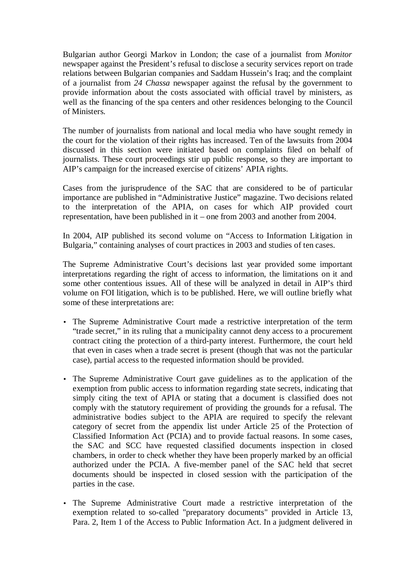Bulgarian author Georgi Markov in London; the case of a journalist from *Monitor* newspaper against the President's refusal to disclose a security services report on trade relations between Bulgarian companies and Saddam Hussein's Iraq; and the complaint of a journalist from *24 Chassa* newspaper against the refusal by the government to provide information about the costs associated with official travel by ministers, as well as the financing of the spa centers and other residences belonging to the Council of Ministers.

The number of journalists from national and local media who have sought remedy in the court for the violation of their rights has increased. Ten of the lawsuits from 2004 discussed in this section were initiated based on complaints filed on behalf of journalists. These court proceedings stir up public response, so they are important to AIP's campaign for the increased exercise of citizens' APIA rights.

Cases from the jurisprudence of the SAC that are considered to be of particular importance are published in "Administrative Justice" magazine. Two decisions related to the interpretation of the APIA, on cases for which AIP provided court representation, have been published in it – one from 2003 and another from 2004.

In 2004, AIP published its second volume on "Access to Information Litigation in Bulgaria," containing analyses of court practices in 2003 and studies of ten cases.

The Supreme Administrative Court's decisions last year provided some important interpretations regarding the right of access to information, the limitations on it and some other contentious issues. All of these will be analyzed in detail in AIP's third volume on FOI litigation, which is to be published. Here, we will outline briefly what some of these interpretations are:

- The Supreme Administrative Court made a restrictive interpretation of the term "trade secret," in its ruling that a municipality cannot deny access to a procurement contract citing the protection of a third-party interest. Furthermore, the court held that even in cases when a trade secret is present (though that was not the particular case), partial access to the requested information should be provided.
- The Supreme Administrative Court gave guidelines as to the application of the exemption from public access to information regarding state secrets, indicating that simply citing the text of APIA or stating that a document is classified does not comply with the statutory requirement of providing the grounds for a refusal. The administrative bodies subject to the APIA are required to specify the relevant category of secret from the appendix list under Article 25 of the Protection of Classified Information Act (PCIA) and to provide factual reasons. In some cases, the SAC and SCC have requested classified documents inspection in closed chambers, in order to check whether they have been properly marked by an official authorized under the PCIA. A five-member panel of the SAC held that secret documents should be inspected in closed session with the participation of the parties in the case.
- The Supreme Administrative Court made a restrictive interpretation of the exemption related to so-called "preparatory documents" provided in Article 13, Para. 2, Item 1 of the Access to Public Information Act. In a judgment delivered in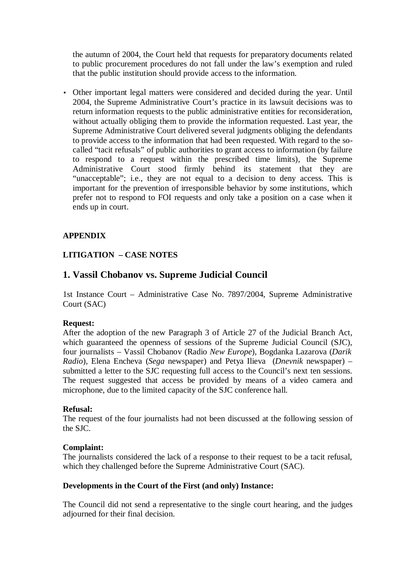the autumn of 2004, the Court held that requests for preparatory documents related to public procurement procedures do not fall under the law's exemption and ruled that the public institution should provide access to the information.

• Other important legal matters were considered and decided during the year. Until 2004, the Supreme Administrative Court's practice in its lawsuit decisions was to return information requests to the public administrative entities for reconsideration, without actually obliging them to provide the information requested. Last year, the Supreme Administrative Court delivered several judgments obliging the defendants to provide access to the information that had been requested. With regard to the socalled "tacit refusals" of public authorities to grant access to information (by failure to respond to a request within the prescribed time limits), the Supreme Administrative Court stood firmly behind its statement that they are "unacceptable"; i.e., they are not equal to a decision to deny access. This is important for the prevention of irresponsible behavior by some institutions, which prefer not to respond to FOI requests and only take a position on a case when it ends up in court.

## **APPENDIX**

## **LITIGATION – CASE NOTES**

## **1. Vassil Chobanov vs. Supreme Judicial Council**

1st Instance Court – Administrative Case No. 7897/2004, Supreme Administrative Court (SAC)

#### **Request:**

After the adoption of the new Paragraph 3 of Article 27 of the Judicial Branch Act, which guaranteed the openness of sessions of the Supreme Judicial Council (SJC), four journalists – Vassil Chobanov (Radio *New Europe*), Bogdanka Lazarova (*Darik Radio*), Elena Encheva (*Sega* newspaper) and Petya Ilieva (*Dnevnik* newspaper) – submitted a letter to the SJC requesting full access to the Council's next ten sessions. The request suggested that access be provided by means of a video camera and microphone, due to the limited capacity of the SJC conference hall.

#### **Refusal:**

The request of the four journalists had not been discussed at the following session of the SJC.

#### **Complaint:**

The journalists considered the lack of a response to their request to be a tacit refusal, which they challenged before the Supreme Administrative Court (SAC).

#### **Developments in the Court of the First (and only) Instance:**

The Council did not send a representative to the single court hearing, and the judges adjourned for their final decision.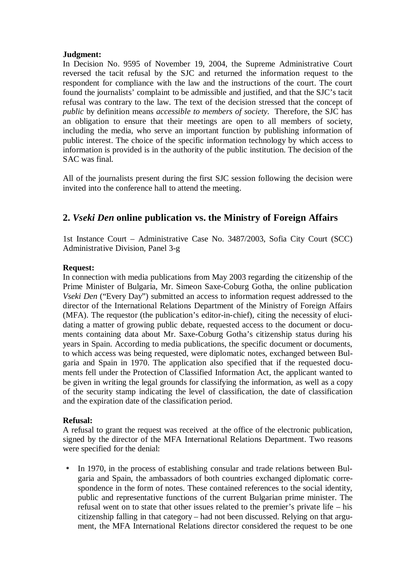#### **Judgment:**

In Decision No. 9595 of November 19, 2004, the Supreme Administrative Court reversed the tacit refusal by the SJC and returned the information request to the respondent for compliance with the law and the instructions of the court. The court found the journalists' complaint to be admissible and justified, and that the SJC's tacit refusal was contrary to the law. The text of the decision stressed that the concept of *public* by definition means *accessible to members of society*. Therefore, the SJC has an obligation to ensure that their meetings are open to all members of society, including the media, who serve an important function by publishing information of public interest. The choice of the specific information technology by which access to information is provided is in the authority of the public institution. The decision of the SAC was final.

All of the journalists present during the first SJC session following the decision were invited into the conference hall to attend the meeting.

## **2.** *Vseki Den* **online publication vs. the Ministry of Foreign Affairs**

1st Instance Court – Administrative Case No. 3487/2003, Sofia City Court (SCC) Administrative Division, Panel 3-g

## **Request:**

In connection with media publications from May 2003 regarding the citizenship of the Prime Minister of Bulgaria, Mr. Simeon Saxe-Coburg Gotha, the online publication *Vseki Den* ("Every Day") submitted an access to information request addressed to the director of the International Relations Department of the Ministry of Foreign Affairs (MFA). The requestor (the publication's editor-in-chief), citing the necessity of elucidating a matter of growing public debate, requested access to the document or documents containing data about Mr. Saxe-Coburg Gotha's citizenship status during his years in Spain. According to media publications, the specific document or documents, to which access was being requested, were diplomatic notes, exchanged between Bulgaria and Spain in 1970. The application also specified that if the requested documents fell under the Protection of Classified Information Act, the applicant wanted to be given in writing the legal grounds for classifying the information, as well as a copy of the security stamp indicating the level of classification, the date of classification and the expiration date of the classification period.

## **Refusal:**

A refusal to grant the request was received at the office of the electronic publication, signed by the director of the MFA International Relations Department. Two reasons were specified for the denial:

• In 1970, in the process of establishing consular and trade relations between Bulgaria and Spain, the ambassadors of both countries exchanged diplomatic correspondence in the form of notes. These contained references to the social identity, public and representative functions of the current Bulgarian prime minister. The refusal went on to state that other issues related to the premier's private life – his citizenship falling in that category – had not been discussed. Relying on that argument, the MFA International Relations director considered the request to be one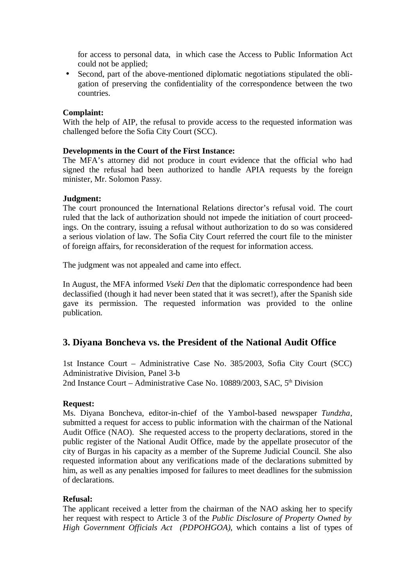for access to personal data, in which case the Access to Public Information Act could not be applied;

• Second, part of the above-mentioned diplomatic negotiations stipulated the obligation of preserving the confidentiality of the correspondence between the two countries.

#### **Complaint:**

With the help of AIP, the refusal to provide access to the requested information was challenged before the Sofia City Court (SCC).

#### **Developments in the Court of the First Instance:**

The MFA's attorney did not produce in court evidence that the official who had signed the refusal had been authorized to handle APIA requests by the foreign minister, Mr. Solomon Passy.

#### **Judgment:**

The court pronounced the International Relations director's refusal void. The court ruled that the lack of authorization should not impede the initiation of court proceedings. On the contrary, issuing a refusal without authorization to do so was considered a serious violation of law. The Sofia City Court referred the court file to the minister of foreign affairs, for reconsideration of the request for information access.

The judgment was not appealed and came into effect.

In August, the MFA informed *Vseki Den* that the diplomatic correspondence had been declassified (though it had never been stated that it was secret!), after the Spanish side gave its permission. The requested information was provided to the online publication.

## **3. Diyana Boncheva vs. the President of the National Audit Office**

1st Instance Court – Administrative Case No. 385/2003, Sofia City Court (SCC) Administrative Division, Panel 3-b 2nd Instance Court – Administrative Case No. 10889/2003, SAC, 5<sup>th</sup> Division

#### **Request:**

Ms. Diyana Boncheva, editor-in-chief of the Yambol-based newspaper *Tundzha*, submitted a request for access to public information with the chairman of the National Audit Office (NAO). She requested access to the property declarations, stored in the public register of the National Audit Office, made by the appellate prosecutor of the city of Burgas in his capacity as a member of the Supreme Judicial Council. She also requested information about any verifications made of the declarations submitted by him, as well as any penalties imposed for failures to meet deadlines for the submission of declarations.

#### **Refusal:**

The applicant received a letter from the chairman of the NAO asking her to specify her request with respect to Article 3 of the *Public Disclosure of Property Owned by High Government Officials Act (PDPOHGOA)*, which contains a list of types of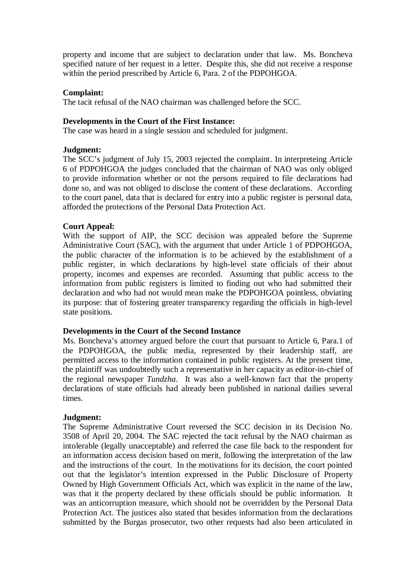property and income that are subject to declaration under that law. Ms. Boncheva specified nature of her request in a letter. Despite this, she did not receive a response within the period prescribed by Article 6, Para. 2 of the PDPOHGOA.

#### **Complaint:**

The tacit refusal of the NAO chairman was challenged before the SCC.

#### **Developments in the Court of the First Instance:**

The case was heard in a single session and scheduled for judgment.

#### **Judgment:**

The SCC's judgment of July 15, 2003 rejected the complaint. In interpreteing Article 6 of PDPOHGOA the judges concluded that the chairman of NAO was only obliged to provide information whether or not the persons required to file declarations had done so, and was not obliged to disclose the content of these declarations. According to the court panel, data that is declared for entry into a public register is personal data, afforded the protections of the Personal Data Protection Act.

#### **Court Appeal:**

With the support of AIP, the SCC decision was appealed before the Supreme Administrative Court (SAC), with the argument that under Article 1 of PDPOHGOA, the public character of the information is to be achieved by the establishment of a public register, in which declarations by high-level state officials of their about property, incomes and expenses are recorded. Assuming that public access to the information from public registers is limited to finding out who had submitted their declaration and who had not would mean make the PDPOHGOA pointless, obviating its purpose: that of fostering greater transparency regarding the officials in high-level state positions.

#### **Developments in the Court of the Second Instance**

Ms. Boncheva's attorney argued before the court that pursuant to Article 6, Para.1 of the PDPOHGOA, the public media, represented by their leadership staff, are permitted access to the information contained in public registers. At the present time, the plaintiff was undoubtedly such a representative in her capacity as editor-in-chief of the regional newspaper *Tundzha*. It was also a well-known fact that the property declarations of state officials had already been published in national dailies several times.

#### **Judgment:**

The Supreme Administrative Court reversed the SCC decision in its Decision No. 3508 of April 20, 2004. The SAC rejected the tacit refusal by the NAO chairman as intolerable (legally unacceptable) and referred the case file back to the respondent for an information access decision based on merit, following the interpretation of the law and the instructions of the court. In the motivations for its decision, the court pointed out that the legislator's intention expressed in the Public Disclosure of Property Owned by High Government Officials Act, which was explicit in the name of the law, was that it the property declared by these officials should be public information. It was an anticorruption measure, which should not be overridden by the Personal Data Protection Act. The justices also stated that besides information from the declarations submitted by the Burgas prosecutor, two other requests had also been articulated in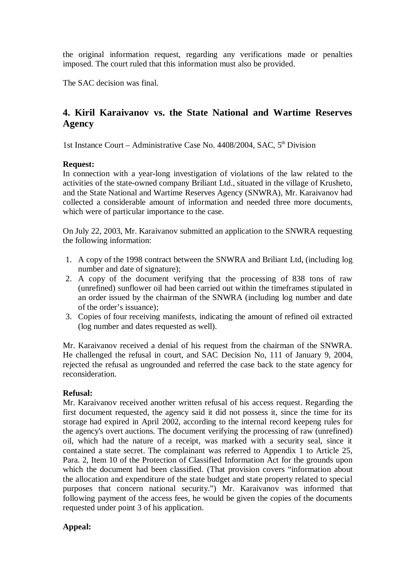the original information request, regarding any verifications made or penalties imposed. The court ruled that this information must also be provided.

The SAC decision was final.

## **4. Kiril Karaivanov vs. the State National and Wartime Reserves Agency**

1st Instance Court – Administrative Case No. 4408/2004, SAC, 5<sup>th</sup> Division

## **Request:**

In connection with a year-long investigation of violations of the law related to the activities of the state-owned company Briliant Ltd., situated in the village of Krusheto, and the State National and Wartime Reserves Agency (SNWRA), Mr. Karaivanov had collected a considerable amount of information and needed three more documents, which were of particular importance to the case.

On July 22, 2003, Mr. Karaivanov submitted an application to the SNWRA requesting the following information:

- 1. A copy of the 1998 contract between the SNWRA and Briliant Ltd, (including log number and date of signature);
- 2. A copy of the document verifying that the processing of 838 tons of raw (unrefined) sunflower oil had been carried out within the timeframes stipulated in an order issued by the chairman of the SNWRA (including log number and date of the order's issuance);
- 3. Copies of four receiving manifests, indicating the amount of refined oil extracted (log number and dates requested as well).

Mr. Karaivanov received a denial of his request from the chairman of the SNWRA. He challenged the refusal in court, and SAC Decision No, 111 of January 9, 2004, rejected the refusal as ungrounded and referred the case back to the state agency for reconsideration.

## **Refusal:**

Mr. Karaivanov received another written refusal of his access request. Regarding the first document requested, the agency said it did not possess it, since the time for its storage had expired in April 2002, according to the internal record keepeng rules for the agency's overt auctions. The document verifying the processing of raw (unrefined) oil, which had the nature of a receipt, was marked with a security seal, since it contained a state secret. The complainant was referred to Appendix 1 to Article 25, Para. 2, Item 10 of the Protection of Classified Information Act for the grounds upon which the document had been classified. (That provision covers "information about the allocation and expenditure of the state budget and state property related to special purposes that concern national security.") Mr. Karaivanov was informed that following payment of the access fees, he would be given the copies of the documents requested under point 3 of his application.

## **Appeal:**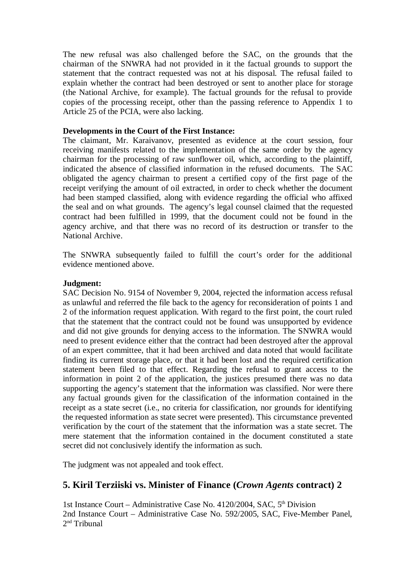The new refusal was also challenged before the SAC, on the grounds that the chairman of the SNWRA had not provided in it the factual grounds to support the statement that the contract requested was not at his disposal. The refusal failed to explain whether the contract had been destroyed or sent to another place for storage (the National Archive, for example). The factual grounds for the refusal to provide copies of the processing receipt, other than the passing reference to Appendix 1 to Article 25 of the PCIA, were also lacking.

#### **Developments in the Court of the First Instance:**

The claimant, Mr. Karaivanov, presented as evidence at the court session, four receiving manifests related to the implementation of the same order by the agency chairman for the processing of raw sunflower oil, which, according to the plaintiff, indicated the absence of classified information in the refused documents. The SAC obligated the agency chairman to present a certified copy of the first page of the receipt verifying the amount of oil extracted, in order to check whether the document had been stamped classified, along with evidence regarding the official who affixed the seal and on what grounds. The agency's legal counsel claimed that the requested contract had been fulfilled in 1999, that the document could not be found in the agency archive, and that there was no record of its destruction or transfer to the National Archive.

The SNWRA subsequently failed to fulfill the court's order for the additional evidence mentioned above.

#### **Judgment:**

SAC Decision No. 9154 of November 9, 2004, rejected the information access refusal as unlawful and referred the file back to the agency for reconsideration of points 1 and 2 of the information request application. With regard to the first point, the court ruled that the statement that the contract could not be found was unsupported by evidence and did not give grounds for denying access to the information. The SNWRA would need to present evidence either that the contract had been destroyed after the approval of an expert committee, that it had been archived and data noted that would facilitate finding its current storage place, or that it had been lost and the required certification statement been filed to that effect. Regarding the refusal to grant access to the information in point 2 of the application, the justices presumed there was no data supporting the agency's statement that the information was classified. Nor were there any factual grounds given for the classification of the information contained in the receipt as a state secret (i.e., no criteria for classification, nor grounds for identifying the requested information as state secret were presented). This circumstance prevented verification by the court of the statement that the information was a state secret. The mere statement that the information contained in the document constituted a state secret did not conclusively identify the information as such.

The judgment was not appealed and took effect.

## **5. Kiril Terziiski vs. Minister of Finance (***Crown Agents* **contract) 2**

1st Instance Court – Administrative Case No. 4120/2004, SAC, 5<sup>th</sup> Division 2nd Instance Court – Administrative Case No. 592/2005, SAC, Five-Member Panel, 2 nd Tribunal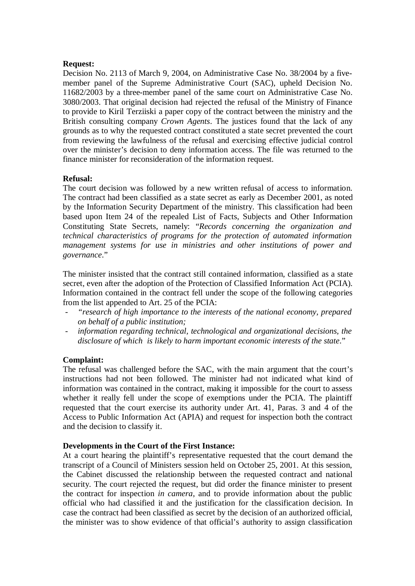#### **Request:**

Decision No. 2113 of March 9, 2004, on Administrative Case No. 38/2004 by a fivemember panel of the Supreme Administrative Court (SAC), upheld Decision No. 11682/2003 by a three-member panel of the same court on Administrative Case No. 3080/2003. That original decision had rejected the refusal of the Ministry of Finance to provide to Kiril Terziiski a paper copy of the contract between the ministry and the British consulting company *Crown Agents*. The justices found that the lack of any grounds as to why the requested contract constituted a state secret prevented the court from reviewing the lawfulness of the refusal and exercising effective judicial control over the minister's decision to deny information access. The file was returned to the finance minister for reconsideration of the information request.

#### **Refusal:**

The court decision was followed by a new written refusal of access to information. The contract had been classified as a state secret as early as December 2001, as noted by the Information Security Department of the ministry. This classification had been based upon Item 24 of the repealed List of Facts, Subjects and Other Information Constituting State Secrets, namely: "*Records concerning the organization and technical characteristics of programs for the protection of automated information management systems for use in ministries and other institutions of power and governance*."

The minister insisted that the contract still contained information, classified as a state secret, even after the adoption of the Protection of Classified Information Act (PCIA). Information contained in the contract fell under the scope of the following categories from the list appended to Art. 25 of the PCIA:

- *- "research of high importance to the interests of the national economy, prepared on behalf of a public institution;*
- *information regarding technical, technological and organizational decisions, the disclosure of which is likely to harm important economic interests of the state*."

#### **Complaint:**

The refusal was challenged before the SAC, with the main argument that the court's instructions had not been followed. The minister had not indicated what kind of information was contained in the contract, making it impossible for the court to assess whether it really fell under the scope of exemptions under the PCIA. The plaintiff requested that the court exercise its authority under Art. 41, Paras. 3 and 4 of the Access to Public Information Act (APIA) and request for inspection both the contract and the decision to classify it.

#### **Developments in the Court of the First Instance:**

At a court hearing the plaintiff's representative requested that the court demand the transcript of a Council of Ministers session held on October 25, 2001. At this session, the Cabinet discussed the relationship between the requested contract and national security. The court rejected the request, but did order the finance minister to present the contract for inspection *in camera*, and to provide information about the public official who had classified it and the justification for the classification decision. In case the contract had been classified as secret by the decision of an authorized official, the minister was to show evidence of that official's authority to assign classification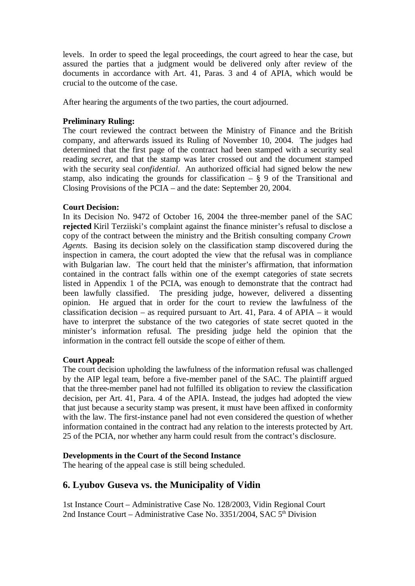levels. In order to speed the legal proceedings, the court agreed to hear the case, but assured the parties that a judgment would be delivered only after review of the documents in accordance with Art. 41, Paras. 3 and 4 of APIA, which would be crucial to the outcome of the case.

After hearing the arguments of the two parties, the court adjourned.

## **Preliminary Ruling:**

The court reviewed the contract between the Ministry of Finance and the British company, and afterwards issued its Ruling of November 10, 2004. The judges had determined that the first page of the contract had been stamped with a security seal reading *secret*, and that the stamp was later crossed out and the document stamped with the security seal *confidential*. An authorized official had signed below the new stamp, also indicating the grounds for classification  $-$  § 9 of the Transitional and Closing Provisions of the PCIA – and the date: September 20, 2004.

#### **Court Decision:**

In its Decision No. 9472 of October 16, 2004 the three-member panel of the SAC **rejected** Kiril Terziiski's complaint against the finance minister's refusal to disclose a copy of the contract between the ministry and the British consulting company *Crown Agents*. Basing its decision solely on the classification stamp discovered during the inspection in camera, the court adopted the view that the refusal was in compliance with Bulgarian law. The court held that the minister's affirmation, that information contained in the contract falls within one of the exempt categories of state secrets listed in Appendix 1 of the PCIA, was enough to demonstrate that the contract had been lawfully classified. The presiding judge, however, delivered a dissenting opinion. He argued that in order for the court to review the lawfulness of the classification decision – as required pursuant to Art. 41, Para. 4 of APIA – it would have to interpret the substance of the two categories of state secret quoted in the minister's information refusal. The presiding judge held the opinion that the information in the contract fell outside the scope of either of them.

#### **Court Appeal:**

The court decision upholding the lawfulness of the information refusal was challenged by the AIP legal team, before a five-member panel of the SAC. The plaintiff argued that the three-member panel had not fulfilled its obligation to review the classification decision, per Art. 41, Para. 4 of the APIA. Instead, the judges had adopted the view that just because a security stamp was present, it must have been affixed in conformity with the law. The first-instance panel had not even considered the question of whether information contained in the contract had any relation to the interests protected by Art. 25 of the PCIA, nor whether any harm could result from the contract's disclosure.

#### **Developments in the Court of the Second Instance**

The hearing of the appeal case is still being scheduled.

## **6. Lyubov Guseva vs. the Municipality of Vidin**

1st Instance Court – Administrative Case No. 128/2003, Vidin Regional Court 2nd Instance Court – Administrative Case No. 3351/2004, SAC  $5<sup>th</sup>$  Division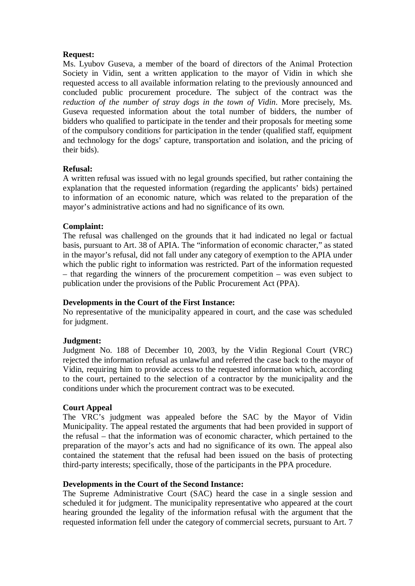#### **Request:**

Ms. Lyubov Guseva, a member of the board of directors of the Animal Protection Society in Vidin, sent a written application to the mayor of Vidin in which she requested access to all available information relating to the previously announced and concluded public procurement procedure. The subject of the contract was the *reduction of the number of stray dogs in the town of Vidin*. More precisely, Ms. Guseva requested information about the total number of bidders, the number of bidders who qualified to participate in the tender and their proposals for meeting some of the compulsory conditions for participation in the tender (qualified staff, equipment and technology for the dogs' capture, transportation and isolation, and the pricing of their bids).

## **Refusal:**

A written refusal was issued with no legal grounds specified, but rather containing the explanation that the requested information (regarding the applicants' bids) pertained to information of an economic nature, which was related to the preparation of the mayor's administrative actions and had no significance of its own.

## **Complaint:**

The refusal was challenged on the grounds that it had indicated no legal or factual basis, pursuant to Art. 38 of APIA. The "information of economic character," as stated in the mayor's refusal, did not fall under any category of exemption to the APIA under which the public right to information was restricted. Part of the information requested – that regarding the winners of the procurement competition – was even subject to publication under the provisions of the Public Procurement Act (PPA).

#### **Developments in the Court of the First Instance:**

No representative of the municipality appeared in court, and the case was scheduled for judgment.

#### **Judgment:**

Judgment No. 188 of December 10, 2003, by the Vidin Regional Court (VRC) rejected the information refusal as unlawful and referred the case back to the mayor of Vidin, requiring him to provide access to the requested information which, according to the court, pertained to the selection of a contractor by the municipality and the conditions under which the procurement contract was to be executed.

#### **Court Appeal**

The VRC's judgment was appealed before the SAC by the Mayor of Vidin Municipality. The appeal restated the arguments that had been provided in support of the refusal – that the information was of economic character, which pertained to the preparation of the mayor's acts and had no significance of its own. The appeal also contained the statement that the refusal had been issued on the basis of protecting third-party interests; specifically, those of the participants in the PPA procedure.

## **Developments in the Court of the Second Instance:**

The Supreme Administrative Court (SAC) heard the case in a single session and scheduled it for judgment. The municipality representative who appeared at the court hearing grounded the legality of the information refusal with the argument that the requested information fell under the category of commercial secrets, pursuant to Art. 7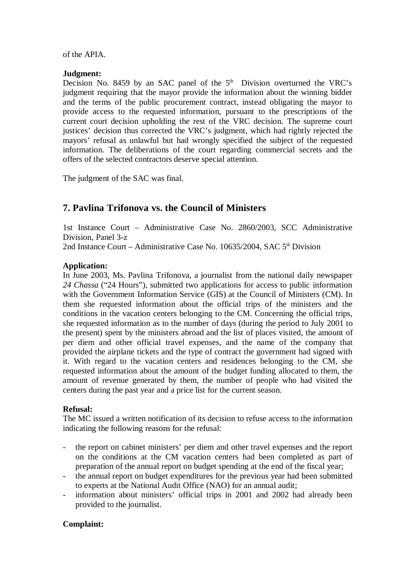of the APIA.

#### **Judgment:**

Decision No. 8459 by an SAC panel of the  $5<sup>th</sup>$  Division overturned the VRC's judgment requiring that the mayor provide the information about the winning bidder and the terms of the public procurement contract, instead obligating the mayor to provide access to the requested information, pursuant to the prescriptions of the current court decision upholding the rest of the VRC decision. The supreme court justices' decision thus corrected the VRC's judgment, which had rightly rejected the mayors' refusal as unlawful but had wrongly specified the subject of the requested information. The deliberations of the court regarding commercial secrets and the offers of the selected contractors deserve special attention.

The judgment of the SAC was final.

## **7. Pavlina Trifonova vs. the Council of Ministers**

1st Instance Court – Administrative Case No. 2860/2003, SCC Administrative Division, Panel 3-z

2nd Instance Court – Administrative Case No. 10635/2004, SAC 5<sup>th</sup> Division

#### **Application:**

In June 2003, Ms. Pavlina Trifonova, a journalist from the national daily newspaper *24 Chassa* ("24 Hours"), submitted two applications for access to public information with the Government Information Service (GIS) at the Council of Ministers (CM). In them she requested information about the official trips of the ministers and the conditions in the vacation centers belonging to the CM. Concerning the official trips, she requested information as to the number of days (during the period to July 2001 to the present) spent by the ministers abroad and the list of places visited, the amount of per diem and other official travel expenses, and the name of the company that provided the airplane tickets and the type of contract the government had signed with it. With regard to the vacation centers and residences belonging to the CM, she requested information about the amount of the budget funding allocated to them, the amount of revenue generated by them, the number of people who had visited the centers during the past year and a price list for the current season.

#### **Refusal:**

The MC issued a written notification of its decision to refuse access to the information indicating the following reasons for the refusal:

- the report on cabinet ministers' per diem and other travel expenses and the report on the conditions at the CM vacation centers had been completed as part of preparation of the annual report on budget spending at the end of the fiscal year;
- the annual report on budget expenditures for the previous year had been submitted to experts at the National Audit Office (NAO) for an annual audit;
- information about ministers' official trips in 2001 and 2002 had already been provided to the journalist.

#### **Complaint:**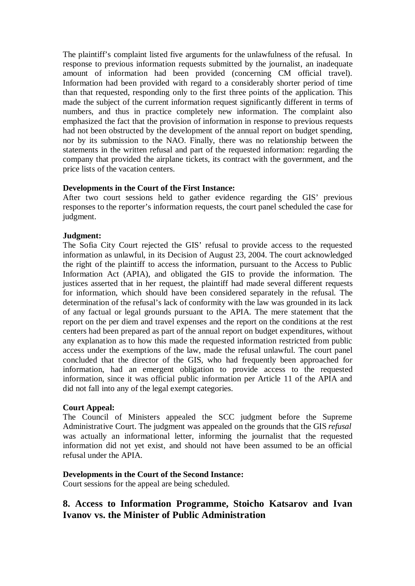The plaintiff's complaint listed five arguments for the unlawfulness of the refusal. In response to previous information requests submitted by the journalist, an inadequate amount of information had been provided (concerning CM official travel). Information had been provided with regard to a considerably shorter period of time than that requested, responding only to the first three points of the application. This made the subject of the current information request significantly different in terms of numbers, and thus in practice completely new information. The complaint also emphasized the fact that the provision of information in response to previous requests had not been obstructed by the development of the annual report on budget spending, nor by its submission to the NAO. Finally, there was no relationship between the statements in the written refusal and part of the requested information: regarding the company that provided the airplane tickets, its contract with the government, and the price lists of the vacation centers.

## **Developments in the Court of the First Instance:**

After two court sessions held to gather evidence regarding the GIS' previous responses to the reporter's information requests, the court panel scheduled the case for judgment.

## **Judgment:**

The Sofia City Court rejected the GIS' refusal to provide access to the requested information as unlawful, in its Decision of August 23, 2004. The court acknowledged the right of the plaintiff to access the information, pursuant to the Access to Public Information Act (APIA), and obligated the GIS to provide the information. The justices asserted that in her request, the plaintiff had made several different requests for information, which should have been considered separately in the refusal. The determination of the refusal's lack of conformity with the law was grounded in its lack of any factual or legal grounds pursuant to the APIA. The mere statement that the report on the per diem and travel expenses and the report on the conditions at the rest centers had been prepared as part of the annual report on budget expenditures, without any explanation as to how this made the requested information restricted from public access under the exemptions of the law, made the refusal unlawful. The court panel concluded that the director of the GIS, who had frequently been approached for information, had an emergent obligation to provide access to the requested information, since it was official public information per Article 11 of the APIA and did not fall into any of the legal exempt categories.

#### **Court Appeal:**

The Council of Ministers appealed the SCC judgment before the Supreme Administrative Court. The judgment was appealed on the grounds that the GIS *refusal* was actually an informational letter, informing the journalist that the requested information did not yet exist, and should not have been assumed to be an official refusal under the APIA.

## **Developments in the Court of the Second Instance:**

Court sessions for the appeal are being scheduled.

## **8. Access to Information Programme, Stoicho Katsarov and Ivan Ivanov vs. the Minister of Public Administration**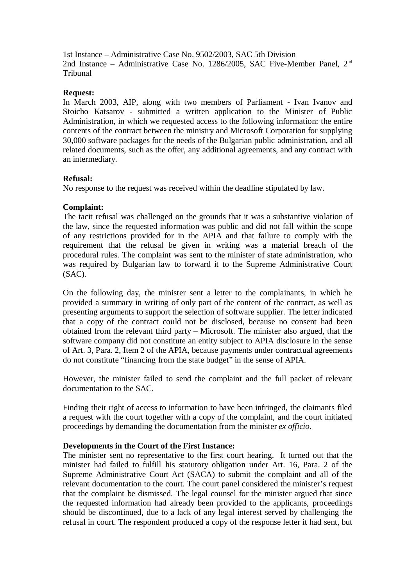1st Instance – Administrative Case No. 9502/2003, SAC 5th Division 2nd Instance – Administrative Case No. 1286/2005, SAC Five-Member Panel, 2<sup>nd</sup> Tribunal

#### **Request:**

In March 2003, AIP, along with two members of Parliament - Ivan Ivanov and Stoicho Katsarov - submitted a written application to the Minister of Public Administration, in which we requested access to the following information: the entire contents of the contract between the ministry and Microsoft Corporation for supplying 30,000 software packages for the needs of the Bulgarian public administration, and all related documents, such as the offer, any additional agreements, and any contract with an intermediary.

## **Refusal:**

No response to the request was received within the deadline stipulated by law.

## **Complaint:**

The tacit refusal was challenged on the grounds that it was a substantive violation of the law, since the requested information was public and did not fall within the scope of any restrictions provided for in the APIA and that failure to comply with the requirement that the refusal be given in writing was a material breach of the procedural rules. The complaint was sent to the minister of state administration, who was required by Bulgarian law to forward it to the Supreme Administrative Court (SAC).

On the following day, the minister sent a letter to the complainants, in which he provided a summary in writing of only part of the content of the contract, as well as presenting arguments to support the selection of software supplier. The letter indicated that a copy of the contract could not be disclosed, because no consent had been obtained from the relevant third party – Microsoft. The minister also argued, that the software company did not constitute an entity subject to APIA disclosure in the sense of Art. 3, Para. 2, Item 2 of the APIA, because payments under contractual agreements do not constitute "financing from the state budget" in the sense of APIA.

However, the minister failed to send the complaint and the full packet of relevant documentation to the SAC.

Finding their right of access to information to have been infringed, the claimants filed a request with the court together with a copy of the complaint, and the court initiated proceedings by demanding the documentation from the minister *ex officio*.

#### **Developments in the Court of the First Instance:**

The minister sent no representative to the first court hearing. It turned out that the minister had failed to fulfill his statutory obligation under Art. 16, Para. 2 of the Supreme Administrative Court Act (SACA) to submit the complaint and all of the relevant documentation to the court. The court panel considered the minister's request that the complaint be dismissed. The legal counsel for the minister argued that since the requested information had already been provided to the applicants, proceedings should be discontinued, due to a lack of any legal interest served by challenging the refusal in court. The respondent produced a copy of the response letter it had sent, but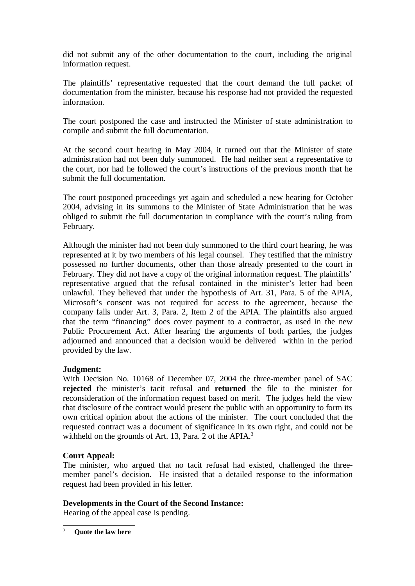did not submit any of the other documentation to the court, including the original information request.

The plaintiffs' representative requested that the court demand the full packet of documentation from the minister, because his response had not provided the requested information.

The court postponed the case and instructed the Minister of state administration to compile and submit the full documentation.

At the second court hearing in May 2004, it turned out that the Minister of state administration had not been duly summoned. He had neither sent a representative to the court, nor had he followed the court's instructions of the previous month that he submit the full documentation.

The court postponed proceedings yet again and scheduled a new hearing for October 2004, advising in its summons to the Minister of State Administration that he was obliged to submit the full documentation in compliance with the court's ruling from February.

Although the minister had not been duly summoned to the third court hearing, he was represented at it by two members of his legal counsel. They testified that the ministry possessed no further documents, other than those already presented to the court in February. They did not have a copy of the original information request. The plaintiffs' representative argued that the refusal contained in the minister's letter had been unlawful. They believed that under the hypothesis of Art. 31, Para. 5 of the APIA, Microsoft's consent was not required for access to the agreement, because the company falls under Art. 3, Para. 2, Item 2 of the APIA. The plaintiffs also argued that the term "financing" does cover payment to a contractor, as used in the new Public Procurement Act. After hearing the arguments of both parties, the judges adjourned and announced that a decision would be delivered within in the period provided by the law.

## **Judgment:**

With Decision No. 10168 of December 07, 2004 the three-member panel of SAC **rejected** the minister's tacit refusal and **returned** the file to the minister for reconsideration of the information request based on merit. The judges held the view that disclosure of the contract would present the public with an opportunity to form its own critical opinion about the actions of the minister. The court concluded that the requested contract was a document of significance in its own right, and could not be withheld on the grounds of Art. 13, Para. 2 of the APIA.<sup>3</sup>

## **Court Appeal:**

The minister, who argued that no tacit refusal had existed, challenged the threemember panel's decision. He insisted that a detailed response to the information request had been provided in his letter.

## **Developments in the Court of the Second Instance:**

Hearing of the appeal case is pending.

<sup>3</sup> **Quote the law here**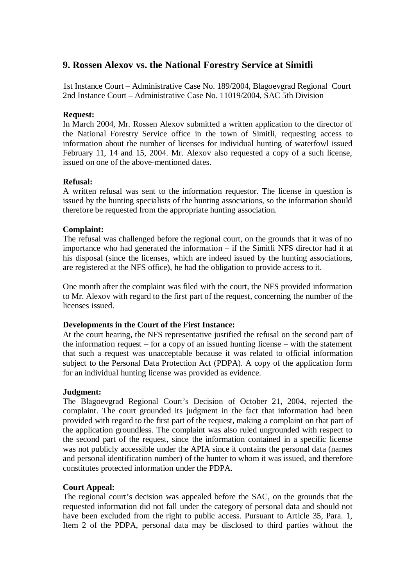## **9. Rossen Alexov vs. the National Forestry Service at Simitli**

1st Instance Court – Administrative Case No. 189/2004, Blagoevgrad Regional Court 2nd Instance Court – Administrative Case No. 11019/2004, SAC 5th Division

#### **Request:**

In March 2004, Mr. Rossen Alexov submitted a written application to the director of the National Forestry Service office in the town of Simitli, requesting access to information about the number of licenses for individual hunting of waterfowl issued February 11, 14 and 15, 2004. Mr. Alexov also requested a copy of a such license, issued on one of the above-mentioned dates.

## **Refusal:**

A written refusal was sent to the information requestor. The license in question is issued by the hunting specialists of the hunting associations, so the information should therefore be requested from the appropriate hunting association.

## **Complaint:**

The refusal was challenged before the regional court, on the grounds that it was of no importance who had generated the information – if the Simitli NFS director had it at his disposal (since the licenses, which are indeed issued by the hunting associations, are registered at the NFS office), he had the obligation to provide access to it.

One month after the complaint was filed with the court, the NFS provided information to Mr. Alexov with regard to the first part of the request, concerning the number of the licenses issued.

#### **Developments in the Court of the First Instance:**

At the court hearing, the NFS representative justified the refusal on the second part of the information request – for a copy of an issued hunting license – with the statement that such a request was unacceptable because it was related to official information subject to the Personal Data Protection Act (PDPA). A copy of the application form for an individual hunting license was provided as evidence.

#### **Judgment:**

The Blagoevgrad Regional Court's Decision of October 21, 2004, rejected the complaint. The court grounded its judgment in the fact that information had been provided with regard to the first part of the request, making a complaint on that part of the application groundless. The complaint was also ruled ungrounded with respect to the second part of the request, since the information contained in a specific license was not publicly accessible under the APIA since it contains the personal data (names and personal identification number) of the hunter to whom it was issued, and therefore constitutes protected information under the PDPA.

#### **Court Appeal:**

The regional court's decision was appealed before the SAC, on the grounds that the requested information did not fall under the category of personal data and should not have been excluded from the right to public access. Pursuant to Article 35, Para. 1, Item 2 of the PDPA, personal data may be disclosed to third parties without the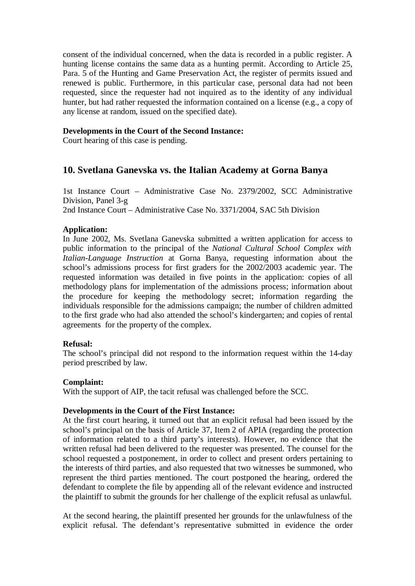consent of the individual concerned, when the data is recorded in a public register. A hunting license contains the same data as a hunting permit. According to Article 25, Para. 5 of the Hunting and Game Preservation Act, the register of permits issued and renewed is public. Furthermore, in this particular case, personal data had not been requested, since the requester had not inquired as to the identity of any individual hunter, but had rather requested the information contained on a license (e.g., a copy of any license at random, issued on the specified date).

### **Developments in the Court of the Second Instance:**

Court hearing of this case is pending.

# **10. Svetlana Ganevska vs. the Italian Academy at Gorna Banya**

1st Instance Court – Administrative Case No. 2379/2002, SCC Administrative Division, Panel 3-g 2nd Instance Court – Administrative Case No. 3371/2004, SAC 5th Division

### **Application:**

In June 2002, Ms. Svetlana Ganevska submitted a written application for access to public information to the principal of the *National Cultural School Complex with Italian-Language Instruction* at Gorna Banya, requesting information about the school's admissions process for first graders for the 2002/2003 academic year. The requested information was detailed in five points in the application: copies of all methodology plans for implementation of the admissions process; information about the procedure for keeping the methodology secret; information regarding the individuals responsible for the admissions campaign; the number of children admitted to the first grade who had also attended the school's kindergarten; and copies of rental agreements for the property of the complex.

#### **Refusal:**

The school's principal did not respond to the information request within the 14-day period prescribed by law.

#### **Complaint:**

With the support of AIP, the tacit refusal was challenged before the SCC.

#### **Developments in the Court of the First Instance:**

At the first court hearing, it turned out that an explicit refusal had been issued by the school's principal on the basis of Article 37, Item 2 of APIA (regarding the protection of information related to a third party's interests). However, no evidence that the written refusal had been delivered to the requester was presented. The counsel for the school requested a postponement, in order to collect and present orders pertaining to the interests of third parties, and also requested that two witnesses be summoned, who represent the third parties mentioned. The court postponed the hearing, ordered the defendant to complete the file by appending all of the relevant evidence and instructed the plaintiff to submit the grounds for her challenge of the explicit refusal as unlawful.

At the second hearing, the plaintiff presented her grounds for the unlawfulness of the explicit refusal. The defendant's representative submitted in evidence the order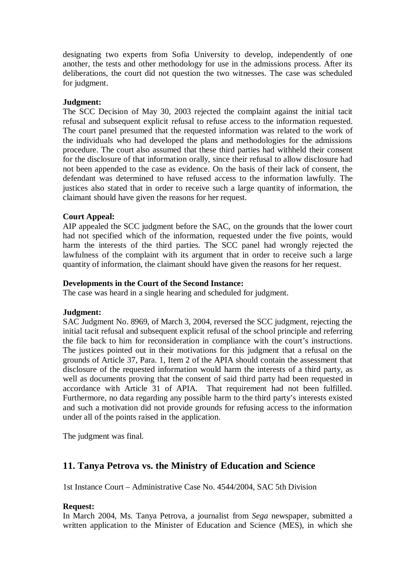designating two experts from Sofia University to develop, independently of one another, the tests and other methodology for use in the admissions process. After its deliberations, the court did not question the two witnesses. The case was scheduled for judgment.

### **Judgment:**

The SCC Decision of May 30, 2003 rejected the complaint against the initial tacit refusal and subsequent explicit refusal to refuse access to the information requested. The court panel presumed that the requested information was related to the work of the individuals who had developed the plans and methodologies for the admissions procedure. The court also assumed that these third parties had withheld their consent for the disclosure of that information orally, since their refusal to allow disclosure had not been appended to the case as evidence. On the basis of their lack of consent, the defendant was determined to have refused access to the information lawfully. The justices also stated that in order to receive such a large quantity of information, the claimant should have given the reasons for her request.

# **Court Appeal:**

AIP appealed the SCC judgment before the SAC, on the grounds that the lower court had not specified which of the information, requested under the five points, would harm the interests of the third parties. The SCC panel had wrongly rejected the lawfulness of the complaint with its argument that in order to receive such a large quantity of information, the claimant should have given the reasons for her request.

### **Developments in the Court of the Second Instance:**

The case was heard in a single hearing and scheduled for judgment.

### **Judgment:**

SAC Judgment No. 8969, of March 3, 2004, reversed the SCC judgment, rejecting the initial tacit refusal and subsequent explicit refusal of the school principle and referring the file back to him for reconsideration in compliance with the court's instructions. The justices pointed out in their motivations for this judgment that a refusal on the grounds of Article 37, Para. 1, Item 2 of the APIA should contain the assessment that disclosure of the requested information would harm the interests of a third party, as well as documents proving that the consent of said third party had been requested in accordance with Article 31 of APIA. That requirement had not been fulfilled. Furthermore, no data regarding any possible harm to the third party's interests existed and such a motivation did not provide grounds for refusing access to the information under all of the points raised in the application.

The judgment was final.

# **11. Tanya Petrova vs. the Ministry of Education and Science**

1st Instance Court – Administrative Case No. 4544/2004, SAC 5th Division

### **Request:**

In March 2004, Ms. Tanya Petrova, a journalist from *Sega* newspaper, submitted a written application to the Minister of Education and Science (MES), in which she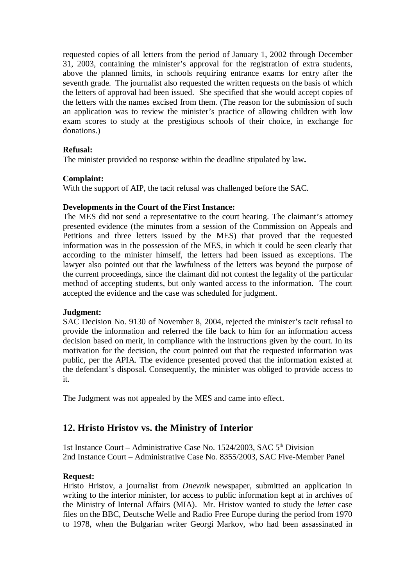requested copies of all letters from the period of January 1, 2002 through December 31, 2003, containing the minister's approval for the registration of extra students, above the planned limits, in schools requiring entrance exams for entry after the seventh grade. The journalist also requested the written requests on the basis of which the letters of approval had been issued. She specified that she would accept copies of the letters with the names excised from them. (The reason for the submission of such an application was to review the minister's practice of allowing children with low exam scores to study at the prestigious schools of their choice, in exchange for donations.)

# **Refusal:**

The minister provided no response within the deadline stipulated by law**.**

# **Complaint:**

With the support of AIP, the tacit refusal was challenged before the SAC.

# **Developments in the Court of the First Instance:**

The MES did not send a representative to the court hearing. The claimant's attorney presented evidence (the minutes from a session of the Commission on Appeals and Petitions and three letters issued by the MES) that proved that the requested information was in the possession of the MES, in which it could be seen clearly that according to the minister himself, the letters had been issued as exceptions. The lawyer also pointed out that the lawfulness of the letters was beyond the purpose of the current proceedings, since the claimant did not contest the legality of the particular method of accepting students, but only wanted access to the information. The court accepted the evidence and the case was scheduled for judgment.

# **Judgment:**

SAC Decision No. 9130 of November 8, 2004, rejected the minister's tacit refusal to provide the information and referred the file back to him for an information access decision based on merit, in compliance with the instructions given by the court. In its motivation for the decision, the court pointed out that the requested information was public, per the APIA. The evidence presented proved that the information existed at the defendant's disposal. Consequently, the minister was obliged to provide access to it.

The Judgment was not appealed by the MES and came into effect.

# **12. Hristo Hristov vs. the Ministry of Interior**

1st Instance Court – Administrative Case No. 1524/2003, SAC 5<sup>th</sup> Division 2nd Instance Court – Administrative Case No. 8355/2003, SAC Five-Member Panel

# **Request:**

Hristo Hristov, a journalist from *Dnevnik* newspaper, submitted an application in writing to the interior minister, for access to public information kept at in archives of the Ministry of Internal Affairs (MIA). Mr. Hristov wanted to study the *letter* case files on the BBC, Deutsche Welle and Radio Free Europe during the period from 1970 to 1978, when the Bulgarian writer Georgi Markov, who had been assassinated in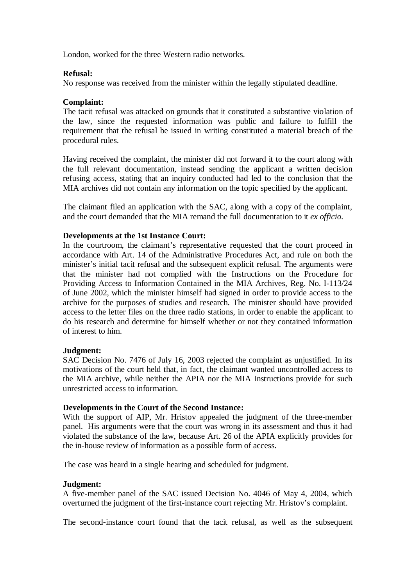London, worked for the three Western radio networks.

### **Refusal:**

No response was received from the minister within the legally stipulated deadline.

### **Complaint:**

The tacit refusal was attacked on grounds that it constituted a substantive violation of the law, since the requested information was public and failure to fulfill the requirement that the refusal be issued in writing constituted a material breach of the procedural rules.

Having received the complaint, the minister did not forward it to the court along with the full relevant documentation, instead sending the applicant a written decision refusing access, stating that an inquiry conducted had led to the conclusion that the MIA archives did not contain any information on the topic specified by the applicant.

The claimant filed an application with the SAC, along with a copy of the complaint, and the court demanded that the MIA remand the full documentation to it *ex officio*.

### **Developments at the 1st Instance Court:**

In the courtroom, the claimant's representative requested that the court proceed in accordance with Art. 14 of the Administrative Procedures Act, and rule on both the minister's initial tacit refusal and the subsequent explicit refusal. The arguments were that the minister had not complied with the Instructions on the Procedure for Providing Access to Information Contained in the MIA Archives, Reg. No. I-113/24 of June 2002, which the minister himself had signed in order to provide access to the archive for the purposes of studies and research. The minister should have provided access to the letter files on the three radio stations, in order to enable the applicant to do his research and determine for himself whether or not they contained information of interest to him.

#### **Judgment:**

SAC Decision No. 7476 of July 16, 2003 rejected the complaint as unjustified. In its motivations of the court held that, in fact, the claimant wanted uncontrolled access to the MIA archive, while neither the APIA nor the MIA Instructions provide for such unrestricted access to information.

#### **Developments in the Court of the Second Instance:**

With the support of AIP, Mr. Hristov appealed the judgment of the three-member panel. His arguments were that the court was wrong in its assessment and thus it had violated the substance of the law, because Art. 26 of the APIA explicitly provides for the in-house review of information as a possible form of access.

The case was heard in a single hearing and scheduled for judgment.

#### **Judgment:**

A five-member panel of the SAC issued Decision No. 4046 of May 4, 2004, which overturned the judgment of the first-instance court rejecting Mr. Hristov's complaint.

The second-instance court found that the tacit refusal, as well as the subsequent